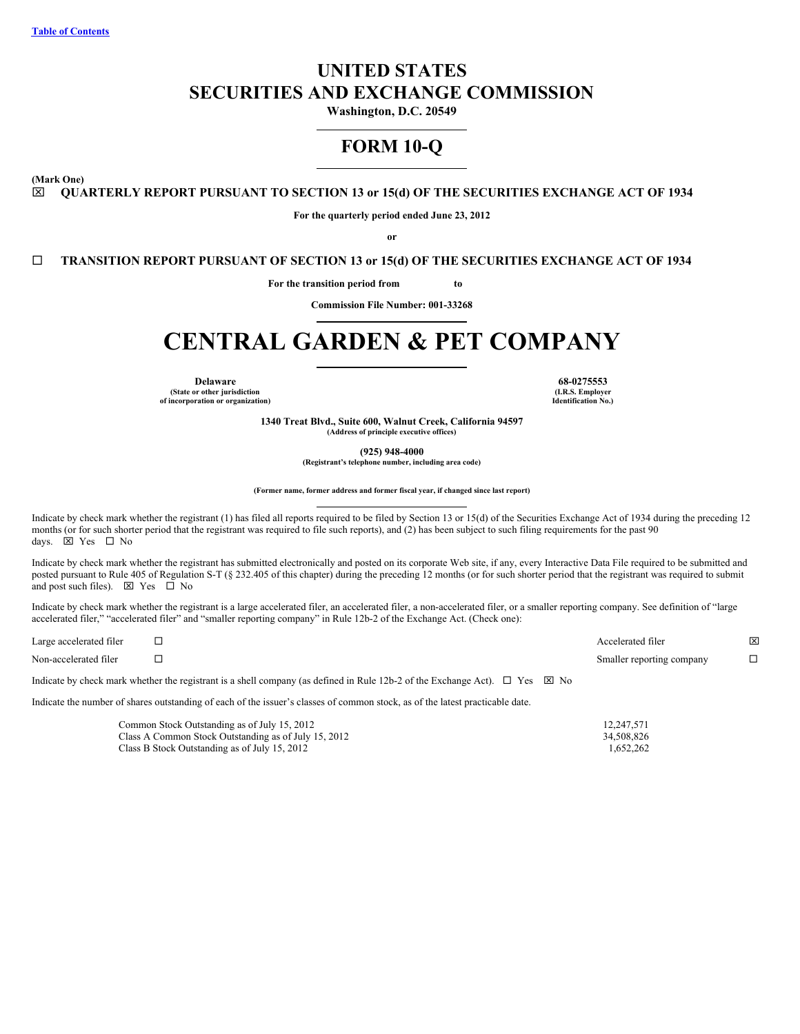# **UNITED STATES SECURITIES AND EXCHANGE COMMISSION**

**Washington, D.C. 20549**

# **FORM 10-Q**

<span id="page-0-0"></span>**(Mark One)**

x **QUARTERLY REPORT PURSUANT TO SECTION 13 or 15(d) OF THE SECURITIES EXCHANGE ACT OF 1934**

**For the quarterly period ended June 23, 2012**

**or**

¨ **TRANSITION REPORT PURSUANT OF SECTION 13 or 15(d) OF THE SECURITIES EXCHANGE ACT OF 1934**

**For the transition period from to**

**Commission File Number: 001-33268**

# **CENTRAL GARDEN & PET COMPANY**

**(State or other jurisdiction of incorporation or organization)**

**Delaware 68-0275553 (I.R.S. Employer Identification No.)**

> **1340 Treat Blvd., Suite 600, Walnut Creek, California 94597 (Address of principle executive offices)**

> > **(925) 948-4000**

**(Registrant's telephone number, including area code)**

**(Former name, former address and former fiscal year, if changed since last report)**

Indicate by check mark whether the registrant (1) has filed all reports required to be filed by Section 13 or 15(d) of the Securities Exchange Act of 1934 during the preceding 12 months (or for such shorter period that the registrant was required to file such reports), and (2) has been subject to such filing requirements for the past 90 days.  $\overline{\boxtimes}$  Yes  $\Box$  No

Indicate by check mark whether the registrant has submitted electronically and posted on its corporate Web site, if any, every Interactive Data File required to be submitted and posted pursuant to Rule 405 of Regulation S-T (§ 232.405 of this chapter) during the preceding 12 months (or for such shorter period that the registrant was required to submit and post such files).  $\boxtimes$  Yes  $\Box$  No

Indicate by check mark whether the registrant is a large accelerated filer, an accelerated filer, a non-accelerated filer, or a smaller reporting company. See definition of "large accelerated filer," "accelerated filer" and "smaller reporting company" in Rule 12b-2 of the Exchange Act. (Check one):

| Large accelerated filer |                                                                                                                                            | Accelerated filer         | ⊠ |
|-------------------------|--------------------------------------------------------------------------------------------------------------------------------------------|---------------------------|---|
| Non-accelerated filer   |                                                                                                                                            | Smaller reporting company |   |
|                         | Indicate by check mark whether the registrant is a shell company (as defined in Rule 12b-2 of the Exchange Act). $\Box$ Yes $\boxtimes$ No |                           |   |

Indicate the number of shares outstanding of each of the issuer's classes of common stock, as of the latest practicable date.

| Common Stock Outstanding as of July 15, 2012         | 12.247.571 |
|------------------------------------------------------|------------|
| Class A Common Stock Outstanding as of July 15, 2012 | 34.508.826 |
| Class B Stock Outstanding as of July 15, 2012        | 1.652.262  |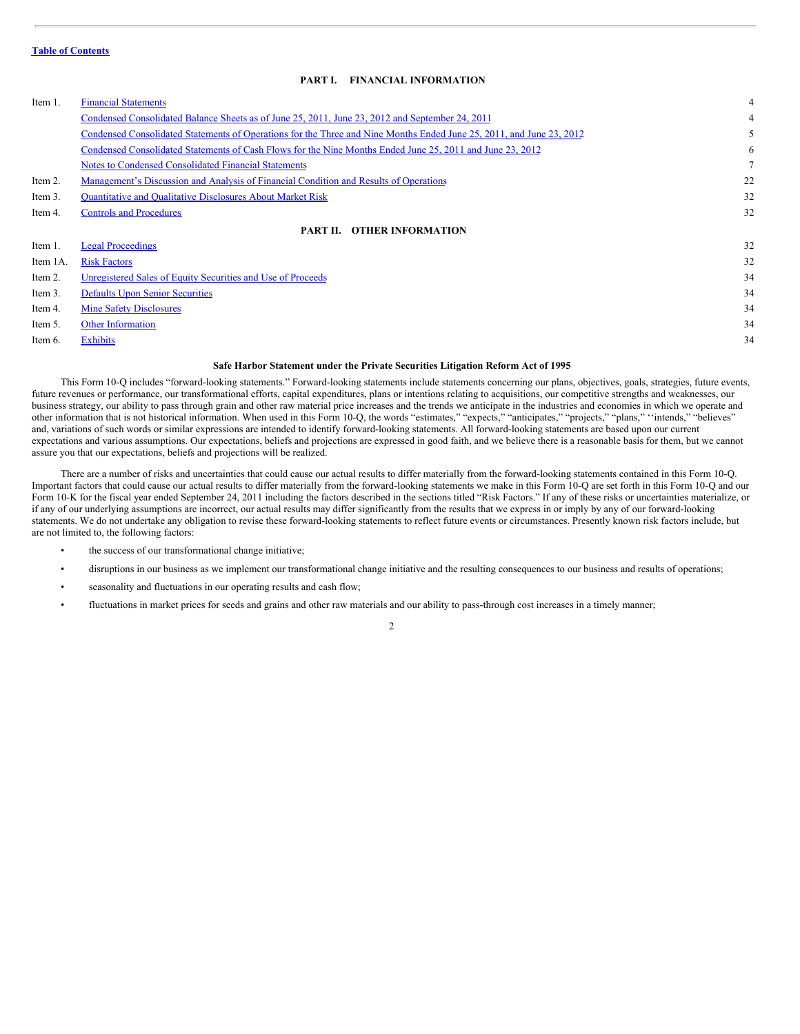## <span id="page-1-0"></span>**PART I. FINANCIAL INFORMATION**

| Item 1.  | <b>Financial Statements</b>                                                                                          | 4  |
|----------|----------------------------------------------------------------------------------------------------------------------|----|
|          | Condensed Consolidated Balance Sheets as of June 25, 2011, June 23, 2012 and September 24, 2011                      | 4  |
|          | Condensed Consolidated Statements of Operations for the Three and Nine Months Ended June 25, 2011, and June 23, 2012 | 5  |
|          | Condensed Consolidated Statements of Cash Flows for the Nine Months Ended June 25, 2011 and June 23, 2012            | 6  |
|          | Notes to Condensed Consolidated Financial Statements                                                                 |    |
| Item 2.  | Management's Discussion and Analysis of Financial Condition and Results of Operations                                | 22 |
| Item 3.  | <b>Quantitative and Qualitative Disclosures About Market Risk</b>                                                    | 32 |
| Item 4.  | <b>Controls and Procedures</b>                                                                                       | 32 |
|          | <b>PART II. OTHER INFORMATION</b>                                                                                    |    |
| Item 1.  | <b>Legal Proceedings</b>                                                                                             | 32 |
| Item 1A. | <b>Risk Factors</b>                                                                                                  | 32 |
| Item 2.  | Unregistered Sales of Equity Securities and Use of Proceeds                                                          | 34 |
| Item 3.  | <b>Defaults Upon Senior Securities</b>                                                                               | 34 |
| Item 4.  | <b>Mine Safety Disclosures</b>                                                                                       | 34 |
| Item 5.  | <b>Other Information</b>                                                                                             | 34 |

- 
- Item 6. [Exhibits](#page-33-4) 34

#### **Safe Harbor Statement under the Private Securities Litigation Reform Act of 1995**

This Form 10-Q includes "forward-looking statements." Forward-looking statements include statements concerning our plans, objectives, goals, strategies, future events, future revenues or performance, our transformational efforts, capital expenditures, plans or intentions relating to acquisitions, our competitive strengths and weaknesses, our business strategy, our ability to pass through grain and other raw material price increases and the trends we anticipate in the industries and economies in which we operate and other information that is not historical information. When used in this Form 10-Q, the words "estimates," "expects," "anticipates," "projects," "plans," ''intends," "believes" and, variations of such words or similar expressions are intended to identify forward-looking statements. All forward-looking statements are based upon our current expectations and various assumptions. Our expectations, beliefs and projections are expressed in good faith, and we believe there is a reasonable basis for them, but we cannot assure you that our expectations, beliefs and projections will be realized.

There are a number of risks and uncertainties that could cause our actual results to differ materially from the forward-looking statements contained in this Form 10-Q. Important factors that could cause our actual results to differ materially from the forward-looking statements we make in this Form 10-Q are set forth in this Form 10-Q and our Form 10-K for the fiscal year ended September 24, 2011 including the factors described in the sections titled "Risk Factors." If any of these risks or uncertainties materialize, or if any of our underlying assumptions are incorrect, our actual results may differ significantly from the results that we express in or imply by any of our forward-looking statements. We do not undertake any obligation to revise these forward-looking statements to reflect future events or circumstances. Presently known risk factors include, but are not limited to, the following factors:

- the success of our transformational change initiative;
- disruptions in our business as we implement our transformational change initiative and the resulting consequences to our business and results of operations;
- seasonality and fluctuations in our operating results and cash flow;
- fluctuations in market prices for seeds and grains and other raw materials and our ability to pass-through cost increases in a timely manner;

 $\mathfrak{D}$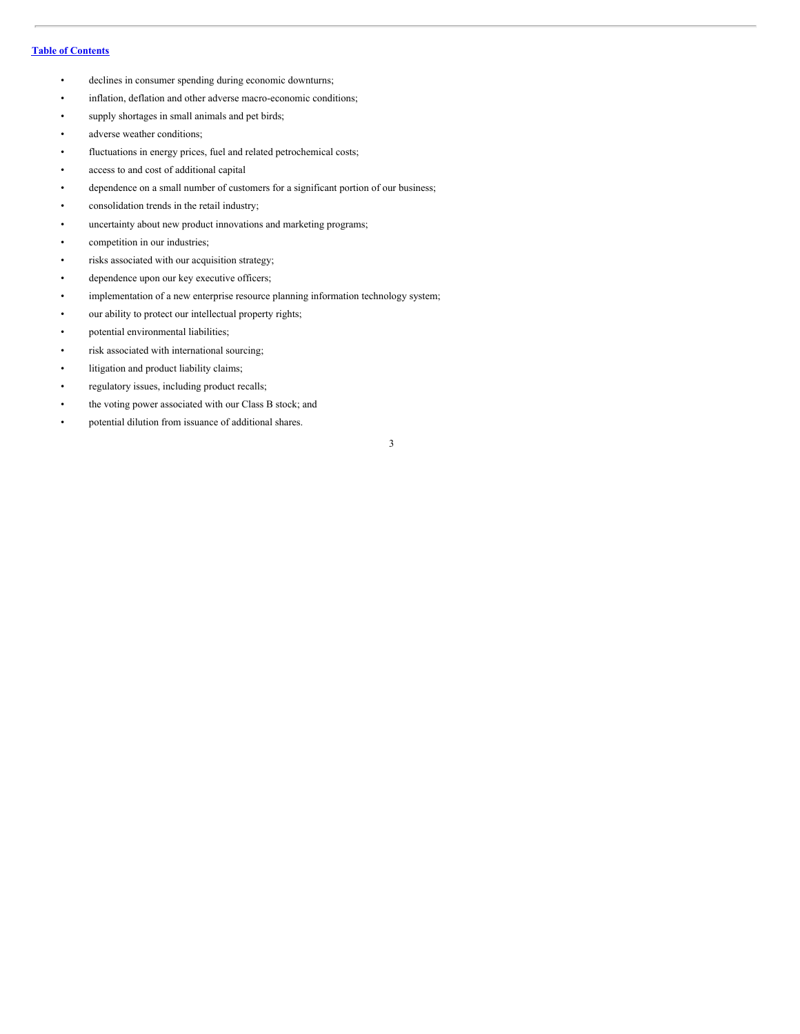## **Table of [Contents](#page-1-0)**

- declines in consumer spending during economic downturns;
- inflation, deflation and other adverse macro-economic conditions;
- supply shortages in small animals and pet birds;
- adverse weather conditions;
- fluctuations in energy prices, fuel and related petrochemical costs;
- access to and cost of additional capital
- dependence on a small number of customers for a significant portion of our business;
- consolidation trends in the retail industry;
- uncertainty about new product innovations and marketing programs;
- competition in our industries;
- risks associated with our acquisition strategy;
- dependence upon our key executive officers;
- implementation of a new enterprise resource planning information technology system;
- our ability to protect our intellectual property rights;
- potential environmental liabilities;
- risk associated with international sourcing;
- litigation and product liability claims;
- regulatory issues, including product recalls;
- the voting power associated with our Class B stock; and
- potential dilution from issuance of additional shares.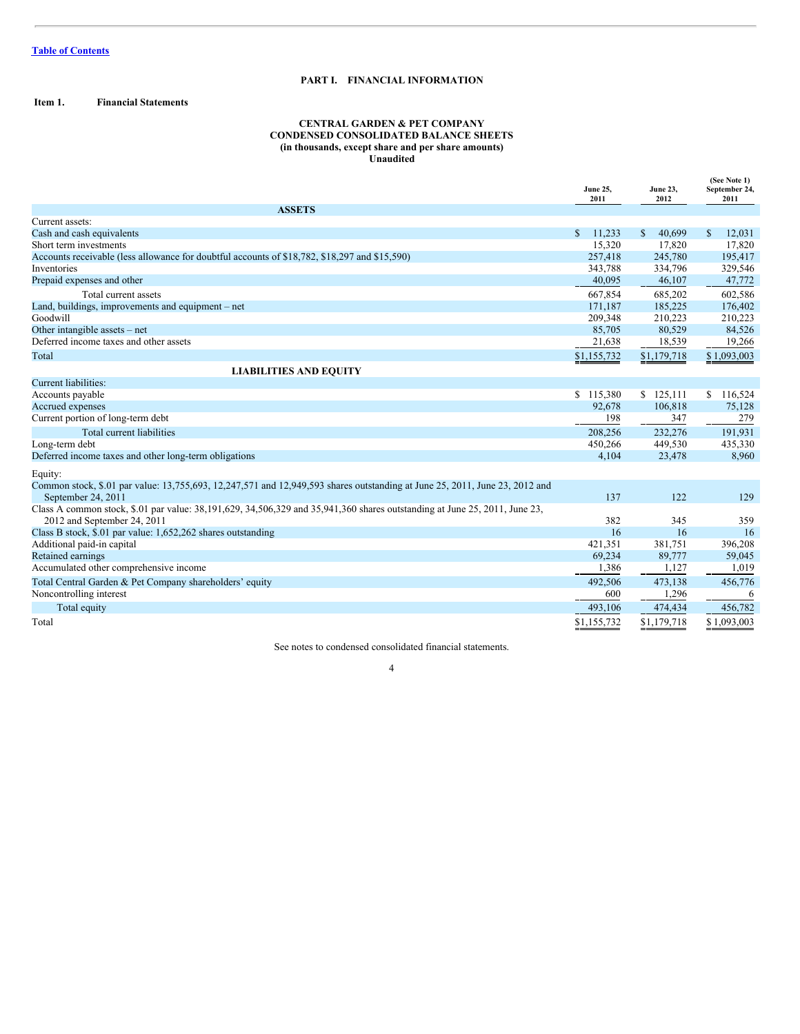## **PART I. FINANCIAL INFORMATION**

## <span id="page-3-0"></span>**Item 1. Financial Statements**

## **CENTRAL GARDEN & PET COMPANY CONDENSED CONSOLIDATED BALANCE SHEETS (in thousands, except share and per share amounts) Unaudited**

|                                                                                                                                                   |               | <b>June 23,</b><br>2012 | (See Note 1)<br>September 24,<br>2011 |  |
|---------------------------------------------------------------------------------------------------------------------------------------------------|---------------|-------------------------|---------------------------------------|--|
| <b>ASSETS</b>                                                                                                                                     |               |                         |                                       |  |
| Current assets:                                                                                                                                   |               |                         |                                       |  |
| Cash and cash equivalents                                                                                                                         | \$.<br>11.233 | S<br>40.699             | $\mathbb{S}$<br>12,031                |  |
| Short term investments                                                                                                                            | 15,320        | 17,820                  | 17,820                                |  |
| Accounts receivable (less allowance for doubtful accounts of \$18,782, \$18,297 and \$15,590)                                                     | 257,418       | 245,780                 | 195,417                               |  |
| <b>Inventories</b>                                                                                                                                | 343,788       | 334,796                 | 329,546                               |  |
| Prepaid expenses and other                                                                                                                        | 40,095        | 46,107                  | 47,772                                |  |
| Total current assets                                                                                                                              | 667.854       | 685,202                 | 602,586                               |  |
| Land, buildings, improvements and equipment – net                                                                                                 | 171,187       | 185,225                 | 176,402                               |  |
| Goodwill                                                                                                                                          | 209,348       | 210,223                 | 210,223                               |  |
| Other intangible assets – net                                                                                                                     | 85,705        | 80,529                  | 84,526                                |  |
| Deferred income taxes and other assets                                                                                                            | 21,638        | 18,539                  | 19,266                                |  |
| Total                                                                                                                                             | \$1,155,732   | \$1,179,718             | \$1,093,003                           |  |
| <b>LIABILITIES AND EQUITY</b>                                                                                                                     |               |                         |                                       |  |
| <b>Current liabilities:</b>                                                                                                                       |               |                         |                                       |  |
| Accounts payable                                                                                                                                  | \$115,380     | \$125,111               | \$116,524                             |  |
| Accrued expenses                                                                                                                                  | 92,678        | 106,818                 | 75,128                                |  |
| Current portion of long-term debt                                                                                                                 | 198           | 347                     | 279                                   |  |
| Total current liabilities                                                                                                                         | 208,256       | 232,276                 | 191,931                               |  |
| Long-term debt                                                                                                                                    | 450,266       | 449,530                 | 435,330                               |  |
| Deferred income taxes and other long-term obligations                                                                                             | 4,104         | 23,478                  | 8,960                                 |  |
| Equity:                                                                                                                                           |               |                         |                                       |  |
| Common stock, \$.01 par value: 13,755,693, 12,247,571 and 12,949,593 shares outstanding at June 25, 2011, June 23, 2012 and<br>September 24, 2011 | 137           | 122                     | 129                                   |  |
| Class A common stock, \$.01 par value: 38,191,629, 34,506,329 and 35,941,360 shares outstanding at June 25, 2011, June 23,                        |               |                         |                                       |  |
| 2012 and September 24, 2011                                                                                                                       | 382           | 345                     | 359                                   |  |
| Class B stock, \$.01 par value: 1,652,262 shares outstanding                                                                                      | 16            | 16                      | 16                                    |  |
| Additional paid-in capital                                                                                                                        | 421,351       | 381,751                 | 396,208                               |  |
| Retained earnings                                                                                                                                 | 69,234        | 89,777                  | 59,045                                |  |
| Accumulated other comprehensive income                                                                                                            | 1,386         | 1,127                   | 1,019                                 |  |
| Total Central Garden & Pet Company shareholders' equity                                                                                           | 492,506       | 473,138                 | 456,776                               |  |
| Noncontrolling interest                                                                                                                           | 600           | 1,296                   | 6                                     |  |
| Total equity                                                                                                                                      | 493,106       | 474,434                 | 456,782                               |  |
| Total                                                                                                                                             | \$1,155,732   | \$1,179,718             | \$1,093,003                           |  |

See notes to condensed consolidated financial statements.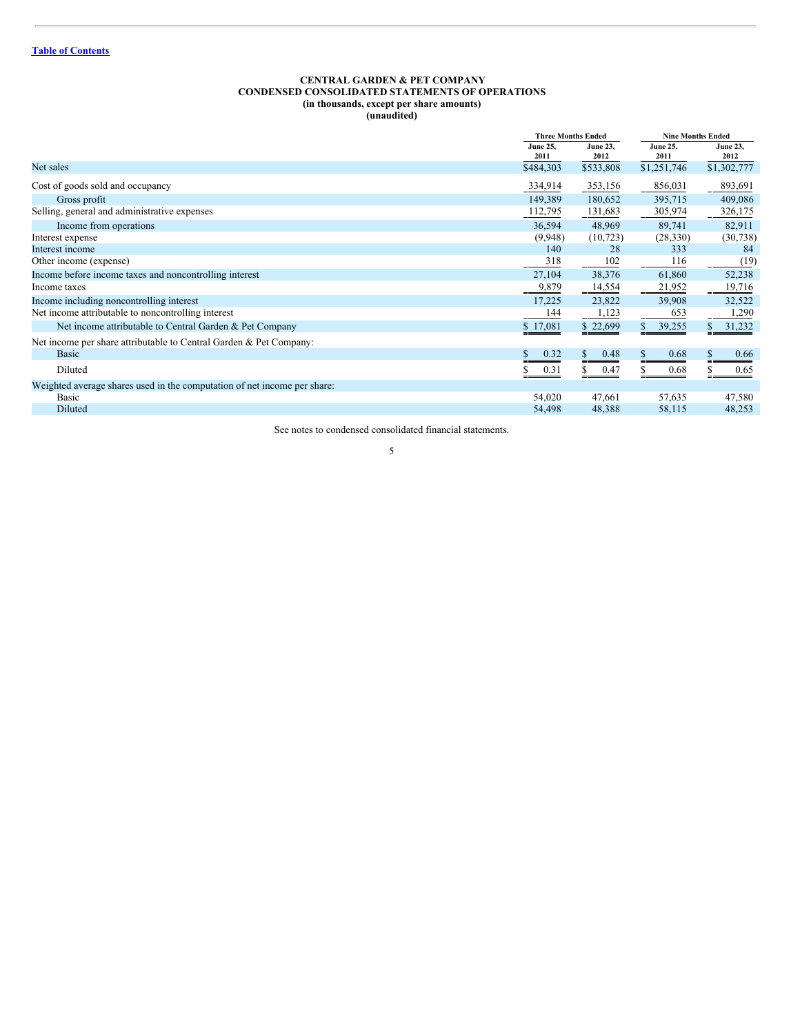#### <span id="page-4-0"></span>**CENTRAL GARDEN & PET COMPANY CONDENSED CONSOLIDATED STATEMENTS OF OPERATIONS (in thousands, except per share amounts) (unaudited)**

|                                                                          | <b>Three Months Ended</b> |                         | <b>Nine Months Ended</b> |                         |  |
|--------------------------------------------------------------------------|---------------------------|-------------------------|--------------------------|-------------------------|--|
|                                                                          | <b>June 25.</b><br>2011   | <b>June 23.</b><br>2012 | June 25,<br>2011         | <b>June 23,</b><br>2012 |  |
| Net sales                                                                | \$484,303                 | \$533,808               | \$1,251,746              | \$1,302,777             |  |
| Cost of goods sold and occupancy                                         | 334,914                   | 353,156                 | 856,031                  | 893,691                 |  |
| Gross profit                                                             | 149,389                   | 180,652                 | 395,715                  | 409,086                 |  |
| Selling, general and administrative expenses                             | 112,795                   | 131,683                 | 305,974                  | 326,175                 |  |
| Income from operations                                                   | 36,594                    | 48,969                  | 89,741                   | 82,911                  |  |
| Interest expense                                                         | (9,948)                   | (10, 723)               | (28, 330)                | (30, 738)               |  |
| Interest income                                                          | 140                       | 28                      | 333                      | 84                      |  |
| Other income (expense)                                                   | 318                       | 102                     | 116                      | (19)                    |  |
| Income before income taxes and noncontrolling interest                   | 27,104                    | 38,376                  | 61,860                   | 52,238                  |  |
| Income taxes                                                             | 9,879                     | 14,554                  | 21,952                   | 19,716                  |  |
| Income including noncontrolling interest                                 | 17,225                    | 23,822                  | 39.908                   | 32,522                  |  |
| Net income attributable to noncontrolling interest                       | 144                       | 1,123                   | 653                      | 1,290                   |  |
| Net income attributable to Central Garden & Pet Company                  | \$17,081                  | \$22,699                | 39,255                   | 31,232                  |  |
| Net income per share attributable to Central Garden & Pet Company:       |                           |                         |                          |                         |  |
| <b>Basic</b>                                                             | 0.32                      | 0.48                    | 0.68                     | 0.66                    |  |
| Diluted                                                                  | 0.31                      | 0.47                    | 0.68                     | 0.65                    |  |
| Weighted average shares used in the computation of net income per share: |                           |                         |                          |                         |  |
| Basic                                                                    | 54,020                    | 47,661                  | 57,635                   | 47,580                  |  |
| Diluted                                                                  | 54,498                    | 48,388                  | 58,115                   | 48,253                  |  |

See notes to condensed consolidated financial statements.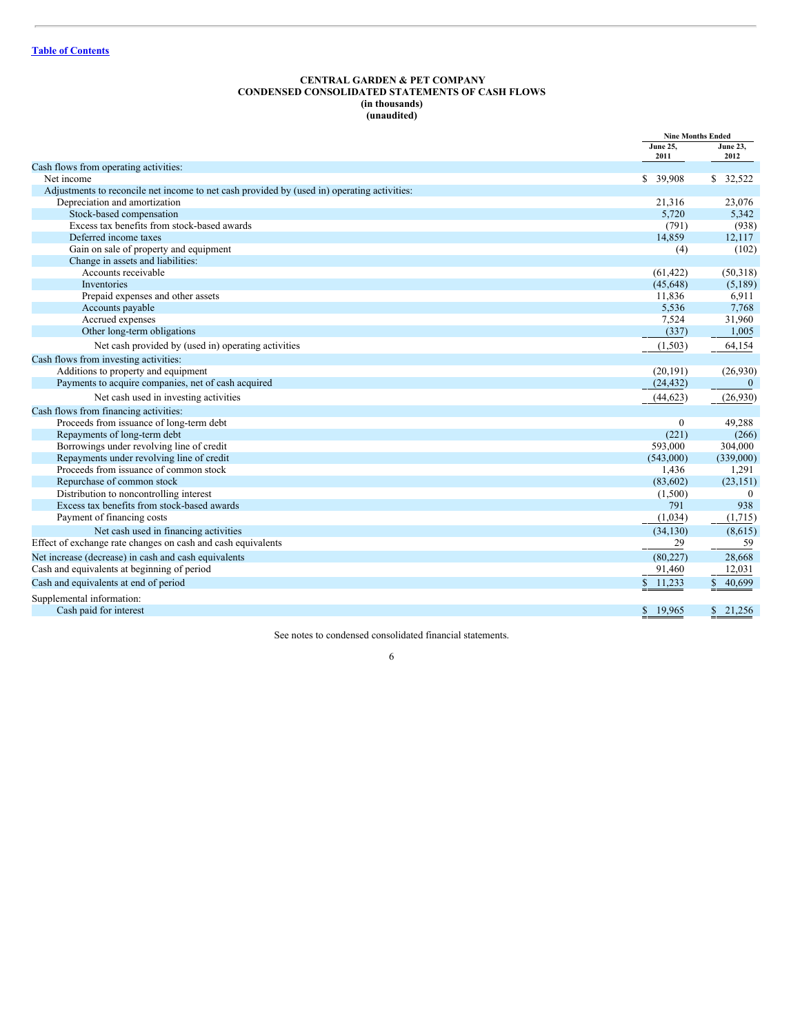#### <span id="page-5-0"></span>**CENTRAL GARDEN & PET COMPANY CONDENSED CONSOLIDATED STATEMENTS OF CASH FLOWS (in thousands) (unaudited)**

|                                                                                             |                         | <b>Nine Months Ended</b> |
|---------------------------------------------------------------------------------------------|-------------------------|--------------------------|
|                                                                                             | <b>June 25.</b><br>2011 | <b>June 23,</b><br>2012  |
| Cash flows from operating activities:                                                       |                         |                          |
| Net income                                                                                  | \$ 39,908               | \$32,522                 |
| Adjustments to reconcile net income to net cash provided by (used in) operating activities: |                         |                          |
| Depreciation and amortization                                                               | 21,316                  | 23,076                   |
| Stock-based compensation                                                                    | 5,720                   | 5,342                    |
| Excess tax benefits from stock-based awards                                                 | (791)                   | (938)                    |
| Deferred income taxes                                                                       | 14,859                  | 12,117                   |
| Gain on sale of property and equipment                                                      | (4)                     | (102)                    |
| Change in assets and liabilities:                                                           |                         |                          |
| Accounts receivable                                                                         | (61, 422)               | (50,318)                 |
| Inventories                                                                                 | (45, 648)               | (5,189)                  |
| Prepaid expenses and other assets                                                           | 11,836                  | 6,911                    |
| Accounts payable                                                                            | 5,536                   | 7,768                    |
| Accrued expenses                                                                            | 7,524                   | 31,960                   |
| Other long-term obligations                                                                 | (337)                   | 1,005                    |
| Net cash provided by (used in) operating activities                                         | (1,503)                 | 64,154                   |
| Cash flows from investing activities:                                                       |                         |                          |
| Additions to property and equipment                                                         | (20, 191)               | (26,930)                 |
| Payments to acquire companies, net of cash acquired                                         | (24, 432)               | $\mathbf{0}$             |
| Net cash used in investing activities                                                       | (44, 623)               | (26,930)                 |
| Cash flows from financing activities:                                                       |                         |                          |
| Proceeds from issuance of long-term debt                                                    | $\overline{0}$          | 49,288                   |
| Repayments of long-term debt                                                                | (221)                   | (266)                    |
| Borrowings under revolving line of credit                                                   | 593,000                 | 304,000                  |
| Repayments under revolving line of credit                                                   | (543,000)               | (339,000)                |
| Proceeds from issuance of common stock                                                      | 1,436                   | 1,291                    |
| Repurchase of common stock                                                                  | (83,602)                | (23, 151)                |
| Distribution to noncontrolling interest                                                     | (1,500)                 | $\theta$                 |
| Excess tax benefits from stock-based awards                                                 | 791                     | 938                      |
| Payment of financing costs                                                                  | (1,034)                 | (1,715)                  |
| Net cash used in financing activities                                                       | (34, 130)               | (8,615)                  |
| Effect of exchange rate changes on cash and cash equivalents                                | 29                      | 59                       |
| Net increase (decrease) in cash and cash equivalents                                        | (80, 227)               | 28,668                   |
| Cash and equivalents at beginning of period                                                 | 91,460                  | 12,031                   |
| Cash and equivalents at end of period                                                       | $\mathbb{S}$<br>11,233  | 40,699<br>S.             |
| Supplemental information:                                                                   |                         |                          |
| Cash paid for interest                                                                      | 19,965<br>\$            | \$21,256                 |

See notes to condensed consolidated financial statements.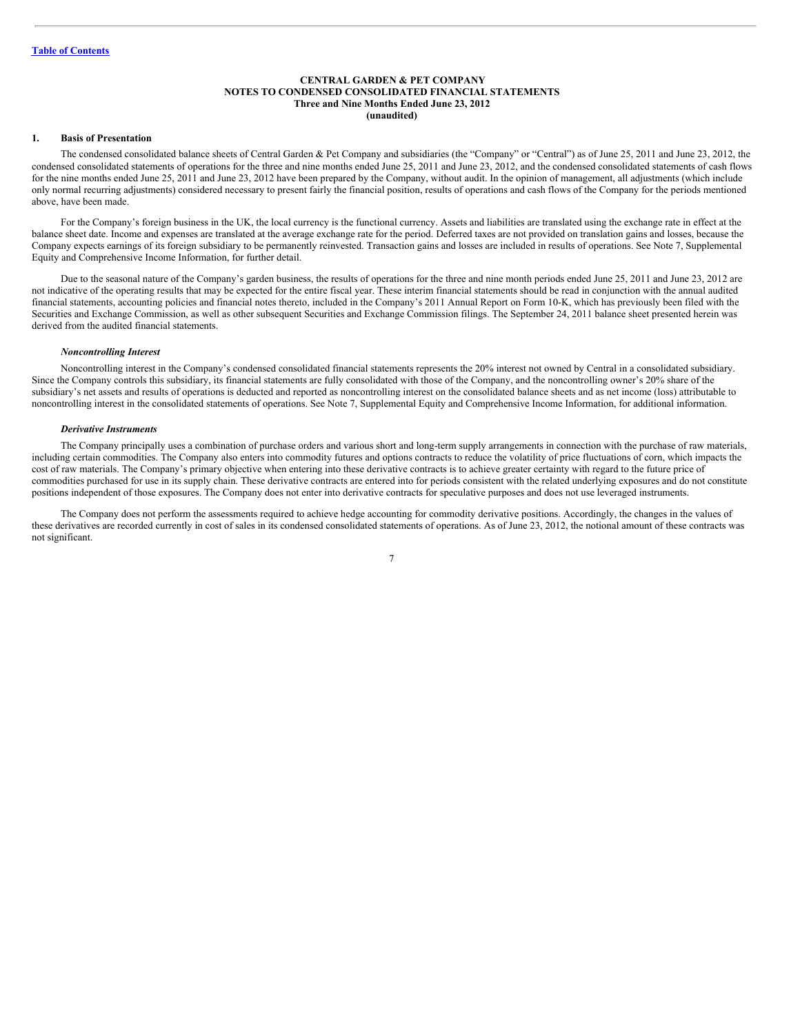#### <span id="page-6-0"></span>**CENTRAL GARDEN & PET COMPANY NOTES TO CONDENSED CONSOLIDATED FINANCIAL STATEMENTS Three and Nine Months Ended June 23, 2012 (unaudited)**

#### **1. Basis of Presentation**

The condensed consolidated balance sheets of Central Garden & Pet Company and subsidiaries (the "Company" or "Central") as of June 25, 2011 and June 23, 2012, the condensed consolidated statements of operations for the three and nine months ended June 25, 2011 and June 23, 2012, and the condensed consolidated statements of cash flows for the nine months ended June 25, 2011 and June 23, 2012 have been prepared by the Company, without audit. In the opinion of management, all adjustments (which include only normal recurring adjustments) considered necessary to present fairly the financial position, results of operations and cash flows of the Company for the periods mentioned above, have been made.

For the Company's foreign business in the UK, the local currency is the functional currency. Assets and liabilities are translated using the exchange rate in effect at the balance sheet date. Income and expenses are translated at the average exchange rate for the period. Deferred taxes are not provided on translation gains and losses, because the Company expects earnings of its foreign subsidiary to be permanently reinvested. Transaction gains and losses are included in results of operations. See Note 7, Supplemental Equity and Comprehensive Income Information, for further detail.

Due to the seasonal nature of the Company's garden business, the results of operations for the three and nine month periods ended June 25, 2011 and June 23, 2012 are not indicative of the operating results that may be expected for the entire fiscal year. These interim financial statements should be read in conjunction with the annual audited financial statements, accounting policies and financial notes thereto, included in the Company's 2011 Annual Report on Form 10-K, which has previously been filed with the Securities and Exchange Commission, as well as other subsequent Securities and Exchange Commission filings. The September 24, 2011 balance sheet presented herein was derived from the audited financial statements.

#### *Noncontrolling Interest*

Noncontrolling interest in the Company's condensed consolidated financial statements represents the 20% interest not owned by Central in a consolidated subsidiary. Since the Company controls this subsidiary, its financial statements are fully consolidated with those of the Company, and the noncontrolling owner's 20% share of the subsidiary's net assets and results of operations is deducted and reported as noncontrolling interest on the consolidated balance sheets and as net income (loss) attributable to noncontrolling interest in the consolidated statements of operations. See Note 7, Supplemental Equity and Comprehensive Income Information, for additional information.

#### *Derivative Instruments*

The Company principally uses a combination of purchase orders and various short and long-term supply arrangements in connection with the purchase of raw materials, including certain commodities. The Company also enters into commodity futures and options contracts to reduce the volatility of price fluctuations of corn, which impacts the cost of raw materials. The Company's primary objective when entering into these derivative contracts is to achieve greater certainty with regard to the future price of commodities purchased for use in its supply chain. These derivative contracts are entered into for periods consistent with the related underlying exposures and do not constitute positions independent of those exposures. The Company does not enter into derivative contracts for speculative purposes and does not use leveraged instruments.

The Company does not perform the assessments required to achieve hedge accounting for commodity derivative positions. Accordingly, the changes in the values of these derivatives are recorded currently in cost of sales in its condensed consolidated statements of operations. As of June 23, 2012, the notional amount of these contracts was not significant.

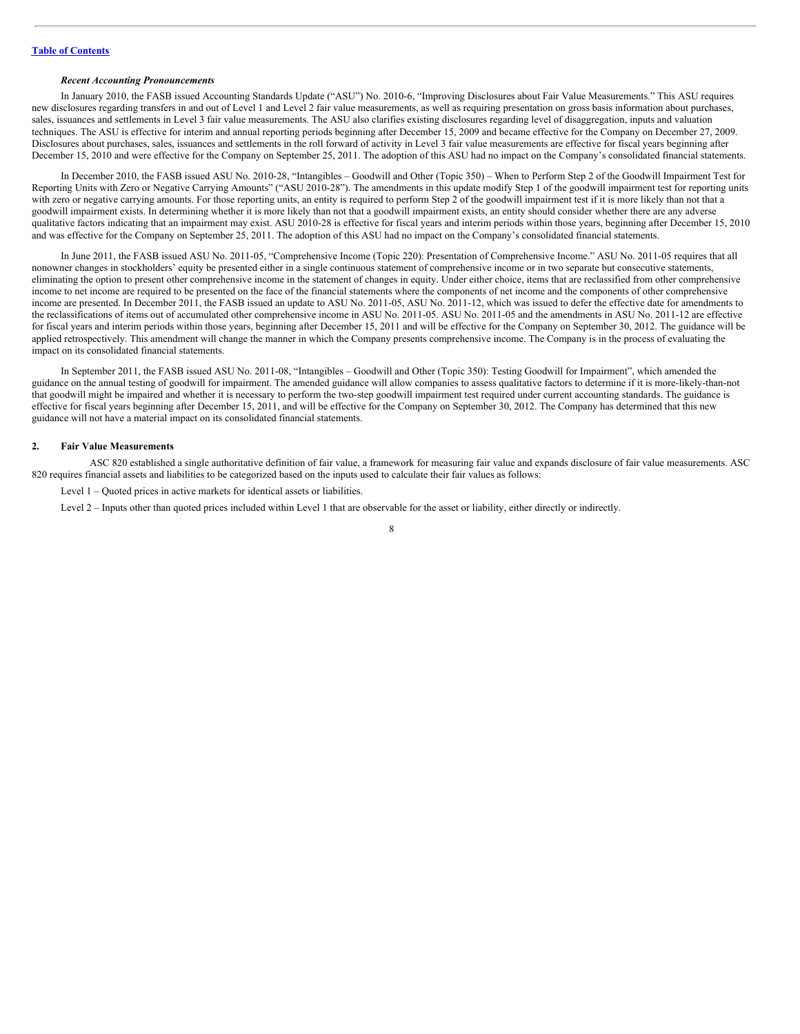#### *Recent Accounting Pronouncements*

In January 2010, the FASB issued Accounting Standards Update ("ASU") No. 2010-6, "Improving Disclosures about Fair Value Measurements." This ASU requires new disclosures regarding transfers in and out of Level 1 and Level 2 fair value measurements, as well as requiring presentation on gross basis information about purchases, sales, issuances and settlements in Level 3 fair value measurements. The ASU also clarifies existing disclosures regarding level of disaggregation, inputs and valuation techniques. The ASU is effective for interim and annual reporting periods beginning after December 15, 2009 and became effective for the Company on December 27, 2009. Disclosures about purchases, sales, issuances and settlements in the roll forward of activity in Level 3 fair value measurements are effective for fiscal years beginning after December 15, 2010 and were effective for the Company on September 25, 2011. The adoption of this ASU had no impact on the Company's consolidated financial statements.

In December 2010, the FASB issued ASU No. 2010-28, "Intangibles – Goodwill and Other (Topic 350) – When to Perform Step 2 of the Goodwill Impairment Test for Reporting Units with Zero or Negative Carrying Amounts" ("ASU 2010-28"). The amendments in this update modify Step 1 of the goodwill impairment test for reporting units with zero or negative carrying amounts. For those reporting units, an entity is required to perform Step 2 of the goodwill impairment test if it is more likely than not that a goodwill impairment exists. In determining whether it is more likely than not that a goodwill impairment exists, an entity should consider whether there are any adverse qualitative factors indicating that an impairment may exist. ASU 2010-28 is effective for fiscal years and interim periods within those years, beginning after December 15, 2010 and was effective for the Company on September 25, 2011. The adoption of this ASU had no impact on the Company's consolidated financial statements.

In June 2011, the FASB issued ASU No. 2011-05, "Comprehensive Income (Topic 220): Presentation of Comprehensive Income." ASU No. 2011-05 requires that all nonowner changes in stockholders' equity be presented either in a single continuous statement of comprehensive income or in two separate but consecutive statements, eliminating the option to present other comprehensive income in the statement of changes in equity. Under either choice, items that are reclassified from other comprehensive income to net income are required to be presented on the face of the financial statements where the components of net income and the components of other comprehensive income are presented. In December 2011, the FASB issued an update to ASU No. 2011-05, ASU No. 2011-12, which was issued to defer the effective date for amendments to the reclassifications of items out of accumulated other comprehensive income in ASU No. 2011-05. ASU No. 2011-05 and the amendments in ASU No. 2011-12 are effective for fiscal years and interim periods within those years, beginning after December 15, 2011 and will be effective for the Company on September 30, 2012. The guidance will be applied retrospectively. This amendment will change the manner in which the Company presents comprehensive income. The Company is in the process of evaluating the impact on its consolidated financial statements.

In September 2011, the FASB issued ASU No. 2011-08, "Intangibles – Goodwill and Other (Topic 350): Testing Goodwill for Impairment", which amended the guidance on the annual testing of goodwill for impairment. The amended guidance will allow companies to assess qualitative factors to determine if it is more-likely-than-not that goodwill might be impaired and whether it is necessary to perform the two-step goodwill impairment test required under current accounting standards. The guidance is effective for fiscal years beginning after December 15, 2011, and will be effective for the Company on September 30, 2012. The Company has determined that this new guidance will not have a material impact on its consolidated financial statements.

#### **2. Fair Value Measurements**

ASC 820 established a single authoritative definition of fair value, a framework for measuring fair value and expands disclosure of fair value measurements. ASC 820 requires financial assets and liabilities to be categorized based on the inputs used to calculate their fair values as follows:

Level 1 – Quoted prices in active markets for identical assets or liabilities.

Level 2 – Inputs other than quoted prices included within Level 1 that are observable for the asset or liability, either directly or indirectly.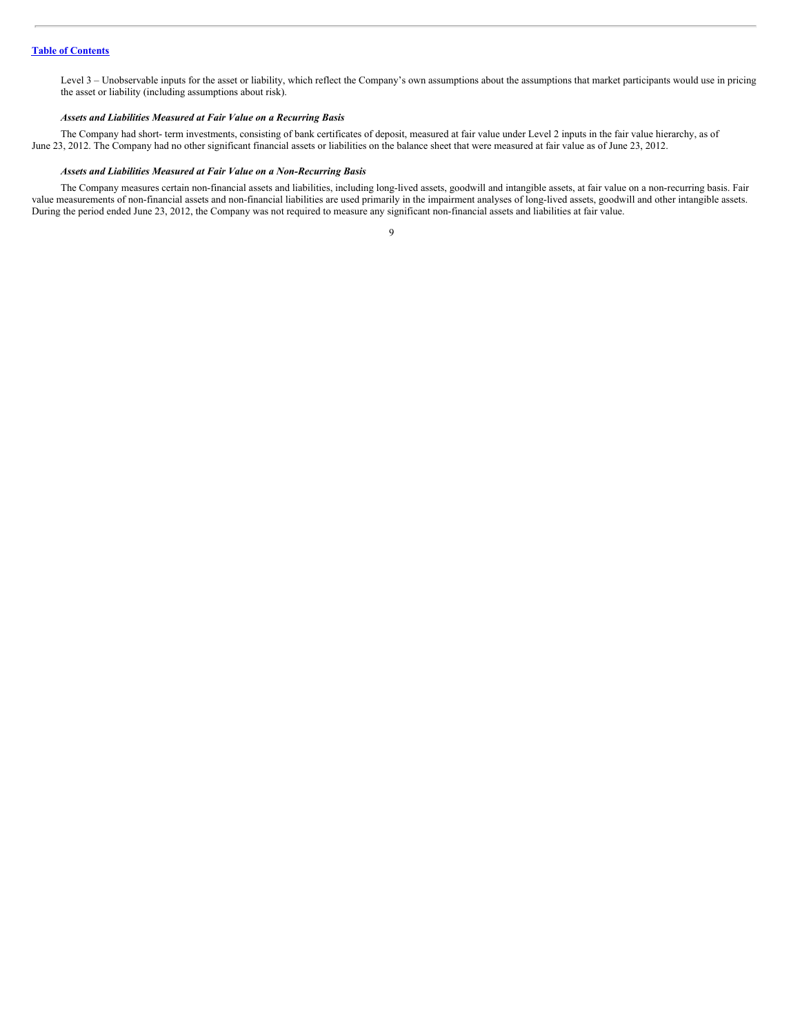Level 3 – Unobservable inputs for the asset or liability, which reflect the Company's own assumptions about the assumptions that market participants would use in pricing the asset or liability (including assumptions about risk).

#### *Assets and Liabilities Measured at Fair Value on a Recurring Basis*

The Company had short- term investments, consisting of bank certificates of deposit, measured at fair value under Level 2 inputs in the fair value hierarchy, as of June 23, 2012. The Company had no other significant financial assets or liabilities on the balance sheet that were measured at fair value as of June 23, 2012.

#### *Assets and Liabilities Measured at Fair Value on a Non-Recurring Basis*

The Company measures certain non-financial assets and liabilities, including long-lived assets, goodwill and intangible assets, at fair value on a non-recurring basis. Fair value measurements of non-financial assets and non-financial liabilities are used primarily in the impairment analyses of long-lived assets, goodwill and other intangible assets. During the period ended June 23, 2012, the Company was not required to measure any significant non-financial assets and liabilities at fair value.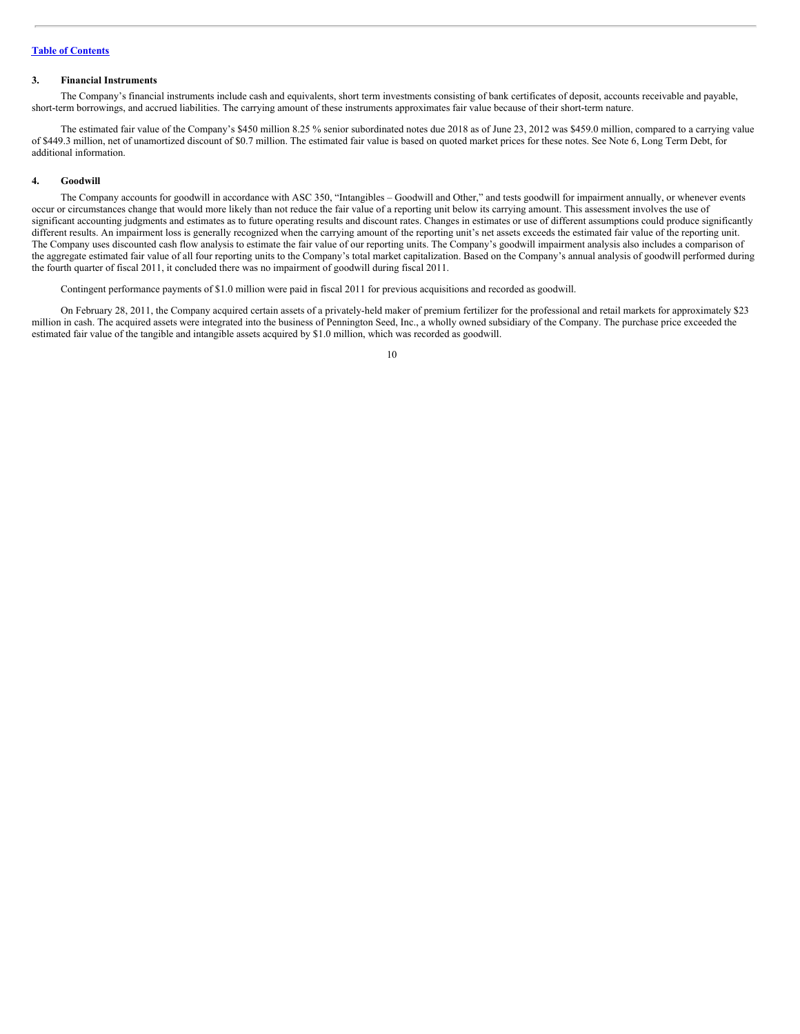## **Table of [Contents](#page-1-0)**

#### **3. Financial Instruments**

The Company's financial instruments include cash and equivalents, short term investments consisting of bank certificates of deposit, accounts receivable and payable, short-term borrowings, and accrued liabilities. The carrying amount of these instruments approximates fair value because of their short-term nature.

The estimated fair value of the Company's \$450 million 8.25 % senior subordinated notes due 2018 as of June 23, 2012 was \$459.0 million, compared to a carrying value of \$449.3 million, net of unamortized discount of \$0.7 million. The estimated fair value is based on quoted market prices for these notes. See Note 6, Long Term Debt, for additional information.

#### **4. Goodwill**

The Company accounts for goodwill in accordance with ASC 350, "Intangibles – Goodwill and Other," and tests goodwill for impairment annually, or whenever events occur or circumstances change that would more likely than not reduce the fair value of a reporting unit below its carrying amount. This assessment involves the use of significant accounting judgments and estimates as to future operating results and discount rates. Changes in estimates or use of different assumptions could produce significantly different results. An impairment loss is generally recognized when the carrying amount of the reporting unit's net assets exceeds the estimated fair value of the reporting unit. The Company uses discounted cash flow analysis to estimate the fair value of our reporting units. The Company's goodwill impairment analysis also includes a comparison of the aggregate estimated fair value of all four reporting units to the Company's total market capitalization. Based on the Company's annual analysis of goodwill performed during the fourth quarter of fiscal 2011, it concluded there was no impairment of goodwill during fiscal 2011.

Contingent performance payments of \$1.0 million were paid in fiscal 2011 for previous acquisitions and recorded as goodwill.

On February 28, 2011, the Company acquired certain assets of a privately-held maker of premium fertilizer for the professional and retail markets for approximately \$23 million in cash. The acquired assets were integrated into the business of Pennington Seed, Inc., a wholly owned subsidiary of the Company. The purchase price exceeded the estimated fair value of the tangible and intangible assets acquired by \$1.0 million, which was recorded as goodwill.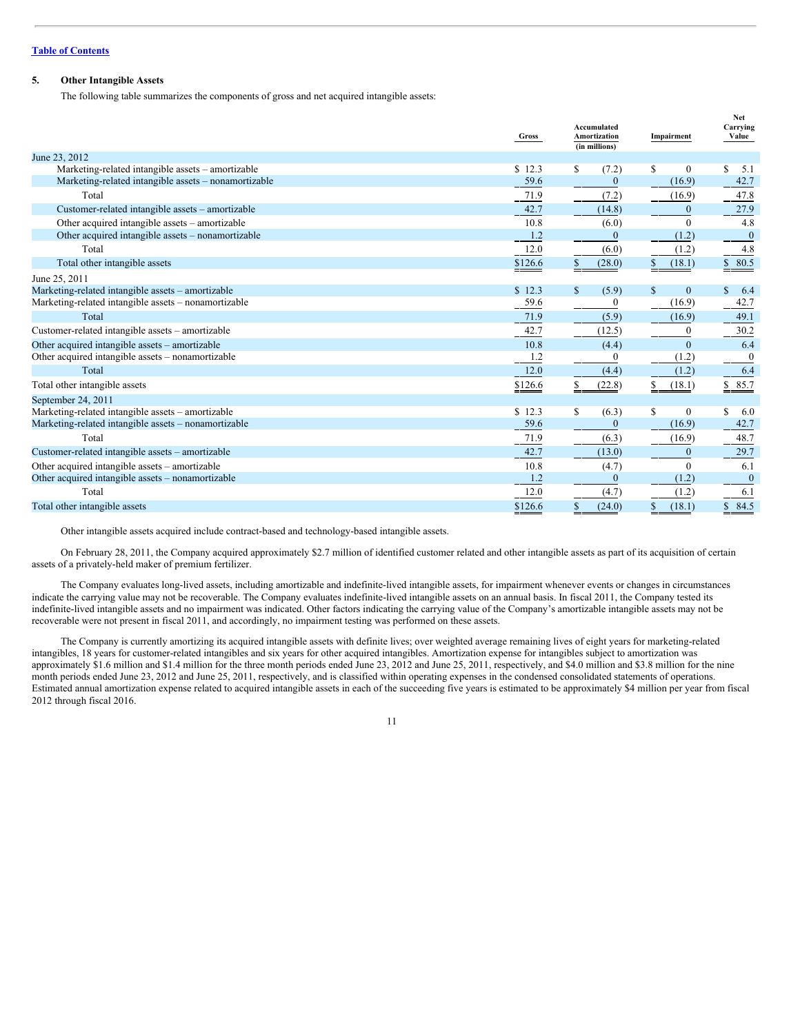## **Table of [Contents](#page-1-0)**

## **5. Other Intangible Assets**

The following table summarizes the components of gross and net acquired intangible assets:

|                                                      | Gross    | Accumulated<br>Amortization<br>(in millions) | Impairment         | Net<br>Carrying<br>Value  |  |
|------------------------------------------------------|----------|----------------------------------------------|--------------------|---------------------------|--|
| June 23, 2012                                        |          |                                              |                    |                           |  |
| Marketing-related intangible assets - amortizable    | \$12.3   | S<br>(7.2)                                   | \$<br>$\bf{0}$     | \$<br>5.1                 |  |
| Marketing-related intangible assets - nonamortizable | 59.6     | $\boldsymbol{0}$                             | (16.9)             | 42.7                      |  |
| Total                                                | 71.9     | (7.2)                                        | (16.9)             | 47.8                      |  |
| Customer-related intangible assets - amortizable     | 42.7     | (14.8)                                       | $\mathbf{0}$       | 27.9                      |  |
| Other acquired intangible assets – amortizable       | 10.8     | (6.0)                                        | $\theta$           | 4.8                       |  |
| Other acquired intangible assets - nonamortizable    | 1.2      | $\mathbf{0}$                                 | (1.2)              | $\overline{0}$            |  |
| Total                                                | $12.0\,$ | (6.0)                                        | (1.2)              | 4.8                       |  |
| Total other intangible assets                        | \$126.6  | (28.0)<br>\$                                 | (18.1)             | \$80.5                    |  |
| June 25, 2011                                        |          |                                              |                    |                           |  |
| Marketing-related intangible assets - amortizable    | \$12.3   | $\mathbf S$<br>(5.9)                         | \$<br>$\mathbf{0}$ | $\mathbf{\hat{S}}$<br>6.4 |  |
| Marketing-related intangible assets - nonamortizable | 59.6     | 0                                            | (16.9)             | 42.7                      |  |
| Total                                                | 71.9     | (5.9)                                        | (16.9)             | 49.1                      |  |
| Customer-related intangible assets - amortizable     | 42.7     | (12.5)                                       | $\mathbf{0}$       | 30.2                      |  |
| Other acquired intangible assets – amortizable       | 10.8     | (4.4)                                        | $\mathbf{0}$       | 6.4                       |  |
| Other acquired intangible assets - nonamortizable    | 1.2      | $\bf{0}$                                     | (1.2)              | $\boldsymbol{0}$          |  |
| Total                                                | 12.0     | (4.4)                                        | (1.2)              | 6.4                       |  |
| Total other intangible assets                        | \$126.6  | \$<br>(22.8)                                 | (18.1)             | \$85.7                    |  |
| September 24, 2011                                   |          |                                              |                    |                           |  |
| Marketing-related intangible assets - amortizable    | \$12.3   | S<br>(6.3)                                   | \$<br>$\mathbf{0}$ | S<br>6.0                  |  |
| Marketing-related intangible assets - nonamortizable | 59.6     | $\bf{0}$                                     | (16.9)             | 42.7                      |  |
| Total                                                | 71.9     | (6.3)                                        | (16.9)             | 48.7                      |  |
| Customer-related intangible assets - amortizable     | 42.7     | (13.0)                                       | $\mathbf{0}$       | 29.7                      |  |
| Other acquired intangible assets - amortizable       | 10.8     | (4.7)                                        | $\mathbf{0}$       | 6.1                       |  |
| Other acquired intangible assets – nonamortizable    | 1.2      | $\bf{0}$                                     | (1.2)              | $\bf{0}$                  |  |
| Total                                                | 12.0     | (4.7)                                        | (1.2)              | 6.1                       |  |
| Total other intangible assets                        | \$126.6  | (24.0)<br>\$                                 | (18.1)<br>\$       | 84.5<br>\$                |  |

Other intangible assets acquired include contract-based and technology-based intangible assets.

On February 28, 2011, the Company acquired approximately \$2.7 million of identified customer related and other intangible assets as part of its acquisition of certain assets of a privately-held maker of premium fertilizer.

The Company evaluates long-lived assets, including amortizable and indefinite-lived intangible assets, for impairment whenever events or changes in circumstances indicate the carrying value may not be recoverable. The Company evaluates indefinite-lived intangible assets on an annual basis. In fiscal 2011, the Company tested its indefinite-lived intangible assets and no impairment was indicated. Other factors indicating the carrying value of the Company's amortizable intangible assets may not be recoverable were not present in fiscal 2011, and accordingly, no impairment testing was performed on these assets.

The Company is currently amortizing its acquired intangible assets with definite lives; over weighted average remaining lives of eight years for marketing-related intangibles, 18 years for customer-related intangibles and six years for other acquired intangibles. Amortization expense for intangibles subject to amortization was approximately \$1.6 million and \$1.4 million for the three month periods ended June 23, 2012 and June 25, 2011, respectively, and \$4.0 million and \$3.8 million for the nine month periods ended June 23, 2012 and June 25, 2011, respectively, and is classified within operating expenses in the condensed consolidated statements of operations. Estimated annual amortization expense related to acquired intangible assets in each of the succeeding five years is estimated to be approximately \$4 million per year from fiscal 2012 through fiscal 2016.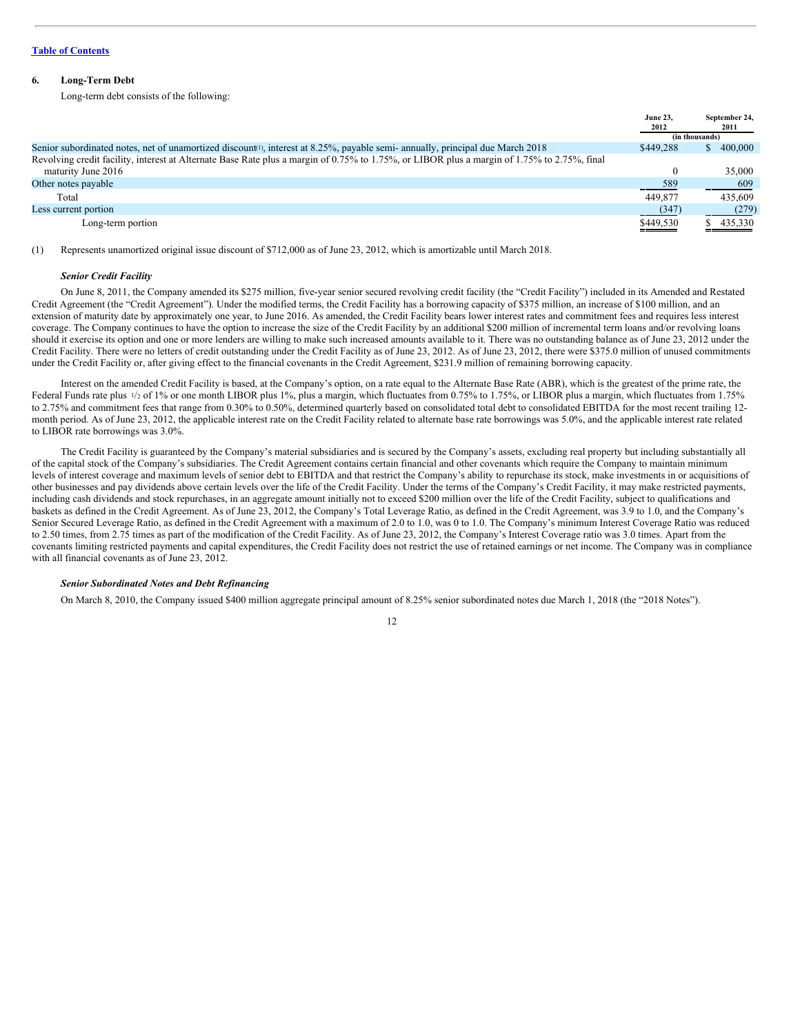## **6. Long-Term Debt**

Long-term debt consists of the following:

|                                                                                                                                            | June 23.<br>2012 | September 24,<br>2011 |
|--------------------------------------------------------------------------------------------------------------------------------------------|------------------|-----------------------|
|                                                                                                                                            |                  | (in thousands)        |
| Senior subordinated notes, net of unamortized discount <sup>1</sup> ), interest at 8.25%, payable semi- annually, principal due March 2018 | \$449.288        | 400,000               |
| Revolving credit facility, interest at Alternate Base Rate plus a margin of 0.75% to 1.75% or LIBOR plus a margin of 1.75% to 2.75%, final |                  |                       |
| maturity June 2016                                                                                                                         | 0                | 35,000                |
| Other notes payable                                                                                                                        | 589              | 609                   |
| Total                                                                                                                                      | 449,877          | 435,609               |
| Less current portion                                                                                                                       | (347)            | (279)                 |
| Long-term portion                                                                                                                          | \$449,530        | 435,330               |

(1) Represents unamortized original issue discount of \$712,000 as of June 23, 2012, which is amortizable until March 2018.

#### *Senior Credit Facility*

On June 8, 2011, the Company amended its \$275 million, five-year senior secured revolving credit facility (the "Credit Facility") included in its Amended and Restated Credit Agreement (the "Credit Agreement"). Under the modified terms, the Credit Facility has a borrowing capacity of \$375 million, an increase of \$100 million, and an extension of maturity date by approximately one year, to June 2016. As amended, the Credit Facility bears lower interest rates and commitment fees and requires less interest coverage. The Company continues to have the option to increase the size of the Credit Facility by an additional \$200 million of incremental term loans and/or revolving loans should it exercise its option and one or more lenders are willing to make such increased amounts available to it. There was no outstanding balance as of June 23, 2012 under the Credit Facility. There were no letters of credit outstanding under the Credit Facility as of June 23, 2012. As of June 23, 2012, there were \$375.0 million of unused commitments under the Credit Facility or, after giving effect to the financial covenants in the Credit Agreement, \$231.9 million of remaining borrowing capacity.

Interest on the amended Credit Facility is based, at the Company's option, on a rate equal to the Alternate Base Rate (ABR), which is the greatest of the prime rate, the Federal Funds rate plus  $\frac{1}{2}$  of 1% or one month LIBOR plus 1%, plus a margin, which fluctuates from 0.75% to 1.75%, or LIBOR plus a margin, which fluctuates from 1.75% to 2.75% and commitment fees that range from 0.30% to 0.50%, determined quarterly based on consolidated total debt to consolidated EBITDA for the most recent trailing 12month period. As of June 23, 2012, the applicable interest rate on the Credit Facility related to alternate base rate borrowings was 5.0%, and the applicable interest rate related to LIBOR rate borrowings was 3.0%.

The Credit Facility is guaranteed by the Company's material subsidiaries and is secured by the Company's assets, excluding real property but including substantially all of the capital stock of the Company's subsidiaries. The Credit Agreement contains certain financial and other covenants which require the Company to maintain minimum levels of interest coverage and maximum levels of senior debt to EBITDA and that restrict the Company's ability to repurchase its stock, make investments in or acquisitions of other businesses and pay dividends above certain levels over the life of the Credit Facility. Under the terms of the Company's Credit Facility, it may make restricted payments, including cash dividends and stock repurchases, in an aggregate amount initially not to exceed \$200 million over the life of the Credit Facility, subject to qualifications and baskets as defined in the Credit Agreement. As of June 23, 2012, the Company's Total Leverage Ratio, as defined in the Credit Agreement, was 3.9 to 1.0, and the Company's Senior Secured Leverage Ratio, as defined in the Credit Agreement with a maximum of 2.0 to 1.0, was 0 to 1.0. The Company's minimum Interest Coverage Ratio was reduced to 2.50 times, from 2.75 times as part of the modification of the Credit Facility. As of June 23, 2012, the Company's Interest Coverage ratio was 3.0 times. Apart from the covenants limiting restricted payments and capital expenditures, the Credit Facility does not restrict the use of retained earnings or net income. The Company was in compliance with all financial covenants as of June 23, 2012.

#### *Senior Subordinated Notes and Debt Refinancing*

On March 8, 2010, the Company issued \$400 million aggregate principal amount of 8.25% senior subordinated notes due March 1, 2018 (the "2018 Notes").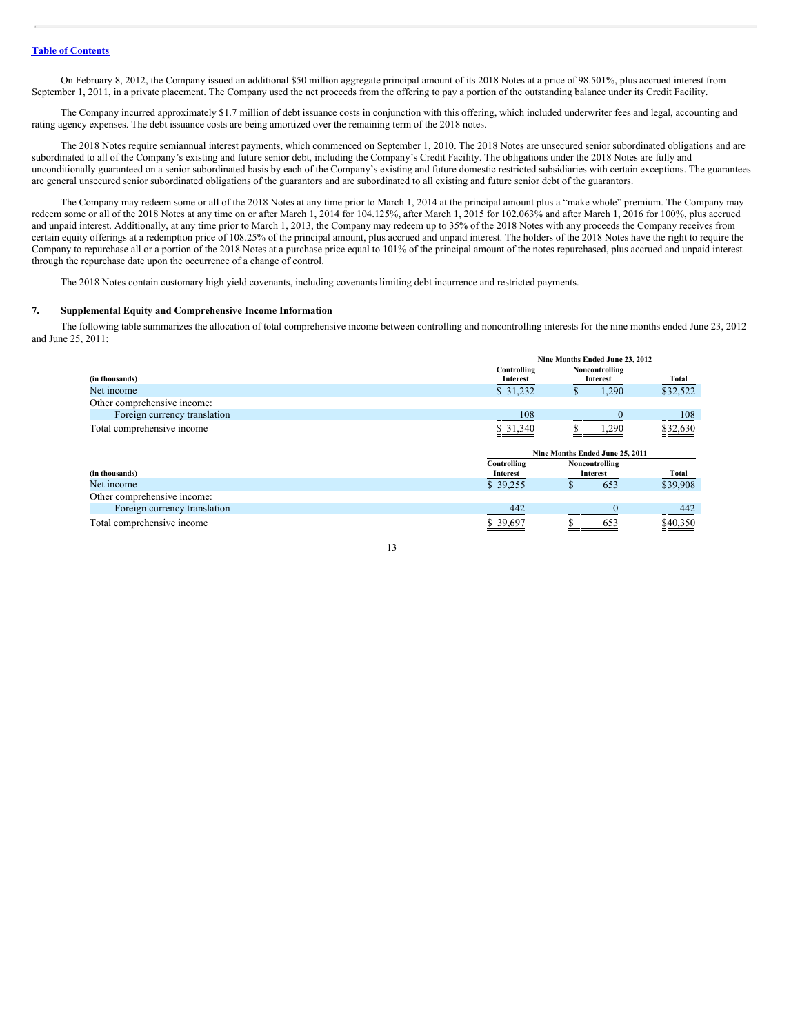On February 8, 2012, the Company issued an additional \$50 million aggregate principal amount of its 2018 Notes at a price of 98.501%, plus accrued interest from September 1, 2011, in a private placement. The Company used the net proceeds from the offering to pay a portion of the outstanding balance under its Credit Facility.

The Company incurred approximately \$1.7 million of debt issuance costs in conjunction with this offering, which included underwriter fees and legal, accounting and rating agency expenses. The debt issuance costs are being amortized over the remaining term of the 2018 notes.

The 2018 Notes require semiannual interest payments, which commenced on September 1, 2010. The 2018 Notes are unsecured senior subordinated obligations and are subordinated to all of the Company's existing and future senior debt, including the Company's Credit Facility. The obligations under the 2018 Notes are fully and unconditionally guaranteed on a senior subordinated basis by each of the Company's existing and future domestic restricted subsidiaries with certain exceptions. The guarantees are general unsecured senior subordinated obligations of the guarantors and are subordinated to all existing and future senior debt of the guarantors.

The Company may redeem some or all of the 2018 Notes at any time prior to March 1, 2014 at the principal amount plus a "make whole" premium. The Company may redeem some or all of the 2018 Notes at any time on or after March 1, 2014 for 104.125%, after March 1, 2015 for 102.063% and after March 1, 2016 for 100%, plus accrued and unpaid interest. Additionally, at any time prior to March 1, 2013, the Company may redeem up to 35% of the 2018 Notes with any proceeds the Company receives from certain equity offerings at a redemption price of 108.25% of the principal amount, plus accrued and unpaid interest. The holders of the 2018 Notes have the right to require the Company to repurchase all or a portion of the 2018 Notes at a purchase price equal to 101% of the principal amount of the notes repurchased, plus accrued and unpaid interest through the repurchase date upon the occurrence of a change of control.

The 2018 Notes contain customary high yield covenants, including covenants limiting debt incurrence and restricted payments.

#### **7. Supplemental Equity and Comprehensive Income Information**

The following table summarizes the allocation of total comprehensive income between controlling and noncontrolling interests for the nine months ended June 23, 2012 and June 25, 2011:

|                              |                         |                                 | Nine Months Ended June 23, 2012 |          |  |  |
|------------------------------|-------------------------|---------------------------------|---------------------------------|----------|--|--|
| (in thousands)               | Controlling<br>Interest | Noncontrolling<br>Interest      | Total                           |          |  |  |
| Net income                   | \$31,232                | Ф                               | 1,290                           | \$32,522 |  |  |
| Other comprehensive income:  |                         |                                 |                                 |          |  |  |
| Foreign currency translation | 108                     |                                 |                                 | 108      |  |  |
| Total comprehensive income   | \$ 31,340               |                                 | 1,290                           | \$32,630 |  |  |
|                              |                         | Nine Months Ended June 25, 2011 |                                 |          |  |  |
|                              | Controlling             |                                 | Noncontrolling                  |          |  |  |
| (in thousands)               | Interest                |                                 | Interest                        | Total    |  |  |
| Net income                   | \$39,255                |                                 | 653                             | \$39,908 |  |  |
| Other comprehensive income:  |                         |                                 |                                 |          |  |  |
| Foreign currency translation | 442                     |                                 |                                 | 442      |  |  |
| Total comprehensive income   | \$39,697                |                                 | 653                             | \$40,350 |  |  |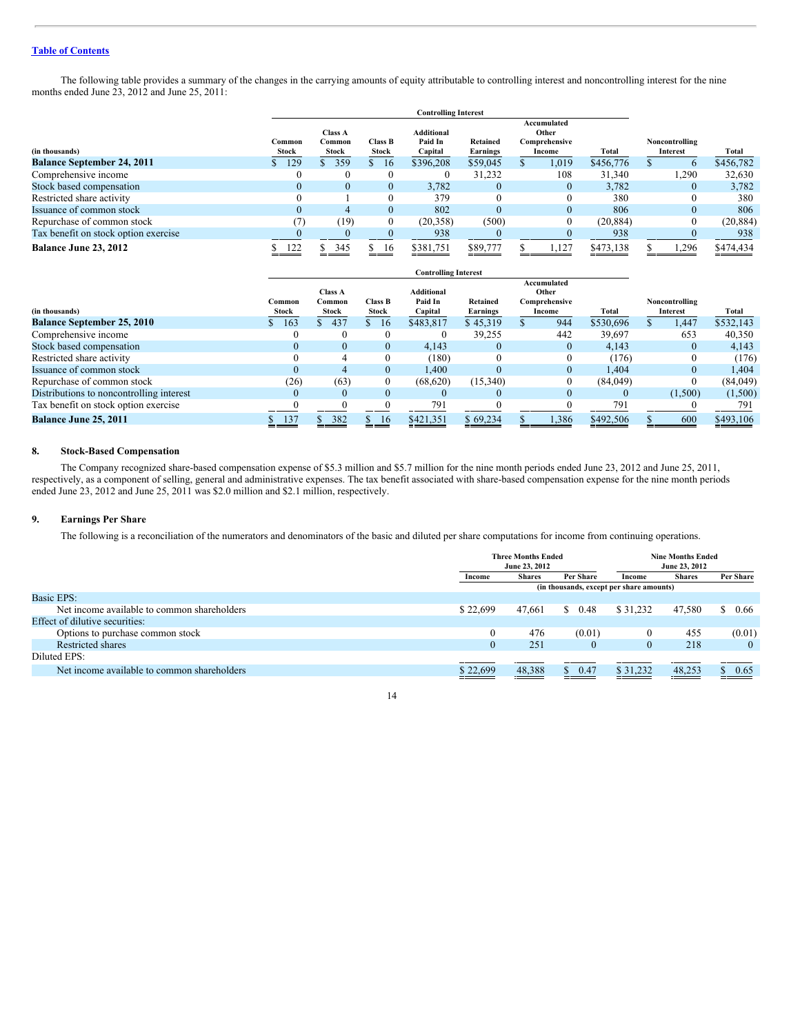## **Table of [Contents](#page-1-0)**

The following table provides a summary of the changes in the carrying amounts of equity attributable to controlling interest and noncontrolling interest for the nine months ended June 23, 2012 and June 25, 2011:

| <b>Controlling Interest</b>          |                 |                                   |          |                                                                    |          |                                                        |          |                        |  |                            |           |
|--------------------------------------|-----------------|-----------------------------------|----------|--------------------------------------------------------------------|----------|--------------------------------------------------------|----------|------------------------|--|----------------------------|-----------|
| (in thousands)                       | Common<br>Stock | <b>Class A</b><br>Common<br>Stock |          | <b>Additional</b><br>Paid In<br>Class B<br><b>Stock</b><br>Capital |          | Accumulated<br>Other<br>Retained<br>Earnings<br>Income |          | Comprehensive<br>Total |  | Noncontrolling<br>Interest | Total     |
| <b>Balance September 24, 2011</b>    | 129             | 359                               | 16       | \$396,208                                                          | \$59,045 |                                                        | 1,019    | \$456,776              |  | $\mathbf b$                | \$456,782 |
| Comprehensive income                 |                 | $\left($                          |          | $\bf{0}$                                                           | 31,232   |                                                        | 108      | 31,340                 |  | .290                       | 32,630    |
| Stock based compensation             | $\cup$          | $\theta$                          | $\theta$ | 3.782                                                              | $\Omega$ |                                                        | $\Omega$ | 3.782                  |  | $\overline{0}$             | 3,782     |
| Restricted share activity            |                 |                                   |          | 379                                                                | 0        |                                                        | $\Omega$ | 380                    |  |                            | 380       |
| Issuance of common stock             | $\mathbf{0}$    | 4                                 | $\Omega$ | 802                                                                | $\Omega$ |                                                        | $\Omega$ | 806                    |  | $\theta$                   | 806       |
| Repurchase of common stock           | 7               | (19)                              | $\Omega$ | (20.358)                                                           | (500)    |                                                        | $\Omega$ | (20, 884)              |  |                            | (20, 884) |
| Tax benefit on stock option exercise |                 |                                   |          | 938                                                                |          |                                                        |          | 938                    |  |                            | 938       |
| Balance June 23, 2012                | 122             | 345                               | -16      | \$381,751                                                          | \$89,777 |                                                        | .127     | \$473,138              |  | .296                       | \$474,434 |

|                                          | <b>Controlling Interest</b> |                                   |                         |                              |                             |  |                                       |           |                            |           |
|------------------------------------------|-----------------------------|-----------------------------------|-------------------------|------------------------------|-----------------------------|--|---------------------------------------|-----------|----------------------------|-----------|
| (in thousands)                           | Common<br>Stock             | <b>Class A</b><br>Common<br>Stock | <b>Class B</b><br>Stock | <b>Additional</b><br>Paid In | Retained                    |  | Accumulated<br>Other<br>Comprehensive | Total     | Noncontrolling<br>Interest | Total     |
| <b>Balance September 25, 2010</b>        | 163                         | 437                               | 16                      | Capital<br>\$483.817         | <b>Earnings</b><br>\$45,319 |  | Income<br>944                         | \$530,696 | 1,447                      | \$532,143 |
| Comprehensive income                     |                             |                                   |                         |                              | 39,255                      |  | 442                                   | 39.697    | 653                        | 40,350    |
| Stock based compensation                 |                             | $\Omega$                          | $\theta$                | 4,143                        | 0                           |  | $\Omega$                              | 4,143     | $\mathbf{0}$               | 4,143     |
| Restricted share activity                |                             |                                   |                         | (180)                        |                             |  | 0                                     | (176)     |                            | (176)     |
| Issuance of common stock                 |                             |                                   | $\Omega$                | 1.400                        | $\Omega$                    |  | $\Omega$                              | 1.404     | 0                          | 1.404     |
| Repurchase of common stock               | (26)                        | (63)                              | $\mathbf{0}$            | (68, 620)                    | (15,340)                    |  |                                       | (84,049)  |                            | (84,049)  |
| Distributions to noncontrolling interest |                             | $\Omega$                          | $\Omega$                | $\theta$                     |                             |  |                                       |           | (1,500)                    | (1,500)   |
| Tax benefit on stock option exercise     |                             |                                   |                         | 791                          |                             |  |                                       | 791       |                            | 791       |
| Balance June 25, 2011                    | 137                         | 382                               | 16                      | \$421,351                    | \$69,234                    |  | 1,386                                 | \$492,506 | 600                        | \$493,106 |

## **8. Stock-Based Compensation**

The Company recognized share-based compensation expense of \$5.3 million and \$5.7 million for the nine month periods ended June 23, 2012 and June 25, 2011, respectively, as a component of selling, general and administrative expenses. The tax benefit associated with share-based compensation expense for the nine month periods ended June 23, 2012 and June 25, 2011 was \$2.0 million and \$2.1 million, respectively.

## **9. Earnings Per Share**

The following is a reconciliation of the numerators and denominators of the basic and diluted per share computations for income from continuing operations.

|                                             |          | <b>Three Months Ended</b><br>June 23, 2012 |                                          |          | <b>Nine Months Ended</b><br>June 23, 2012 |            |  |
|---------------------------------------------|----------|--------------------------------------------|------------------------------------------|----------|-------------------------------------------|------------|--|
|                                             | Income   | <b>Shares</b>                              | Per Share                                | Income   | <b>Shares</b>                             | Per Share  |  |
|                                             |          |                                            | (in thousands, except per share amounts) |          |                                           |            |  |
| <b>Basic EPS:</b>                           |          |                                            |                                          |          |                                           |            |  |
| Net income available to common shareholders | \$22,699 | 47.661                                     | 0.48<br>S.                               | \$31,232 | 47.580                                    | 0.66<br>S. |  |
| Effect of dilutive securities:              |          |                                            |                                          |          |                                           |            |  |
| Options to purchase common stock            | $\theta$ | 476                                        | (0.01)                                   | $\theta$ | 455                                       | (0.01)     |  |
| Restricted shares                           | 0        | 251                                        | $\theta$                                 | $\Omega$ | 218                                       | $\theta$   |  |
| Diluted EPS:                                |          |                                            |                                          |          |                                           |            |  |
| Net income available to common shareholders | \$22,699 | 48,388                                     | 0.47<br>D.                               | \$31,232 | 48,253                                    | 0.65       |  |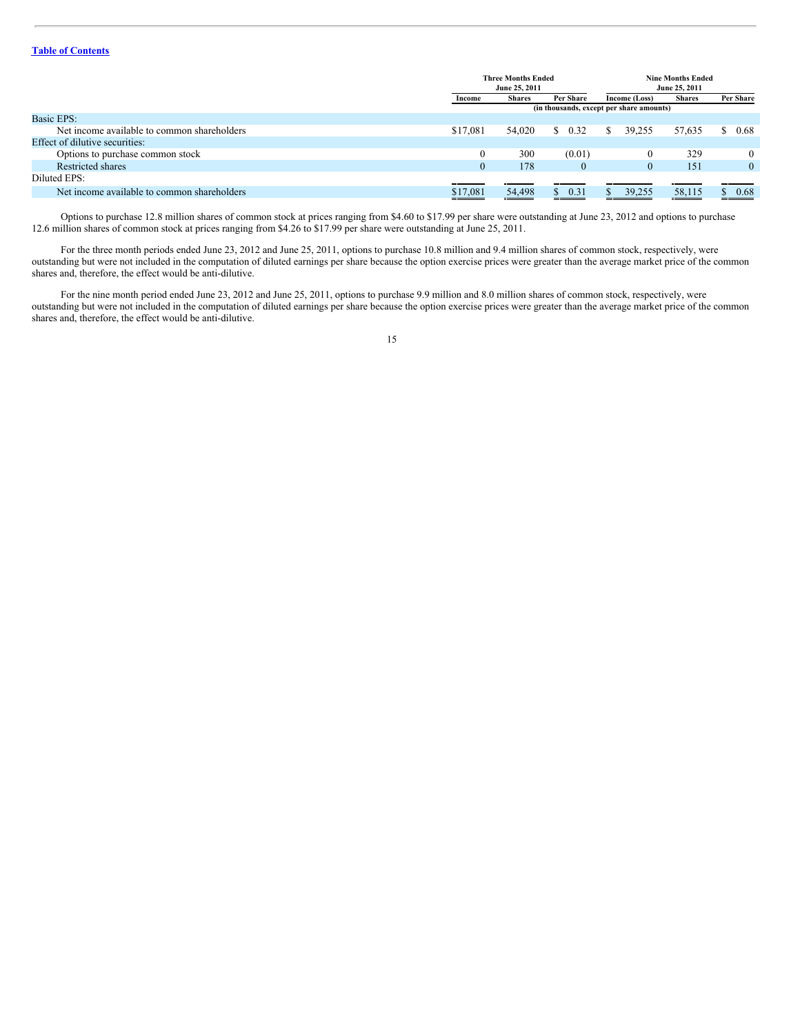## **Table of [Contents](#page-1-0)**

|                                             |              | <b>Three Months Ended</b><br>June 25, 2011 |            | <b>Nine Months Ended</b><br>June 25, 2011 |               |              |  |
|---------------------------------------------|--------------|--------------------------------------------|------------|-------------------------------------------|---------------|--------------|--|
|                                             | Income       | <b>Shares</b>                              | Per Share  | Income (Loss)                             | <b>Shares</b> | Per Share    |  |
|                                             |              | (in thousands, except per share amounts)   |            |                                           |               |              |  |
| <b>Basic EPS:</b>                           |              |                                            |            |                                           |               |              |  |
| Net income available to common shareholders | \$17,081     | 54,020                                     | \$0.32     | 39.255<br>-S                              | 57.635        | 0.68         |  |
| Effect of dilutive securities:              |              |                                            |            |                                           |               |              |  |
| Options to purchase common stock            | $\mathbf{0}$ | 300                                        | (0.01)     |                                           | 329           | $\Omega$     |  |
| Restricted shares                           | $\mathbf{0}$ | 178                                        | $\theta$   | $\Omega$                                  | 151           | $\mathbf{0}$ |  |
| Diluted EPS:                                |              |                                            |            |                                           |               |              |  |
| Net income available to common shareholders | \$17,081     | 54,498                                     | 0.31<br>D. | 39,255                                    | 58,115        | 0.68         |  |

Options to purchase 12.8 million shares of common stock at prices ranging from \$4.60 to \$17.99 per share were outstanding at June 23, 2012 and options to purchase 12.6 million shares of common stock at prices ranging from \$4.26 to \$17.99 per share were outstanding at June 25, 2011.

For the three month periods ended June 23, 2012 and June 25, 2011, options to purchase 10.8 million and 9.4 million shares of common stock, respectively, were outstanding but were not included in the computation of diluted earnings per share because the option exercise prices were greater than the average market price of the common shares and, therefore, the effect would be anti-dilutive.

For the nine month period ended June 23, 2012 and June 25, 2011, options to purchase 9.9 million and 8.0 million shares of common stock, respectively, were outstanding but were not included in the computation of diluted earnings per share because the option exercise prices were greater than the average market price of the common shares and, therefore, the effect would be anti-dilutive.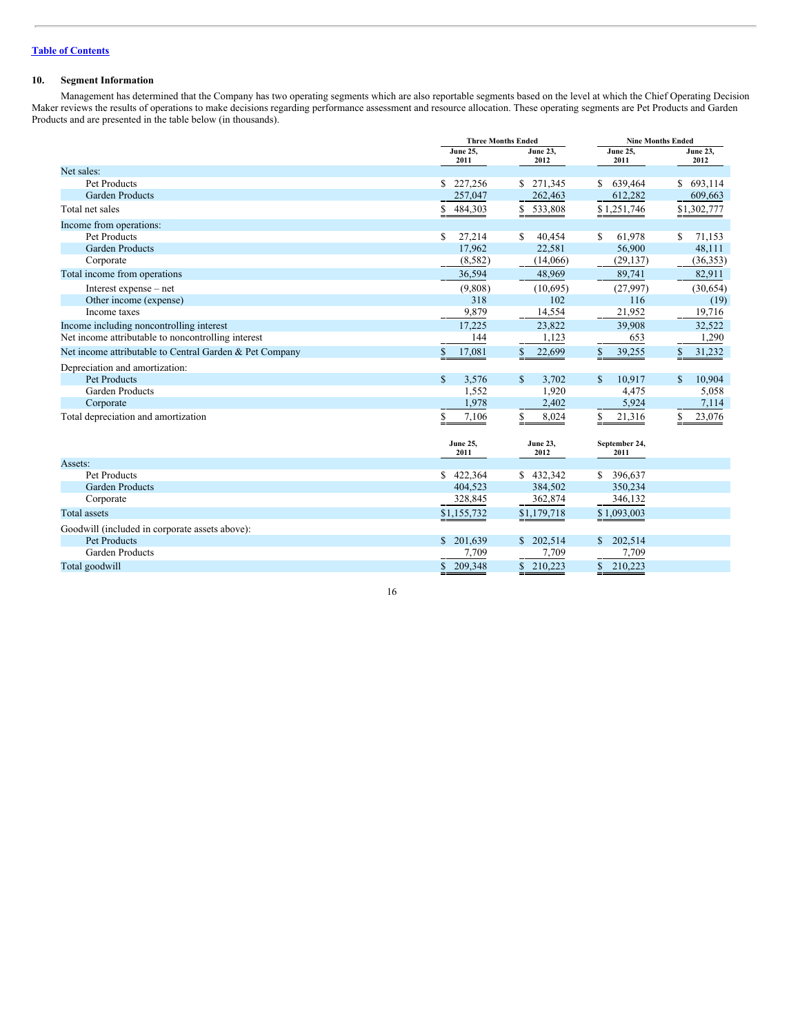## **10. Segment Information**

Management has determined that the Company has two operating segments which are also reportable segments based on the level at which the Chief Operating Decision Maker reviews the results of operations to make decisions regarding performance assessment and resource allocation. These operating segments are Pet Products and Garden Products and are presented in the table below (in thousands).

| <b>June 25,</b><br><b>June 25,</b><br><b>June 23,</b><br><b>June 23,</b><br>2011<br>2012<br>2011<br>2012<br>Net sales: |       |
|------------------------------------------------------------------------------------------------------------------------|-------|
|                                                                                                                        |       |
|                                                                                                                        |       |
| Pet Products<br>227,256<br>693,114<br>\$271,345<br>639,464<br>$\mathbb{S}$<br>S.<br>S.                                 |       |
| <b>Garden Products</b><br>257,047<br>262,463<br>612,282<br>609,663                                                     |       |
| Total net sales<br>533,808<br>\$1,251,746<br>\$1,302,777<br>\$<br>484,303                                              |       |
| Income from operations:                                                                                                |       |
| Pet Products<br>27,214<br>61.978<br>S<br>S<br>40.454<br>S.<br>71,153<br>S                                              |       |
| <b>Garden Products</b><br>17,962<br>22,581<br>56,900<br>48,111                                                         |       |
| Corporate<br>(8, 582)<br>(29, 137)<br>(36, 353)<br>(14,066)                                                            |       |
| Total income from operations<br>36,594<br>48,969<br>89,741<br>82,911                                                   |       |
| Interest expense – net<br>(9,808)<br>(10,695)<br>(27,997)<br>(30,654)                                                  |       |
| Other income (expense)<br>318<br>102<br>116                                                                            | (19)  |
| Income taxes<br>9,879<br>14,554<br>21,952<br>19,716                                                                    |       |
| 17,225<br>23,822<br>39,908<br>32,522<br>Income including noncontrolling interest                                       |       |
| Net income attributable to noncontrolling interest<br>1,123<br>653<br>144                                              | 1,290 |
| Net income attributable to Central Garden & Pet Company<br>\$<br>17,081<br>S<br>22,699<br>\$<br>39,255<br>\$<br>31,232 |       |
| Depreciation and amortization:                                                                                         |       |
| $\mathbb{S}$<br>Pet Products<br>3,576<br>S<br>10,917<br>10,904<br>3,702<br>S<br>S                                      |       |
| <b>Garden Products</b><br>1,552<br>1,920<br>4,475                                                                      | 5,058 |
| 1,978<br>2,402<br>5,924<br>Corporate                                                                                   | 7,114 |
| Total depreciation and amortization<br>7,106<br>8,024<br>\$<br>21,316<br>S<br>23,076<br>\$<br>S                        |       |
| <b>June 23,</b><br><b>June 25,</b><br>September 24,                                                                    |       |
| 2011<br>2012<br>2011<br>Assets:                                                                                        |       |
| Pet Products<br>\$422,364<br>\$432,342<br>396,637<br>S.                                                                |       |
| <b>Garden Products</b><br>404,523<br>384,502<br>350,234                                                                |       |
| 328,845<br>Corporate<br>362,874<br>346,132                                                                             |       |
| \$1,093,003<br><b>Total</b> assets<br>\$1,155,732<br>\$1,179,718                                                       |       |
| Goodwill (included in corporate assets above):                                                                         |       |
| Pet Products<br>202,514<br>202,514<br>\$201.639<br>\$                                                                  |       |
| <b>Garden Products</b><br>7,709<br>7,709<br>7,709                                                                      |       |
| \$210,223<br>\$209,348<br>\$210,223<br>Total goodwill                                                                  |       |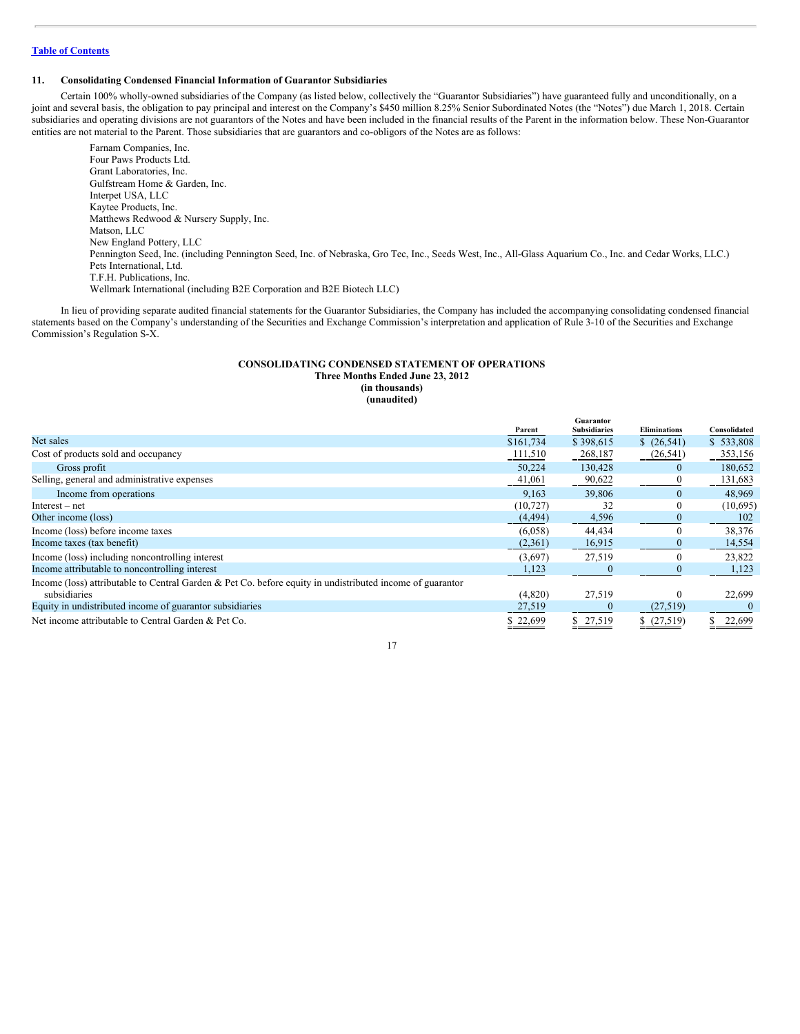## **Table of [Contents](#page-1-0)**

#### **11. Consolidating Condensed Financial Information of Guarantor Subsidiaries**

Certain 100% wholly-owned subsidiaries of the Company (as listed below, collectively the "Guarantor Subsidiaries") have guaranteed fully and unconditionally, on a joint and several basis, the obligation to pay principal and interest on the Company's \$450 million 8.25% Senior Subordinated Notes (the "Notes") due March 1, 2018. Certain subsidiaries and operating divisions are not guarantors of the Notes and have been included in the financial results of the Parent in the information below. These Non-Guarantor entities are not material to the Parent. Those subsidiaries that are guarantors and co-obligors of the Notes are as follows:

Farnam Companies, Inc. Four Paws Products Ltd. Grant Laboratories, Inc. Gulfstream Home & Garden, Inc. Interpet USA, LLC Kaytee Products, Inc. Matthews Redwood & Nursery Supply, Inc. Matson, LLC New England Pottery, LLC Pennington Seed, Inc. (including Pennington Seed, Inc. of Nebraska, Gro Tec, Inc., Seeds West, Inc., All-Glass Aquarium Co., Inc. and Cedar Works, LLC.) Pets International, Ltd. T.F.H. Publications, Inc. Wellmark International (including B2E Corporation and B2E Biotech LLC)

In lieu of providing separate audited financial statements for the Guarantor Subsidiaries, the Company has included the accompanying consolidating condensed financial statements based on the Company's understanding of the Securities and Exchange Commission's interpretation and application of Rule 3-10 of the Securities and Exchange Commission's Regulation S-X.

## **CONSOLIDATING CONDENSED STATEMENT OF OPERATIONS Three Months Ended June 23, 2012 (in thousands) (unaudited)**

|                                                                                                           |           | Guarantor           |                     |              |
|-----------------------------------------------------------------------------------------------------------|-----------|---------------------|---------------------|--------------|
|                                                                                                           | Parent    | <b>Subsidiaries</b> | <b>Eliminations</b> | Consolidated |
| Net sales                                                                                                 | \$161,734 | \$398,615           | \$(26,541)          | \$533,808    |
| Cost of products sold and occupancy                                                                       | 111,510   | 268,187             | (26, 541)           | 353,156      |
| Gross profit                                                                                              | 50,224    | 130,428             | $\theta$            | 180,652      |
| Selling, general and administrative expenses                                                              | 41,061    | 90,622              |                     | 131,683      |
| Income from operations                                                                                    | 9.163     | 39,806              | $\Omega$            | 48,969       |
| $Interest - net$                                                                                          | (10, 727) | 32                  | $\theta$            | (10,695)     |
| Other income (loss)                                                                                       | (4, 494)  | 4,596               | $\Omega$            | 102          |
| Income (loss) before income taxes                                                                         | (6,058)   | 44,434              |                     | 38,376       |
| Income taxes (tax benefit)                                                                                | (2,361)   | 16,915              |                     | 14,554       |
| Income (loss) including noncontrolling interest                                                           | (3,697)   | 27,519              |                     | 23,822       |
| Income attributable to noncontrolling interest                                                            | 1,123     |                     |                     | 1,123        |
| Income (loss) attributable to Central Garden & Pet Co. before equity in undistributed income of guarantor |           |                     |                     |              |
| subsidiaries                                                                                              | (4,820)   | 27,519              |                     | 22,699       |
| Equity in undistributed income of guarantor subsidiaries                                                  | 27,519    | $\theta$            | (27, 519)           |              |
| Net income attributable to Central Garden & Pet Co.                                                       | \$22,699  | \$27,519            | \$(27,519)          | 22,699       |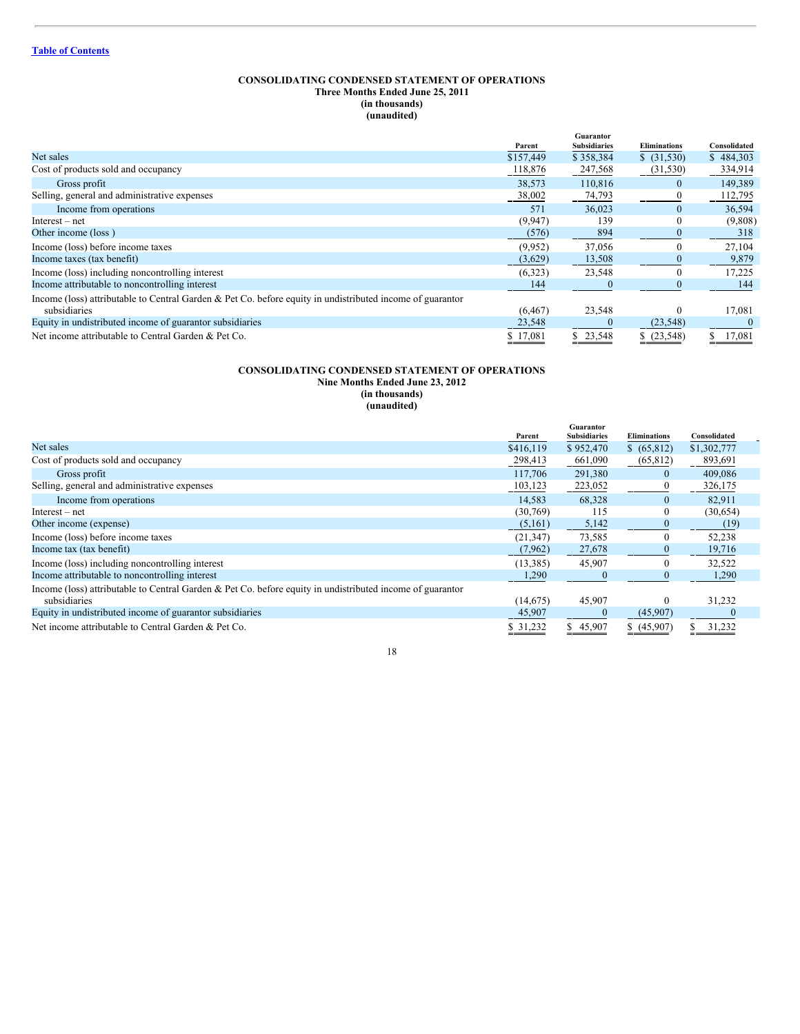## **CONSOLIDATING CONDENSED STATEMENT OF OPERATIONS Three Months Ended June 25, 2011 (in thousands) (unaudited)**

|                                                                                                           | Parent    | Guarantor<br><b>Subsidiaries</b> | <b>Eliminations</b> | Consolidated |
|-----------------------------------------------------------------------------------------------------------|-----------|----------------------------------|---------------------|--------------|
| Net sales                                                                                                 | \$157,449 | \$358,384                        | \$ (31,530)         | \$484,303    |
| Cost of products sold and occupancy                                                                       | 118,876   | 247,568                          | (31, 530)           | 334,914      |
| Gross profit                                                                                              | 38,573    | 110,816                          | $\Omega$            | 149,389      |
| Selling, general and administrative expenses                                                              | 38,002    | 74,793                           |                     | 112,795      |
| Income from operations                                                                                    | 571       | 36,023                           | $\Omega$            | 36,594       |
| $Interest - net$                                                                                          | (9, 947)  | 139                              | $\theta$            | (9,808)      |
| Other income (loss)                                                                                       | (576)     | 894                              | $\mathbf{0}$        | 318          |
| Income (loss) before income taxes                                                                         | (9,952)   | 37,056                           |                     | 27,104       |
| Income taxes (tax benefit)                                                                                | (3,629)   | 13,508                           | 0                   | 9,879        |
| Income (loss) including noncontrolling interest                                                           | (6,323)   | 23,548                           | 0                   | 17,225       |
| Income attributable to noncontrolling interest                                                            | 144       | $\Omega$                         | $\theta$            | 144          |
| Income (loss) attributable to Central Garden & Pet Co. before equity in undistributed income of guarantor |           |                                  |                     |              |
| subsidiaries                                                                                              | (6, 467)  | 23,548                           | 0                   | 17,081       |
| Equity in undistributed income of guarantor subsidiaries                                                  | 23,548    |                                  | (23, 548)           |              |
| Net income attributable to Central Garden & Pet Co.                                                       | \$17,081  | \$23,548                         | \$ (23,548)         | 17,081       |

## **CONSOLIDATING CONDENSED STATEMENT OF OPERATIONS Nine Months Ended June 23, 2012 (in thousands) (unaudited)**

|                                                                                                           |           | Guarantor           |                     |              |  |
|-----------------------------------------------------------------------------------------------------------|-----------|---------------------|---------------------|--------------|--|
|                                                                                                           | Parent    | <b>Subsidiaries</b> | <b>Eliminations</b> | Consolidated |  |
| Net sales                                                                                                 | \$416,119 | \$952,470           | \$ (65,812)         | \$1,302,777  |  |
| Cost of products sold and occupancy                                                                       | 298,413   | 661,090             | (65,812)            | 893,691      |  |
| Gross profit                                                                                              | 117,706   | 291,380             | $\theta$            | 409,086      |  |
| Selling, general and administrative expenses                                                              | 103,123   | 223,052             | $\theta$            | 326,175      |  |
| Income from operations                                                                                    | 14.583    | 68,328              | $\theta$            | 82,911       |  |
| $Interest - net$                                                                                          | (30,769)  | 115                 |                     | (30,654)     |  |
| Other income (expense)                                                                                    | (5,161)   | 5,142               |                     | (19)         |  |
| Income (loss) before income taxes                                                                         | (21, 347) | 73,585              | $\theta$            | 52,238       |  |
| Income tax (tax benefit)                                                                                  | (7, 962)  | 27,678              |                     | 19,716       |  |
| Income (loss) including noncontrolling interest                                                           | (13, 385) | 45,907              |                     | 32,522       |  |
| Income attributable to noncontrolling interest                                                            | 1,290     |                     |                     | 1,290        |  |
| Income (loss) attributable to Central Garden & Pet Co. before equity in undistributed income of guarantor |           |                     |                     |              |  |
| subsidiaries                                                                                              | (14,675)  | 45.907              | $\theta$            | 31,232       |  |
| Equity in undistributed income of guarantor subsidiaries                                                  | 45,907    |                     | (45,907)            |              |  |
| Net income attributable to Central Garden & Pet Co.                                                       | \$ 31,232 | \$45,907            | \$(45,907)          | 31,232       |  |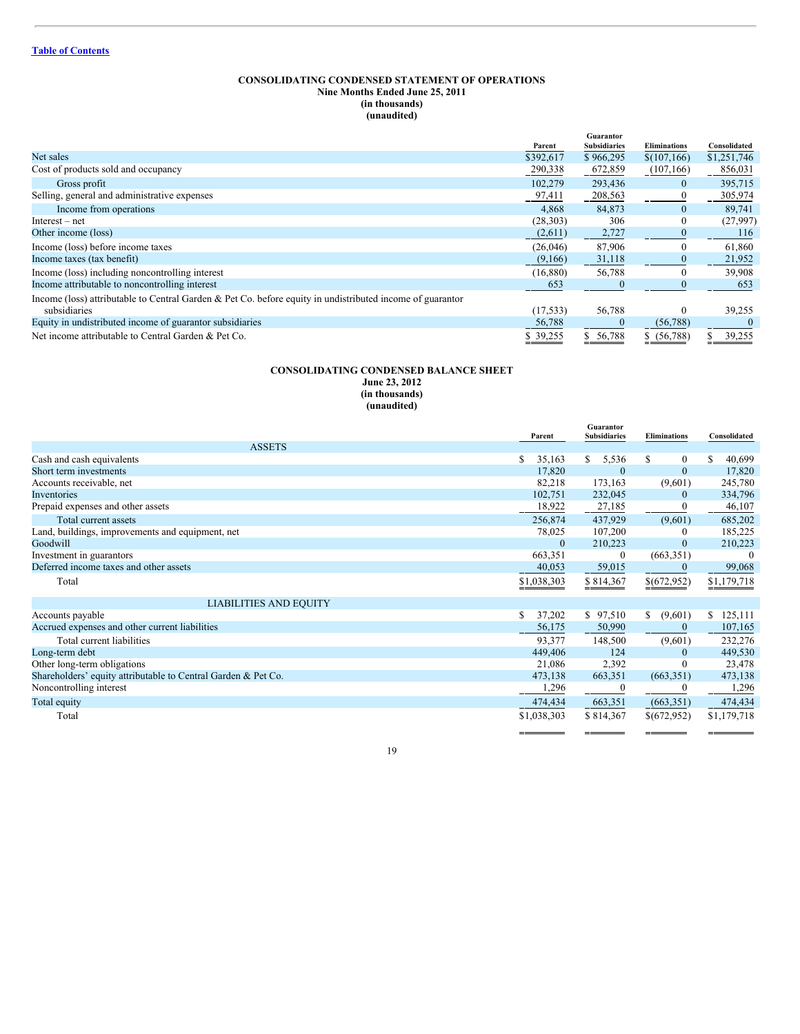#### **CONSOLIDATING CONDENSED STATEMENT OF OPERATIONS Nine Months Ended June 25, 2011 (in thousands) (unaudited)**

|                                                                                                           | Parent    | Guarantor<br><b>Subsidiaries</b> | <b>Eliminations</b> | Consolidated |
|-----------------------------------------------------------------------------------------------------------|-----------|----------------------------------|---------------------|--------------|
| Net sales                                                                                                 | \$392,617 | \$966,295                        | \$(107, 166)        | \$1,251,746  |
| Cost of products sold and occupancy                                                                       | 290,338   | 672,859                          | (107, 166)          | 856,031      |
| Gross profit                                                                                              | 102,279   | 293,436                          | $\mathbf{0}$        | 395,715      |
| Selling, general and administrative expenses                                                              | 97,411    | 208,563                          |                     | 305,974      |
| Income from operations                                                                                    | 4,868     | 84,873                           | $\mathbf{0}$        | 89,741       |
| $Interest - net$                                                                                          | (28, 303) | 306                              | $\theta$            | (27,997)     |
| Other income (loss)                                                                                       | (2,611)   | 2,727                            | $\bf{0}$            | 116          |
| Income (loss) before income taxes                                                                         | (26,046)  | 87,906                           | $\Omega$            | 61,860       |
| Income taxes (tax benefit)                                                                                | (9,166)   | 31,118                           | $\Omega$            | 21,952       |
| Income (loss) including noncontrolling interest                                                           | (16,880)  | 56,788                           | $\theta$            | 39,908       |
| Income attributable to noncontrolling interest                                                            | 653       | $\theta$                         | $\Omega$            | 653          |
| Income (loss) attributable to Central Garden & Pet Co. before equity in undistributed income of guarantor |           |                                  |                     |              |
| subsidiaries                                                                                              | (17, 533) | 56,788                           | $\theta$            | 39,255       |
| Equity in undistributed income of guarantor subsidiaries                                                  | 56,788    | $\theta$                         | (56, 788)           |              |
| Net income attributable to Central Garden & Pet Co.                                                       | \$39,255  | 56,788                           | \$ (56,788)         | 39,255       |

## **CONSOLIDATING CONDENSED BALANCE SHEET June 23, 2012 (in thousands) (unaudited)**

|                                                               | Parent       | Guarantor<br><b>Subsidiaries</b> | <b>Eliminations</b> | Consolidated  |
|---------------------------------------------------------------|--------------|----------------------------------|---------------------|---------------|
| <b>ASSETS</b>                                                 |              |                                  |                     |               |
| Cash and cash equivalents                                     | 35,163<br>S  | \$<br>5,536                      | \$<br>$\mathbf{0}$  | 40,699        |
| Short term investments                                        | 17,820       | $\mathbf{0}$                     | $\mathbf{0}$        | 17,820        |
| Accounts receivable, net                                      | 82,218       | 173,163                          | (9,601)             | 245,780       |
| Inventories                                                   | 102,751      | 232,045                          | $\mathbf{0}$        | 334,796       |
| Prepaid expenses and other assets                             | 18,922       | 27,185                           |                     | 46,107        |
| Total current assets                                          | 256,874      | 437,929                          | (9,601)             | 685,202       |
| Land, buildings, improvements and equipment, net              | 78,025       | 107,200                          | $\theta$            | 185,225       |
| Goodwill                                                      | $\mathbf{0}$ | 210,223                          | $\mathbf{0}$        | 210,223       |
| Investment in guarantors                                      | 663,351      | $\mathbf{0}$                     | (663, 351)          | $\Omega$      |
| Deferred income taxes and other assets                        | 40,053       | 59,015                           | $\Omega$            | 99,068        |
| Total                                                         | \$1,038,303  | \$814,367                        | \$(672,952)         | \$1,179,718   |
| <b>LIABILITIES AND EQUITY</b>                                 |              |                                  |                     |               |
| Accounts payable                                              | 37,202<br>S  | \$97,510                         | \$<br>(9,601)       | 125,111<br>S. |
| Accrued expenses and other current liabilities                | 56,175       | 50,990                           | $\theta$            | 107,165       |
| Total current liabilities                                     | 93,377       | 148,500                          | (9,601)             | 232,276       |
| Long-term debt                                                | 449,406      | 124                              | $\theta$            | 449,530       |
| Other long-term obligations                                   | 21,086       | 2,392                            | $\Omega$            | 23,478        |
| Shareholders' equity attributable to Central Garden & Pet Co. | 473,138      | 663,351                          | (663, 351)          | 473,138       |
| Noncontrolling interest                                       | 1,296        |                                  | $\Omega$            | 1,296         |
| Total equity                                                  | 474,434      | 663,351                          | (663, 351)          | 474,434       |
| Total                                                         | \$1,038,303  | \$814,367                        | \$(672,952)         | \$1,179,718   |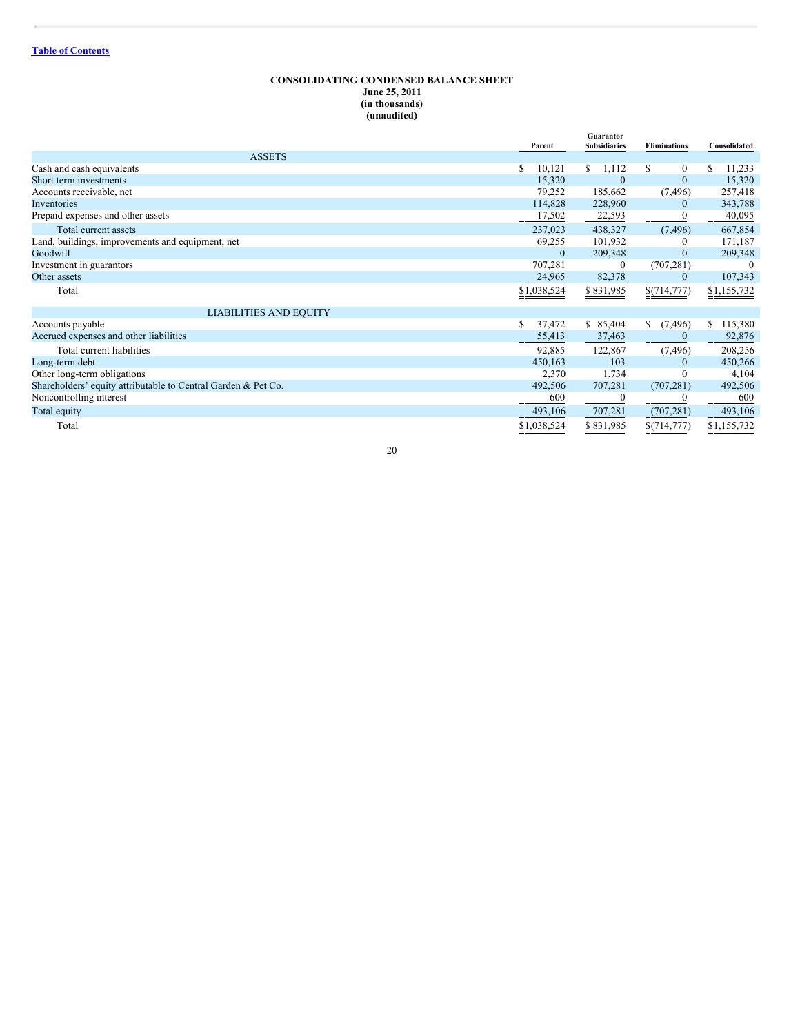## **CONSOLIDATING CONDENSED BALANCE SHEET June 25, 2011 (in thousands) (unaudited)**

|                                                               | Parent      | Guarantor<br><b>Subsidiaries</b> | <b>Eliminations</b> | Consolidated              |
|---------------------------------------------------------------|-------------|----------------------------------|---------------------|---------------------------|
| <b>ASSETS</b>                                                 |             |                                  |                     |                           |
| Cash and cash equivalents                                     | S<br>10,121 | \$<br>1,112                      | \$<br>$\mathbf{0}$  | 11,233                    |
| Short term investments                                        | 15,320      | $\Omega$                         | $\mathbf{0}$        | 15,320                    |
| Accounts receivable, net                                      | 79,252      | 185,662                          | (7, 496)            | 257,418                   |
| Inventories                                                   | 114,828     | 228,960                          | $\mathbf{0}$        | 343,788                   |
| Prepaid expenses and other assets                             | 17,502      | 22,593                           |                     | 40,095                    |
| Total current assets                                          | 237,023     | 438,327                          | (7, 496)            | 667,854                   |
| Land, buildings, improvements and equipment, net              | 69,255      | 101,932                          | $\theta$            | 171,187                   |
| Goodwill                                                      | $\Omega$    | 209,348                          | $\theta$            | 209,348                   |
| Investment in guarantors                                      | 707,281     | $\bf{0}$                         | (707, 281)          | $\Omega$                  |
| Other assets                                                  | 24,965      | 82,378                           | $\bf{0}$            | 107,343                   |
| Total                                                         | \$1,038,524 | \$831,985                        | \$(714,777)         | $\underline{\$1,155,732}$ |
| <b>LIABILITIES AND EQUITY</b>                                 |             |                                  |                     |                           |
| Accounts payable                                              | 37,472<br>S | \$85,404                         | \$<br>(7, 496)      | \$115,380                 |
| Accrued expenses and other liabilities                        | 55,413      | 37,463                           |                     | 92,876                    |
| Total current liabilities                                     | 92,885      | 122,867                          | (7, 496)            | 208,256                   |
| Long-term debt                                                | 450,163     | 103                              | $\theta$            | 450,266                   |
| Other long-term obligations                                   | 2,370       | 1,734                            | $\Omega$            | 4,104                     |
| Shareholders' equity attributable to Central Garden & Pet Co. | 492,506     | 707,281                          | (707, 281)          | 492,506                   |
| Noncontrolling interest                                       | 600         |                                  |                     | 600                       |
| Total equity                                                  | 493,106     | 707,281                          | (707, 281)          | 493,106                   |
| Total                                                         | \$1,038,524 | \$831,985                        | \$(714,777)         | \$1,155,732<br>--         |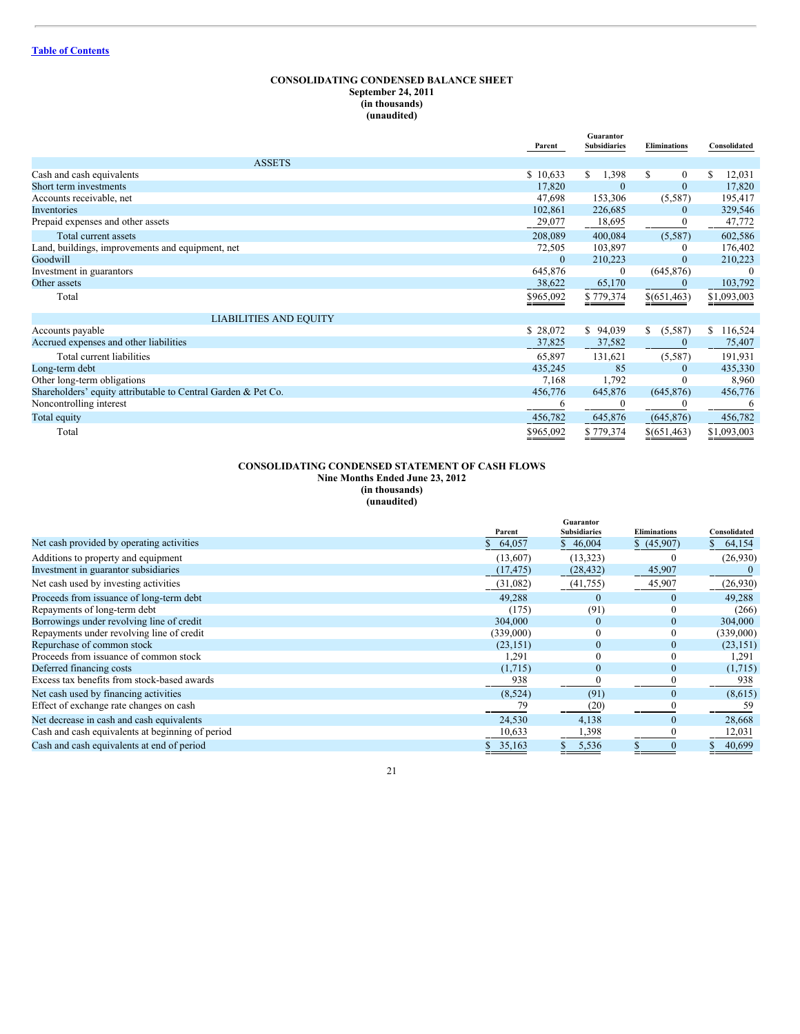## **CONSOLIDATING CONDENSED BALANCE SHEET September 24, 2011 (in thousands) (unaudited)**

|                                                               | Parent       | Guarantor<br><b>Subsidiaries</b> | <b>Eliminations</b> | Consolidated  |
|---------------------------------------------------------------|--------------|----------------------------------|---------------------|---------------|
| <b>ASSETS</b>                                                 |              |                                  |                     |               |
| Cash and cash equivalents                                     | \$10,633     | 1,398<br>\$                      | \$<br>$\mathbf{0}$  | 12,031        |
| Short term investments                                        | 17,820       | $\Omega$                         | $\mathbf{0}$        | 17,820        |
| Accounts receivable, net                                      | 47,698       | 153,306                          | (5,587)             | 195,417       |
| Inventories                                                   | 102,861      | 226,685                          | $\overline{0}$      | 329,546       |
| Prepaid expenses and other assets                             | 29,077       | 18,695                           | $\mathbf{0}$        | 47,772        |
| Total current assets                                          | 208,089      | 400,084                          | (5, 587)            | 602,586       |
| Land, buildings, improvements and equipment, net              | 72,505       | 103,897                          | $\theta$            | 176,402       |
| Goodwill                                                      | $\mathbf{0}$ | 210,223                          | $\mathbf{0}$        | 210,223       |
| Investment in guarantors                                      | 645,876      | $\mathbf{0}$                     | (645, 876)          | $\Omega$      |
| Other assets                                                  | 38,622       | 65,170                           | $\mathbf{0}$        | 103,792       |
| Total                                                         | \$965,092    | \$779,374                        | \$ (651, 463)       | \$1,093,003   |
| <b>LIABILITIES AND EQUITY</b>                                 |              |                                  |                     |               |
| Accounts payable                                              | \$28,072     | \$<br>94,039                     | \$<br>(5,587)       | 116,524<br>S. |
| Accrued expenses and other liabilities                        | 37,825       | 37,582                           | $\mathbf{0}$        | 75,407        |
| Total current liabilities                                     | 65,897       | 131,621                          | (5,587)             | 191,931       |
| Long-term debt                                                | 435,245      | 85                               | $\theta$            | 435,330       |
| Other long-term obligations                                   | 7,168        | 1,792                            |                     | 8,960         |
| Shareholders' equity attributable to Central Garden & Pet Co. | 456,776      | 645,876                          | (645, 876)          | 456,776       |
| Noncontrolling interest                                       | 6            | $\bf{0}$                         |                     | 6             |
| Total equity                                                  | 456,782      | 645,876                          | (645, 876)          | 456,782       |
| Total                                                         | \$965,092    | \$779,374                        | \$(651,463)         | \$1,093,003   |

#### **CONSOLIDATING CONDENSED STATEMENT OF CASH FLOWS Nine Months Ended June 23, 2012 (in thousands) (unaudited)**

|                                                  | Parent    | Guarantor<br><b>Subsidiaries</b> | <b>Eliminations</b> | Consolidated |
|--------------------------------------------------|-----------|----------------------------------|---------------------|--------------|
| Net cash provided by operating activities        | 64,057    | \$46,004                         | \$ (45,907)         | 64,154       |
| Additions to property and equipment              | (13,607)  | (13, 323)                        | $\theta$            | (26,930)     |
| Investment in guarantor subsidiaries             | (17, 475) | (28, 432)                        | 45,907              |              |
| Net cash used by investing activities            | (31,082)  | (41, 755)                        | 45,907              | (26,930)     |
| Proceeds from issuance of long-term debt         | 49.288    | $\bf{0}$                         | $\Omega$            | 49,288       |
| Repayments of long-term debt                     | (175)     | (91)                             | 0                   | (266)        |
| Borrowings under revolving line of credit        | 304,000   | $\mathbf{0}$                     | $\mathbf{0}$        | 304,000      |
| Repayments under revolving line of credit        | (339,000) | $\boldsymbol{0}$                 | $\mathbf{0}$        | (339,000)    |
| Repurchase of common stock                       | (23, 151) | $\mathbf{0}$                     | $\mathbf{0}$        | (23, 151)    |
| Proceeds from issuance of common stock           | 1,291     | $\bf{0}$                         | 0                   | 1,291        |
| Deferred financing costs                         | (1,715)   | $\mathbf{0}$                     | $\mathbf{0}$        | (1,715)      |
| Excess tax benefits from stock-based awards      | 938       |                                  |                     | 938          |
| Net cash used by financing activities            | (8, 524)  | (91)                             | $\mathbf{0}$        | (8,615)      |
| Effect of exchange rate changes on cash          | 79        | (20)                             |                     | 59           |
| Net decrease in cash and cash equivalents        | 24,530    | 4,138                            | $\Omega$            | 28,668       |
| Cash and cash equivalents at beginning of period | 10,633    | 1,398                            |                     | 12,031       |
| Cash and cash equivalents at end of period       | \$35,163  | 5,536                            | $\mathbf{0}$        | 40,699       |

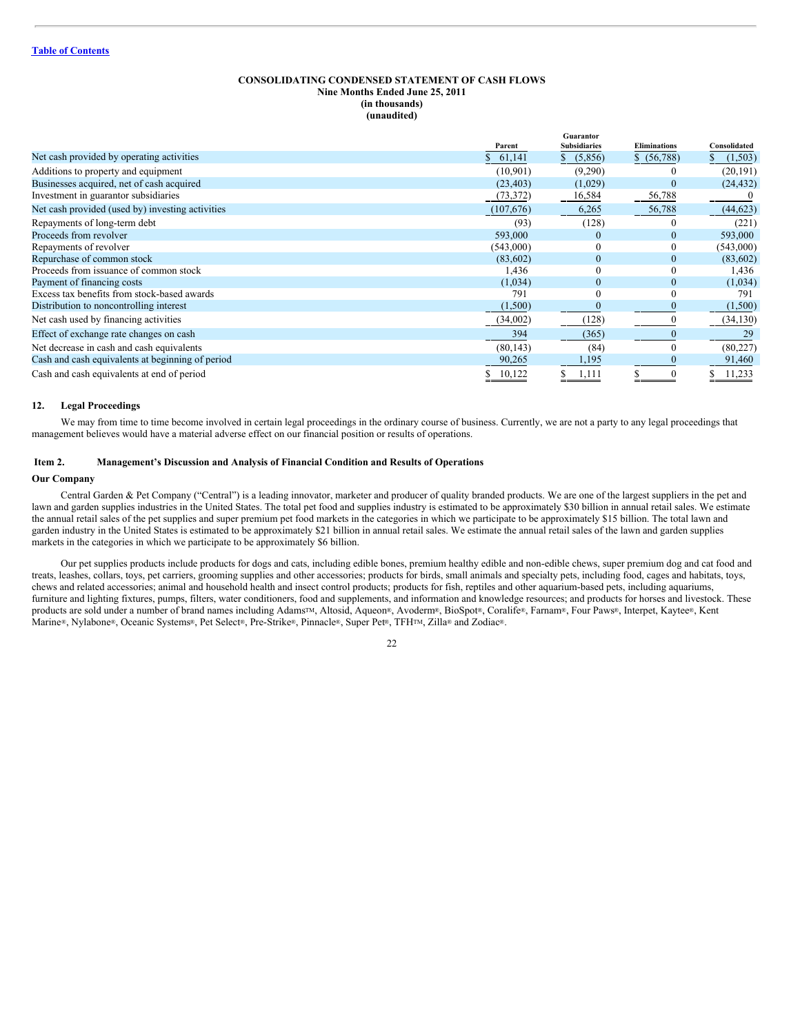## **CONSOLIDATING CONDENSED STATEMENT OF CASH FLOWS Nine Months Ended June 25, 2011 (in thousands) (unaudited)**

|                                                  |           | Guarantor           |                     |              |  |
|--------------------------------------------------|-----------|---------------------|---------------------|--------------|--|
|                                                  | Parent    | <b>Subsidiaries</b> | <b>Eliminations</b> | Consolidated |  |
| Net cash provided by operating activities        | 61,141    | (5,856)             | \$ (56,788)         | (1, 503)     |  |
| Additions to property and equipment              | (10, 901) | (9,290)             |                     | (20, 191)    |  |
| Businesses acquired, net of cash acquired        | (23, 403) | (1,029)             | $\mathbf{0}$        | (24, 432)    |  |
| Investment in guarantor subsidiaries             | (73, 372) | 16,584              | 56,788              |              |  |
| Net cash provided (used by) investing activities | (107,676) | 6,265               | 56,788              | (44, 623)    |  |
| Repayments of long-term debt                     | (93)      | (128)               | 0                   | (221)        |  |
| Proceeds from revolver                           | 593,000   | $\bf{0}$            | $\mathbf{0}$        | 593,000      |  |
| Repayments of revolver                           | (543,000) | $\boldsymbol{0}$    | $\mathbf{0}$        | (543,000)    |  |
| Repurchase of common stock                       | (83,602)  | $\mathbf{0}$        | $\mathbf{0}$        | (83,602)     |  |
| Proceeds from issuance of common stock           | 1,436     | $\mathbf{0}$        | $\theta$            | 1,436        |  |
| Payment of financing costs                       | (1,034)   | $\mathbf{0}$        | $\mathbf{0}$        | (1,034)      |  |
| Excess tax benefits from stock-based awards      | 791       | $\theta$            | $\theta$            | 791          |  |
| Distribution to noncontrolling interest          | (1,500)   | $\bf{0}$            | $\mathbf{0}$        | (1, 500)     |  |
| Net cash used by financing activities            | (34,002)  | (128)               |                     | (34, 130)    |  |
| Effect of exchange rate changes on cash          | 394       | (365)               | 0                   | 29           |  |
| Net decrease in cash and cash equivalents        | (80, 143) | (84)                | 0                   | (80, 227)    |  |
| Cash and cash equivalents at beginning of period | 90,265    | 1,195               |                     | 91,460       |  |
| Cash and cash equivalents at end of period       | 10,122    | 1,111               | 0                   | 11,233       |  |

#### **12. Legal Proceedings**

We may from time to time become involved in certain legal proceedings in the ordinary course of business. Currently, we are not a party to any legal proceedings that management believes would have a material adverse effect on our financial position or results of operations.

#### <span id="page-21-0"></span>**Item 2. Management's Discussion and Analysis of Financial Condition and Results of Operations**

#### **Our Company**

Central Garden & Pet Company ("Central") is a leading innovator, marketer and producer of quality branded products. We are one of the largest suppliers in the pet and lawn and garden supplies industries in the United States. The total pet food and supplies industry is estimated to be approximately \$30 billion in annual retail sales. We estimate the annual retail sales of the pet supplies and super premium pet food markets in the categories in which we participate to be approximately \$15 billion. The total lawn and garden industry in the United States is estimated to be approximately \$21 billion in annual retail sales. We estimate the annual retail sales of the lawn and garden supplies markets in the categories in which we participate to be approximately \$6 billion.

Our pet supplies products include products for dogs and cats, including edible bones, premium healthy edible and non-edible chews, super premium dog and cat food and treats, leashes, collars, toys, pet carriers, grooming supplies and other accessories; products for birds, small animals and specialty pets, including food, cages and habitats, toys, chews and related accessories; animal and household health and insect control products; products for fish, reptiles and other aquarium-based pets, including aquariums, furniture and lighting fixtures, pumps, filters, water conditioners, food and supplements, and information and knowledge resources; and products for horses and livestock. These products are sold under a number of brand names including Adams<sup>TM</sup>, Altosid, Aqueon®, Avoderm®, BioSpot®, Coralife®, Farnam®, Four Paws®, Interpet, Kaytee®, Kent Marine®, Nylabone®, Oceanic Systems®, Pet Select®, Pre-Strike®, Pinnacle®, Super Pet®, TFH™, Zilla® and Zodiac®.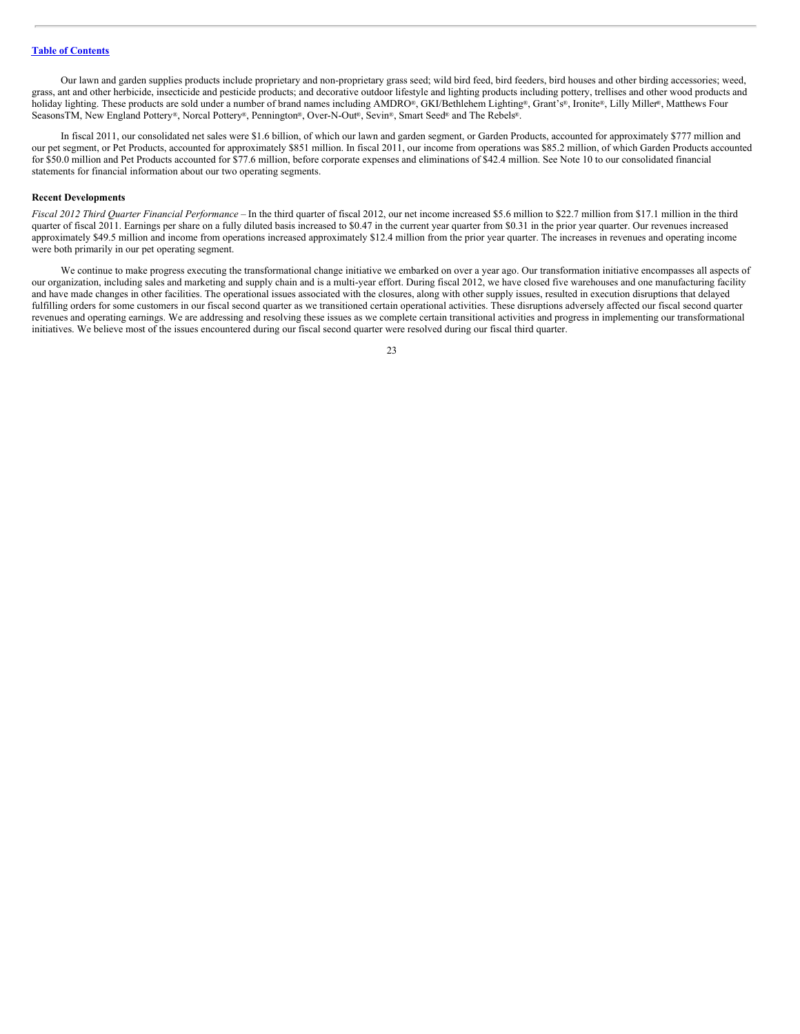Our lawn and garden supplies products include proprietary and non-proprietary grass seed; wild bird feed, bird feeders, bird houses and other birding accessories; weed, grass, ant and other herbicide, insecticide and pesticide products; and decorative outdoor lifestyle and lighting products including pottery, trellises and other wood products and holiday lighting. These products are sold under a number of brand names including AMDRO®, GKI/Bethlehem Lighting®, Grant's®, Ironite®, Lilly Miller®, Matthews Four SeasonsTM, New England Pottery®, Norcal Pottery®, Pennington®, Over-N-Out®, Sevin®, Smart Seed® and The Rebels®.

In fiscal 2011, our consolidated net sales were \$1.6 billion, of which our lawn and garden segment, or Garden Products, accounted for approximately \$777 million and our pet segment, or Pet Products, accounted for approximately \$851 million. In fiscal 2011, our income from operations was \$85.2 million, of which Garden Products accounted for \$50.0 million and Pet Products accounted for \$77.6 million, before corporate expenses and eliminations of \$42.4 million. See Note 10 to our consolidated financial statements for financial information about our two operating segments.

#### **Recent Developments**

*Fiscal 2012 Third Quarter Financial Performance –* In the third quarter of fiscal 2012, our net income increased \$5.6 million to \$22.7 million from \$17.1 million in the third quarter of fiscal 2011. Earnings per share on a fully diluted basis increased to \$0.47 in the current year quarter from \$0.31 in the prior year quarter. Our revenues increased approximately \$49.5 million and income from operations increased approximately \$12.4 million from the prior year quarter. The increases in revenues and operating income were both primarily in our pet operating segment.

We continue to make progress executing the transformational change initiative we embarked on over a year ago. Our transformation initiative encompasses all aspects of our organization, including sales and marketing and supply chain and is a multi-year effort. During fiscal 2012, we have closed five warehouses and one manufacturing facility and have made changes in other facilities. The operational issues associated with the closures, along with other supply issues, resulted in execution disruptions that delayed fulfilling orders for some customers in our fiscal second quarter as we transitioned certain operational activities. These disruptions adversely affected our fiscal second quarter revenues and operating earnings. We are addressing and resolving these issues as we complete certain transitional activities and progress in implementing our transformational initiatives. We believe most of the issues encountered during our fiscal second quarter were resolved during our fiscal third quarter.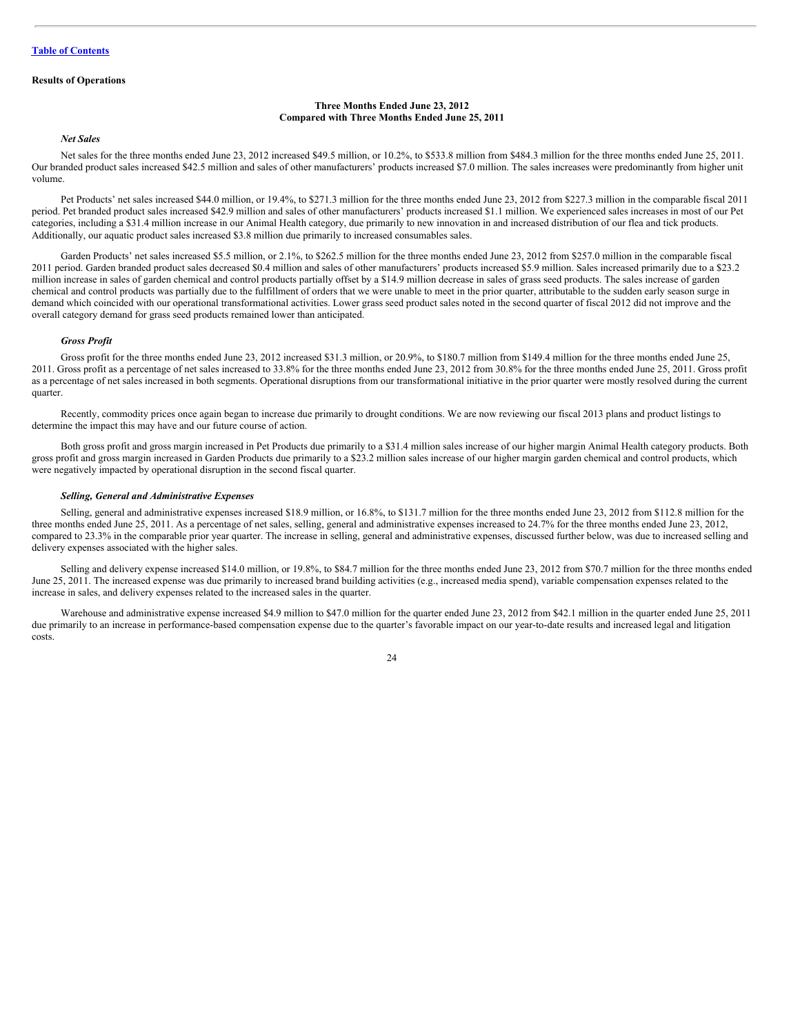#### **Results of Operations**

#### **Three Months Ended June 23, 2012 Compared with Three Months Ended June 25, 2011**

## *Net Sales*

Net sales for the three months ended June 23, 2012 increased \$49.5 million, or 10.2%, to \$533.8 million from \$484.3 million for the three months ended June 25, 2011. Our branded product sales increased \$42.5 million and sales of other manufacturers' products increased \$7.0 million. The sales increases were predominantly from higher unit volume.

Pet Products' net sales increased \$44.0 million, or 19.4%, to \$271.3 million for the three months ended June 23, 2012 from \$227.3 million in the comparable fiscal 2011 period. Pet branded product sales increased \$42.9 million and sales of other manufacturers' products increased \$1.1 million. We experienced sales increases in most of our Pet categories, including a \$31.4 million increase in our Animal Health category, due primarily to new innovation in and increased distribution of our flea and tick products. Additionally, our aquatic product sales increased \$3.8 million due primarily to increased consumables sales.

Garden Products' net sales increased \$5.5 million, or 2.1%, to \$262.5 million for the three months ended June 23, 2012 from \$257.0 million in the comparable fiscal 2011 period. Garden branded product sales decreased \$0.4 million and sales of other manufacturers' products increased \$5.9 million. Sales increased primarily due to a \$23.2 million increase in sales of garden chemical and control products partially offset by a \$14.9 million decrease in sales of grass seed products. The sales increase of garden chemical and control products was partially due to the fulfillment of orders that we were unable to meet in the prior quarter, attributable to the sudden early season surge in demand which coincided with our operational transformational activities. Lower grass seed product sales noted in the second quarter of fiscal 2012 did not improve and the overall category demand for grass seed products remained lower than anticipated.

## *Gross Profit*

Gross profit for the three months ended June 23, 2012 increased \$31.3 million, or 20.9%, to \$180.7 million from \$149.4 million for the three months ended June 25, 2011. Gross profit as a percentage of net sales increased to 33.8% for the three months ended June 23, 2012 from 30.8% for the three months ended June 25, 2011. Gross profit as a percentage of net sales increased in both segments. Operational disruptions from our transformational initiative in the prior quarter were mostly resolved during the current quarter.

Recently, commodity prices once again began to increase due primarily to drought conditions. We are now reviewing our fiscal 2013 plans and product listings to determine the impact this may have and our future course of action.

Both gross profit and gross margin increased in Pet Products due primarily to a \$31.4 million sales increase of our higher margin Animal Health category products. Both gross profit and gross margin increased in Garden Products due primarily to a \$23.2 million sales increase of our higher margin garden chemical and control products, which were negatively impacted by operational disruption in the second fiscal quarter.

#### *Selling, General and Administrative Expenses*

Selling, general and administrative expenses increased \$18.9 million, or 16.8%, to \$131.7 million for the three months ended June 23, 2012 from \$112.8 million for the three months ended June 25, 2011. As a percentage of net sales, selling, general and administrative expenses increased to 24.7% for the three months ended June 23, 2012, compared to 23.3% in the comparable prior year quarter. The increase in selling, general and administrative expenses, discussed further below, was due to increased selling and delivery expenses associated with the higher sales.

Selling and delivery expense increased \$14.0 million, or 19.8%, to \$84.7 million for the three months ended June 23, 2012 from \$70.7 million for the three months ended June 25, 2011. The increased expense was due primarily to increased brand building activities (e.g., increased media spend), variable compensation expenses related to the increase in sales, and delivery expenses related to the increased sales in the quarter.

Warehouse and administrative expense increased \$4.9 million to \$47.0 million for the quarter ended June 23, 2012 from \$42.1 million in the quarter ended June 25, 2011 due primarily to an increase in performance-based compensation expense due to the quarter's favorable impact on our year-to-date results and increased legal and litigation costs.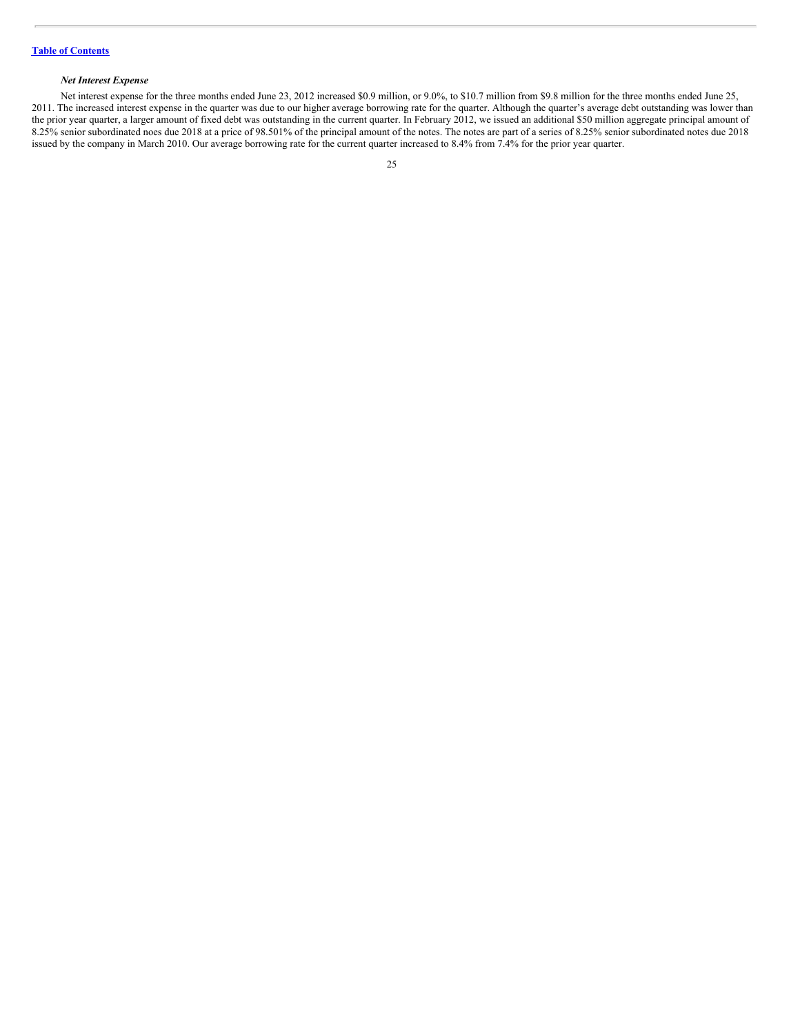## *Net Interest Expense*

Net interest expense for the three months ended June 23, 2012 increased \$0.9 million, or 9.0%, to \$10.7 million from \$9.8 million for the three months ended June 25, 2011. The increased interest expense in the quarter was due to our higher average borrowing rate for the quarter. Although the quarter's average debt outstanding was lower than the prior year quarter, a larger amount of fixed debt was outstanding in the current quarter. In February 2012, we issued an additional \$50 million aggregate principal amount of 8.25% senior subordinated noes due 2018 at a price of 98.501% of the principal amount of the notes. The notes are part of a series of 8.25% senior subordinated notes due 2018 issued by the company in March 2010. Our average borrowing rate for the current quarter increased to 8.4% from 7.4% for the prior year quarter.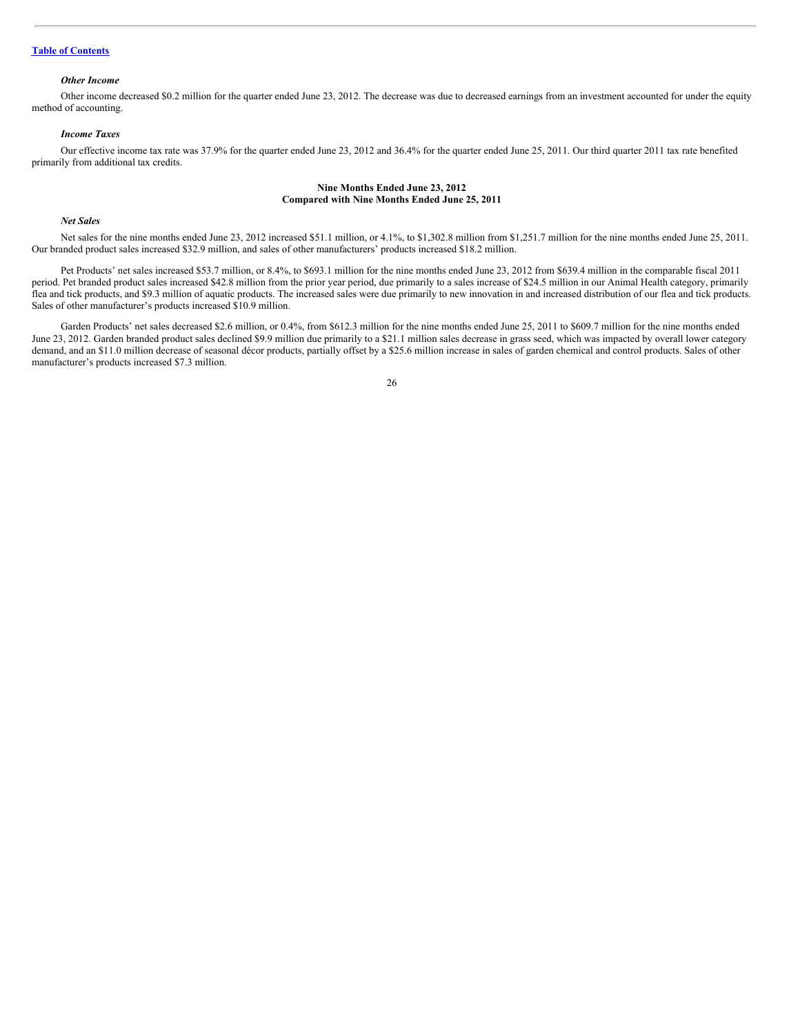## **Table of [Contents](#page-1-0)**

#### *Other Income*

Other income decreased \$0.2 million for the quarter ended June 23, 2012. The decrease was due to decreased earnings from an investment accounted for under the equity method of accounting.

## *Income Taxes*

Our effective income tax rate was 37.9% for the quarter ended June 23, 2012 and 36.4% for the quarter ended June 25, 2011. Our third quarter 2011 tax rate benefited primarily from additional tax credits.

#### **Nine Months Ended June 23, 2012 Compared with Nine Months Ended June 25, 2011**

## *Net Sales*

Net sales for the nine months ended June 23, 2012 increased \$51.1 million, or 4.1%, to \$1,302.8 million from \$1,251.7 million for the nine months ended June 25, 2011. Our branded product sales increased \$32.9 million, and sales of other manufacturers' products increased \$18.2 million.

Pet Products' net sales increased \$53.7 million, or 8.4%, to \$693.1 million for the nine months ended June 23, 2012 from \$639.4 million in the comparable fiscal 2011 period. Pet branded product sales increased \$42.8 million from the prior year period, due primarily to a sales increase of \$24.5 million in our Animal Health category, primarily flea and tick products, and \$9.3 million of aquatic products. The increased sales were due primarily to new innovation in and increased distribution of our flea and tick products. Sales of other manufacturer's products increased \$10.9 million.

Garden Products' net sales decreased \$2.6 million, or 0.4%, from \$612.3 million for the nine months ended June 25, 2011 to \$609.7 million for the nine months ended June 23, 2012. Garden branded product sales declined \$9.9 million due primarily to a \$21.1 million sales decrease in grass seed, which was impacted by overall lower category demand, and an \$11.0 million decrease of seasonal décor products, partially offset by a \$25.6 million increase in sales of garden chemical and control products. Sales of other manufacturer's products increased \$7.3 million.

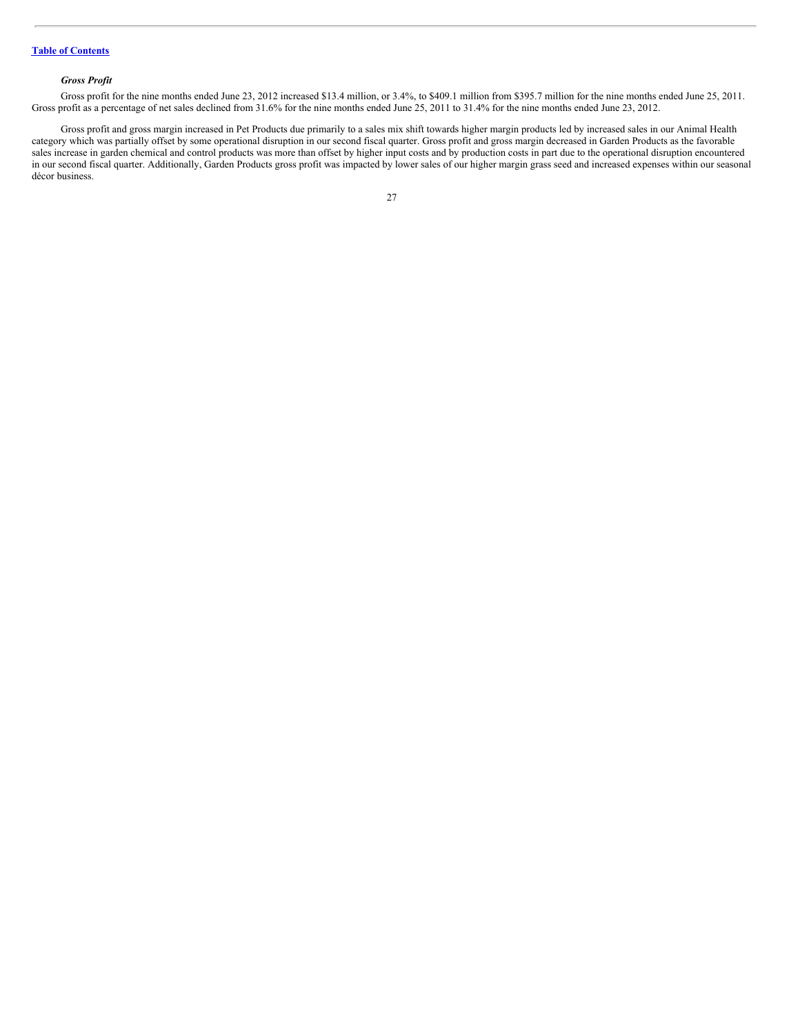## *Gross Profit*

Gross profit for the nine months ended June 23, 2012 increased \$13.4 million, or 3.4%, to \$409.1 million from \$395.7 million for the nine months ended June 25, 2011. Gross profit as a percentage of net sales declined from 31.6% for the nine months ended June 25, 2011 to 31.4% for the nine months ended June 23, 2012.

Gross profit and gross margin increased in Pet Products due primarily to a sales mix shift towards higher margin products led by increased sales in our Animal Health category which was partially offset by some operational disruption in our second fiscal quarter. Gross profit and gross margin decreased in Garden Products as the favorable sales increase in garden chemical and control products was more than offset by higher input costs and by production costs in part due to the operational disruption encountered in our second fiscal quarter. Additionally, Garden Products gross profit was impacted by lower sales of our higher margin grass seed and increased expenses within our seasonal décor business.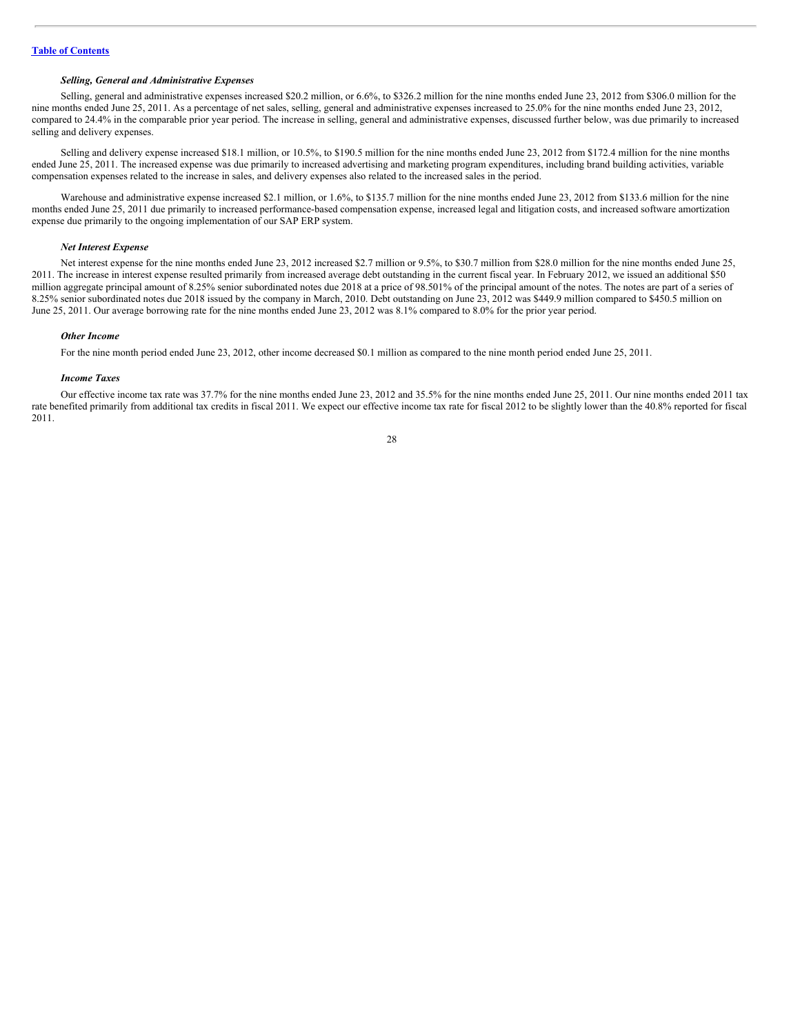#### *Selling, General and Administrative Expenses*

Selling, general and administrative expenses increased \$20.2 million, or 6.6%, to \$326.2 million for the nine months ended June 23, 2012 from \$306.0 million for the nine months ended June 25, 2011. As a percentage of net sales, selling, general and administrative expenses increased to 25.0% for the nine months ended June 23, 2012, compared to 24.4% in the comparable prior year period. The increase in selling, general and administrative expenses, discussed further below, was due primarily to increased selling and delivery expenses.

Selling and delivery expense increased \$18.1 million, or 10.5%, to \$190.5 million for the nine months ended June 23, 2012 from \$172.4 million for the nine months ended June 25, 2011. The increased expense was due primarily to increased advertising and marketing program expenditures, including brand building activities, variable compensation expenses related to the increase in sales, and delivery expenses also related to the increased sales in the period.

Warehouse and administrative expense increased \$2.1 million, or 1.6%, to \$135.7 million for the nine months ended June 23, 2012 from \$133.6 million for the nine months ended June 25, 2011 due primarily to increased performance-based compensation expense, increased legal and litigation costs, and increased software amortization expense due primarily to the ongoing implementation of our SAP ERP system.

#### *Net Interest Expense*

Net interest expense for the nine months ended June 23, 2012 increased \$2.7 million or 9.5%, to \$30.7 million from \$28.0 million for the nine months ended June 25, 2011. The increase in interest expense resulted primarily from increased average debt outstanding in the current fiscal year. In February 2012, we issued an additional \$50 million aggregate principal amount of 8.25% senior subordinated notes due 2018 at a price of 98.501% of the principal amount of the notes. The notes are part of a series of 8.25% senior subordinated notes due 2018 issued by the company in March, 2010. Debt outstanding on June 23, 2012 was \$449.9 million compared to \$450.5 million on June 25, 2011. Our average borrowing rate for the nine months ended June 23, 2012 was 8.1% compared to 8.0% for the prior year period.

#### *Other Income*

For the nine month period ended June 23, 2012, other income decreased \$0.1 million as compared to the nine month period ended June 25, 2011.

#### *Income Taxes*

Our effective income tax rate was 37.7% for the nine months ended June 23, 2012 and 35.5% for the nine months ended June 25, 2011. Our nine months ended 2011 tax rate benefited primarily from additional tax credits in fiscal 2011. We expect our effective income tax rate for fiscal 2012 to be slightly lower than the 40.8% reported for fiscal 2011.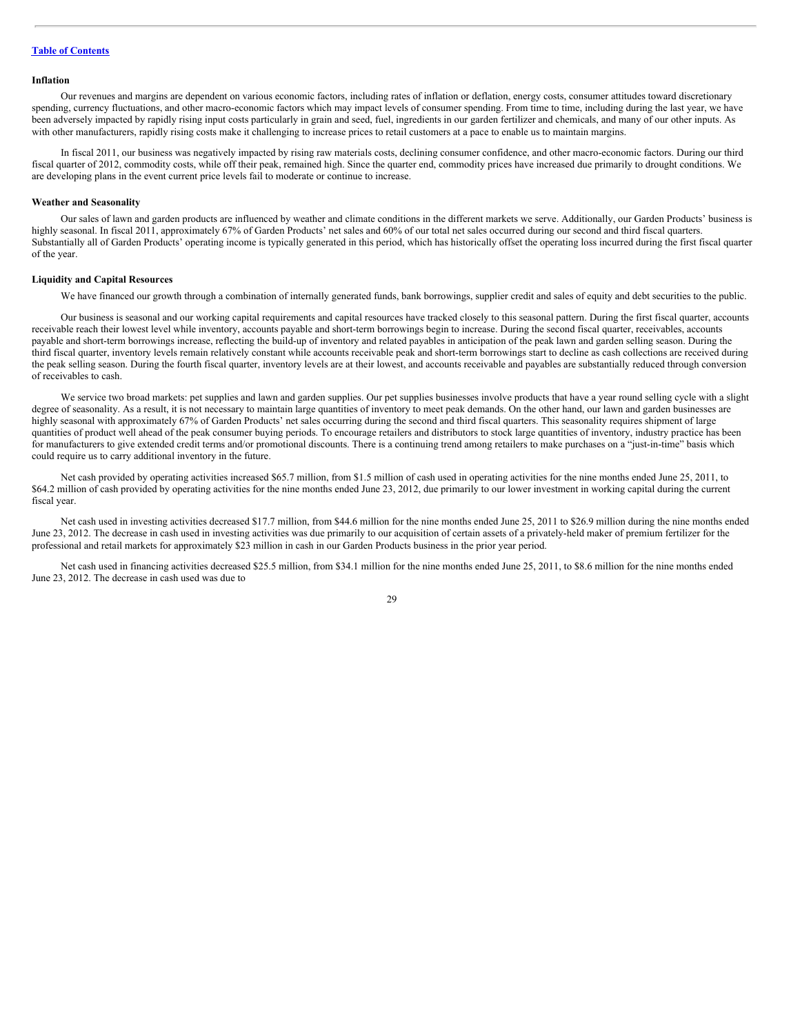#### **Inflation**

Our revenues and margins are dependent on various economic factors, including rates of inflation or deflation, energy costs, consumer attitudes toward discretionary spending, currency fluctuations, and other macro-economic factors which may impact levels of consumer spending. From time to time, including during the last year, we have been adversely impacted by rapidly rising input costs particularly in grain and seed, fuel, ingredients in our garden fertilizer and chemicals, and many of our other inputs. As with other manufacturers, rapidly rising costs make it challenging to increase prices to retail customers at a pace to enable us to maintain margins.

In fiscal 2011, our business was negatively impacted by rising raw materials costs, declining consumer confidence, and other macro-economic factors. During our third fiscal quarter of 2012, commodity costs, while off their peak, remained high. Since the quarter end, commodity prices have increased due primarily to drought conditions. We are developing plans in the event current price levels fail to moderate or continue to increase.

#### **Weather and Seasonality**

Our sales of lawn and garden products are influenced by weather and climate conditions in the different markets we serve. Additionally, our Garden Products' business is highly seasonal. In fiscal 2011, approximately 67% of Garden Products' net sales and 60% of our total net sales occurred during our second and third fiscal quarters. Substantially all of Garden Products' operating income is typically generated in this period, which has historically offset the operating loss incurred during the first fiscal quarter of the year.

#### **Liquidity and Capital Resources**

We have financed our growth through a combination of internally generated funds, bank borrowings, supplier credit and sales of equity and debt securities to the public.

Our business is seasonal and our working capital requirements and capital resources have tracked closely to this seasonal pattern. During the first fiscal quarter, accounts receivable reach their lowest level while inventory, accounts payable and short-term borrowings begin to increase. During the second fiscal quarter, receivables, accounts payable and short-term borrowings increase, reflecting the build-up of inventory and related payables in anticipation of the peak lawn and garden selling season. During the third fiscal quarter, inventory levels remain relatively constant while accounts receivable peak and short-term borrowings start to decline as cash collections are received during the peak selling season. During the fourth fiscal quarter, inventory levels are at their lowest, and accounts receivable and payables are substantially reduced through conversion of receivables to cash.

We service two broad markets: pet supplies and lawn and garden supplies. Our pet supplies businesses involve products that have a year round selling cycle with a slight degree of seasonality. As a result, it is not necessary to maintain large quantities of inventory to meet peak demands. On the other hand, our lawn and garden businesses are highly seasonal with approximately 67% of Garden Products' net sales occurring during the second and third fiscal quarters. This seasonality requires shipment of large quantities of product well ahead of the peak consumer buying periods. To encourage retailers and distributors to stock large quantities of inventory, industry practice has been for manufacturers to give extended credit terms and/or promotional discounts. There is a continuing trend among retailers to make purchases on a "just-in-time" basis which could require us to carry additional inventory in the future.

Net cash provided by operating activities increased \$65.7 million, from \$1.5 million of cash used in operating activities for the nine months ended June 25, 2011, to \$64.2 million of cash provided by operating activities for the nine months ended June 23, 2012, due primarily to our lower investment in working capital during the current fiscal year.

Net cash used in investing activities decreased \$17.7 million, from \$44.6 million for the nine months ended June 25, 2011 to \$26.9 million during the nine months ended June 23, 2012. The decrease in cash used in investing activities was due primarily to our acquisition of certain assets of a privately-held maker of premium fertilizer for the professional and retail markets for approximately \$23 million in cash in our Garden Products business in the prior year period.

Net cash used in financing activities decreased \$25.5 million, from \$34.1 million for the nine months ended June 25, 2011, to \$8.6 million for the nine months ended June 23, 2012. The decrease in cash used was due to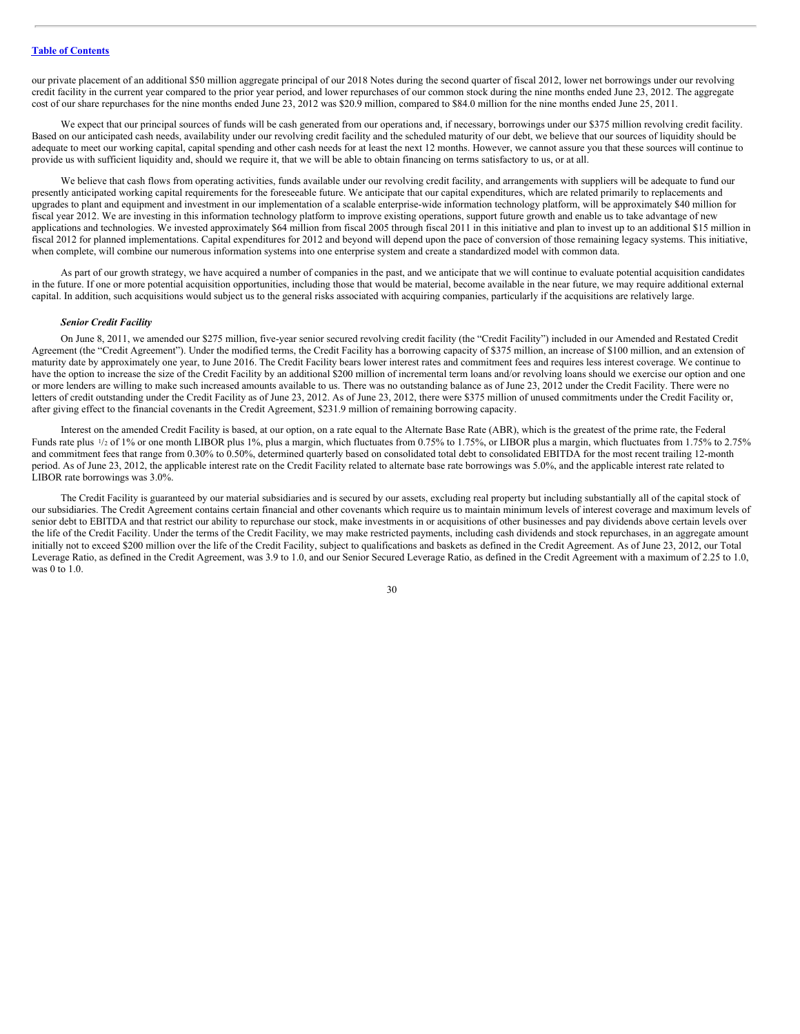our private placement of an additional \$50 million aggregate principal of our 2018 Notes during the second quarter of fiscal 2012, lower net borrowings under our revolving credit facility in the current year compared to the prior year period, and lower repurchases of our common stock during the nine months ended June 23, 2012. The aggregate cost of our share repurchases for the nine months ended June 23, 2012 was \$20.9 million, compared to \$84.0 million for the nine months ended June 25, 2011.

We expect that our principal sources of funds will be cash generated from our operations and, if necessary, borrowings under our \$375 million revolving credit facility. Based on our anticipated cash needs, availability under our revolving credit facility and the scheduled maturity of our debt, we believe that our sources of liquidity should be adequate to meet our working capital, capital spending and other cash needs for at least the next 12 months. However, we cannot assure you that these sources will continue to provide us with sufficient liquidity and, should we require it, that we will be able to obtain financing on terms satisfactory to us, or at all.

We believe that cash flows from operating activities, funds available under our revolving credit facility, and arrangements with suppliers will be adequate to fund our presently anticipated working capital requirements for the foreseeable future. We anticipate that our capital expenditures, which are related primarily to replacements and upgrades to plant and equipment and investment in our implementation of a scalable enterprise-wide information technology platform, will be approximately \$40 million for fiscal year 2012. We are investing in this information technology platform to improve existing operations, support future growth and enable us to take advantage of new applications and technologies. We invested approximately \$64 million from fiscal 2005 through fiscal 2011 in this initiative and plan to invest up to an additional \$15 million in fiscal 2012 for planned implementations. Capital expenditures for 2012 and beyond will depend upon the pace of conversion of those remaining legacy systems. This initiative, when complete, will combine our numerous information systems into one enterprise system and create a standardized model with common data.

As part of our growth strategy, we have acquired a number of companies in the past, and we anticipate that we will continue to evaluate potential acquisition candidates in the future. If one or more potential acquisition opportunities, including those that would be material, become available in the near future, we may require additional external capital. In addition, such acquisitions would subject us to the general risks associated with acquiring companies, particularly if the acquisitions are relatively large.

#### *Senior Credit Facility*

On June 8, 2011, we amended our \$275 million, five-year senior secured revolving credit facility (the "Credit Facility") included in our Amended and Restated Credit Agreement (the "Credit Agreement"). Under the modified terms, the Credit Facility has a borrowing capacity of \$375 million, an increase of \$100 million, and an extension of maturity date by approximately one year, to June 2016. The Credit Facility bears lower interest rates and commitment fees and requires less interest coverage. We continue to have the option to increase the size of the Credit Facility by an additional \$200 million of incremental term loans and/or revolving loans should we exercise our option and one or more lenders are willing to make such increased amounts available to us. There was no outstanding balance as of June 23, 2012 under the Credit Facility. There were no letters of credit outstanding under the Credit Facility as of June 23, 2012. As of June 23, 2012, there were \$375 million of unused commitments under the Credit Facility or, after giving effect to the financial covenants in the Credit Agreement, \$231.9 million of remaining borrowing capacity.

Interest on the amended Credit Facility is based, at our option, on a rate equal to the Alternate Base Rate (ABR), which is the greatest of the prime rate, the Federal Funds rate plus  $\frac{1}{2}$  of 1% or one month LIBOR plus 1%, plus a margin, which fluctuates from 0.75% to 1.75%, or LIBOR plus a margin, which fluctuates from 1.75% to 2.75% and commitment fees that range from 0.30% to 0.50%, determined quarterly based on consolidated total debt to consolidated EBITDA for the most recent trailing 12-month period. As of June 23, 2012, the applicable interest rate on the Credit Facility related to alternate base rate borrowings was 5.0%, and the applicable interest rate related to LIBOR rate borrowings was 3.0%.

The Credit Facility is guaranteed by our material subsidiaries and is secured by our assets, excluding real property but including substantially all of the capital stock of our subsidiaries. The Credit Agreement contains certain financial and other covenants which require us to maintain minimum levels of interest coverage and maximum levels of senior debt to EBITDA and that restrict our ability to repurchase our stock, make investments in or acquisitions of other businesses and pay dividends above certain levels over the life of the Credit Facility. Under the terms of the Credit Facility, we may make restricted payments, including cash dividends and stock repurchases, in an aggregate amount initially not to exceed \$200 million over the life of the Credit Facility, subject to qualifications and baskets as defined in the Credit Agreement. As of June 23, 2012, our Total Leverage Ratio, as defined in the Credit Agreement, was 3.9 to 1.0, and our Senior Secured Leverage Ratio, as defined in the Credit Agreement with a maximum of 2.25 to 1.0, was 0 to 1.0.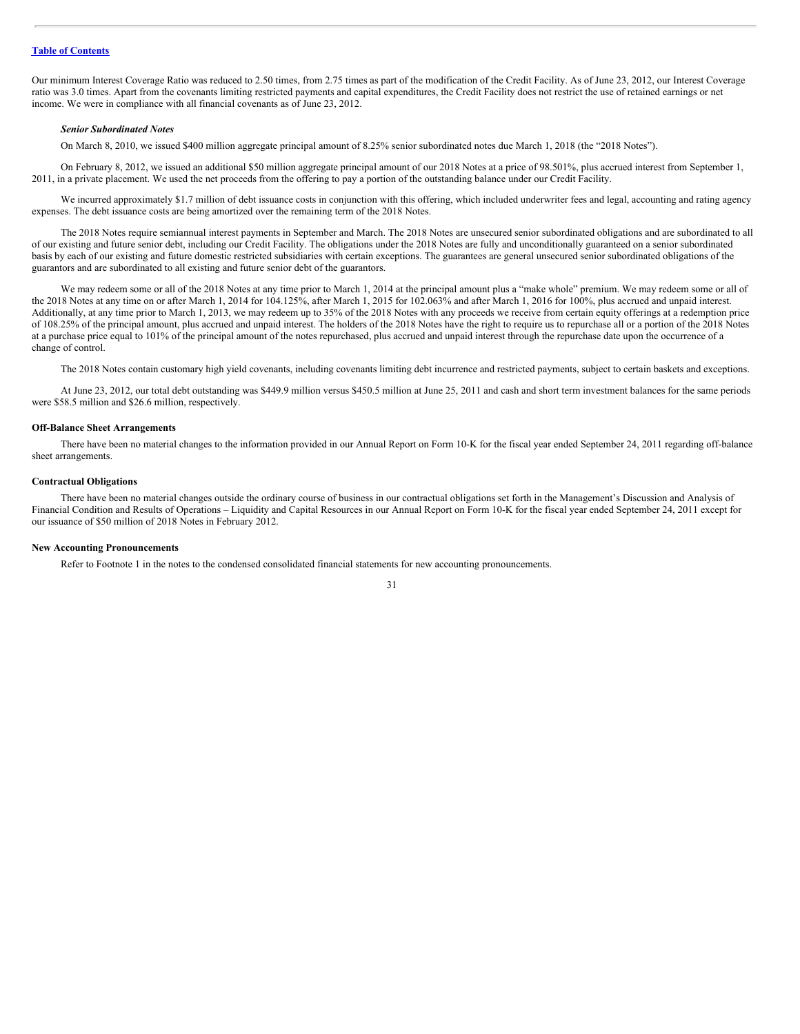Our minimum Interest Coverage Ratio was reduced to 2.50 times, from 2.75 times as part of the modification of the Credit Facility. As of June 23, 2012, our Interest Coverage ratio was 3.0 times. Apart from the covenants limiting restricted payments and capital expenditures, the Credit Facility does not restrict the use of retained earnings or net income. We were in compliance with all financial covenants as of June 23, 2012.

#### *Senior Subordinated Notes*

On March 8, 2010, we issued \$400 million aggregate principal amount of 8.25% senior subordinated notes due March 1, 2018 (the "2018 Notes").

On February 8, 2012, we issued an additional \$50 million aggregate principal amount of our 2018 Notes at a price of 98.501%, plus accrued interest from September 1, 2011, in a private placement. We used the net proceeds from the offering to pay a portion of the outstanding balance under our Credit Facility.

We incurred approximately \$1.7 million of debt issuance costs in conjunction with this offering, which included underwriter fees and legal, accounting and rating agency expenses. The debt issuance costs are being amortized over the remaining term of the 2018 Notes.

The 2018 Notes require semiannual interest payments in September and March. The 2018 Notes are unsecured senior subordinated obligations and are subordinated to all of our existing and future senior debt, including our Credit Facility. The obligations under the 2018 Notes are fully and unconditionally guaranteed on a senior subordinated basis by each of our existing and future domestic restricted subsidiaries with certain exceptions. The guarantees are general unsecured senior subordinated obligations of the guarantors and are subordinated to all existing and future senior debt of the guarantors.

We may redeem some or all of the 2018 Notes at any time prior to March 1, 2014 at the principal amount plus a "make whole" premium. We may redeem some or all of the 2018 Notes at any time on or after March 1, 2014 for 104.125%, after March 1, 2015 for 102.063% and after March 1, 2016 for 100%, plus accrued and unpaid interest. Additionally, at any time prior to March 1, 2013, we may redeem up to 35% of the 2018 Notes with any proceeds we receive from certain equity offerings at a redemption price of 108.25% of the principal amount, plus accrued and unpaid interest. The holders of the 2018 Notes have the right to require us to repurchase all or a portion of the 2018 Notes at a purchase price equal to 101% of the principal amount of the notes repurchased, plus accrued and unpaid interest through the repurchase date upon the occurrence of a change of control.

The 2018 Notes contain customary high yield covenants, including covenants limiting debt incurrence and restricted payments, subject to certain baskets and exceptions.

At June 23, 2012, our total debt outstanding was \$449.9 million versus \$450.5 million at June 25, 2011 and cash and short term investment balances for the same periods were \$58.5 million and \$26.6 million, respectively.

#### **Off-Balance Sheet Arrangements**

There have been no material changes to the information provided in our Annual Report on Form 10-K for the fiscal year ended September 24, 2011 regarding off-balance sheet arrangements.

## **Contractual Obligations**

There have been no material changes outside the ordinary course of business in our contractual obligations set forth in the Management's Discussion and Analysis of Financial Condition and Results of Operations – Liquidity and Capital Resources in our Annual Report on Form 10-K for the fiscal year ended September 24, 2011 except for our issuance of \$50 million of 2018 Notes in February 2012.

#### **New Accounting Pronouncements**

Refer to Footnote 1 in the notes to the condensed consolidated financial statements for new accounting pronouncements.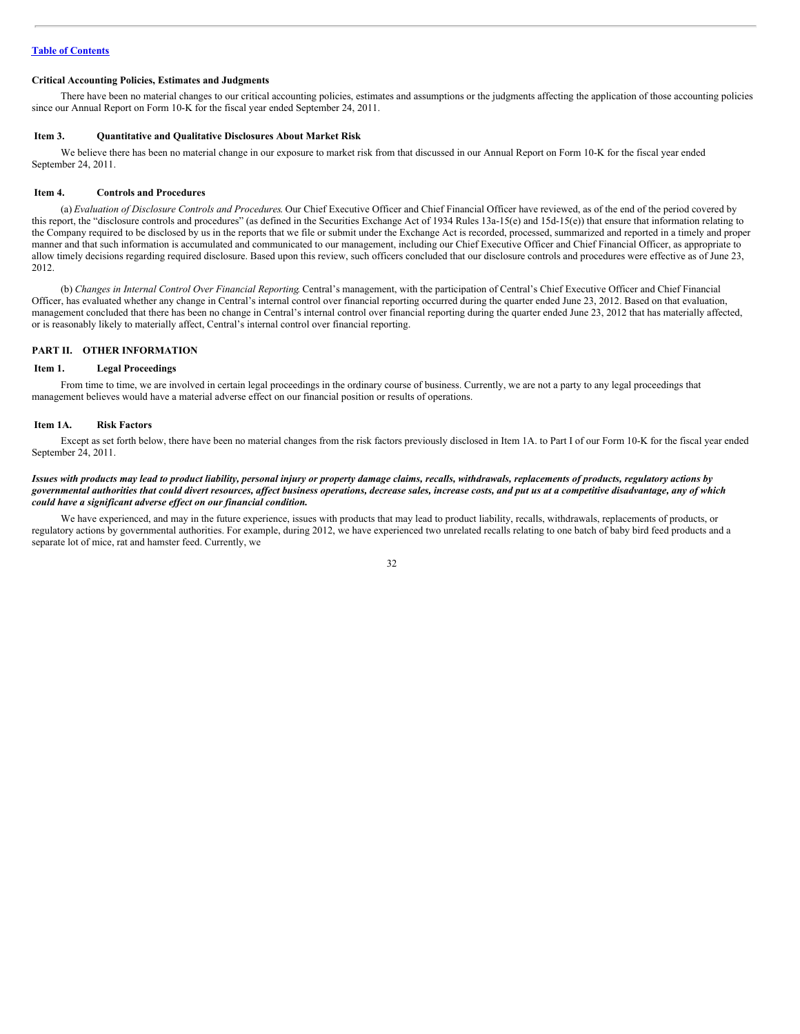## **Table of [Contents](#page-1-0)**

## **Critical Accounting Policies, Estimates and Judgments**

There have been no material changes to our critical accounting policies, estimates and assumptions or the judgments affecting the application of those accounting policies since our Annual Report on Form 10-K for the fiscal year ended September 24, 2011.

#### <span id="page-31-0"></span>**Item 3. Quantitative and Qualitative Disclosures About Market Risk**

We believe there has been no material change in our exposure to market risk from that discussed in our Annual Report on Form 10-K for the fiscal year ended September 24, 2011.

#### <span id="page-31-1"></span>**Item 4. Controls and Procedures**

(a) *Evaluation of Disclosure Controls and Procedures*. Our Chief Executive Officer and Chief Financial Officer have reviewed, as of the end of the period covered by this report, the "disclosure controls and procedures" (as defined in the Securities Exchange Act of 1934 Rules 13a-15(e) and 15d-15(e)) that ensure that information relating to the Company required to be disclosed by us in the reports that we file or submit under the Exchange Act is recorded, processed, summarized and reported in a timely and proper manner and that such information is accumulated and communicated to our management, including our Chief Executive Officer and Chief Financial Officer, as appropriate to allow timely decisions regarding required disclosure. Based upon this review, such officers concluded that our disclosure controls and procedures were effective as of June 23, 2012.

(b) *Changes in Internal Control Over Financial Reporting*. Central's management, with the participation of Central's Chief Executive Officer and Chief Financial Officer, has evaluated whether any change in Central's internal control over financial reporting occurred during the quarter ended June 23, 2012. Based on that evaluation, management concluded that there has been no change in Central's internal control over financial reporting during the quarter ended June 23, 2012 that has materially affected, or is reasonably likely to materially affect, Central's internal control over financial reporting.

#### **PART II. OTHER INFORMATION**

#### <span id="page-31-2"></span>**Item 1. Legal Proceedings**

From time to time, we are involved in certain legal proceedings in the ordinary course of business. Currently, we are not a party to any legal proceedings that management believes would have a material adverse effect on our financial position or results of operations.

#### <span id="page-31-3"></span>**Item 1A. Risk Factors**

Except as set forth below, there have been no material changes from the risk factors previously disclosed in Item 1A. to Part I of our Form 10-K for the fiscal year ended September 24, 2011.

#### Issues with products may lead to product liability, personal injury or property damage claims, recalls, withdrawals, replacements of products, regulatory actions by governmental authorities that could divert resources, affect business operations, decrease sales, increase costs, and put us at a competitive disadvantage, any of which *could have a significant adverse ef ect on our financial condition.*

We have experienced, and may in the future experience, issues with products that may lead to product liability, recalls, withdrawals, replacements of products, or regulatory actions by governmental authorities. For example, during 2012, we have experienced two unrelated recalls relating to one batch of baby bird feed products and a separate lot of mice, rat and hamster feed. Currently, we

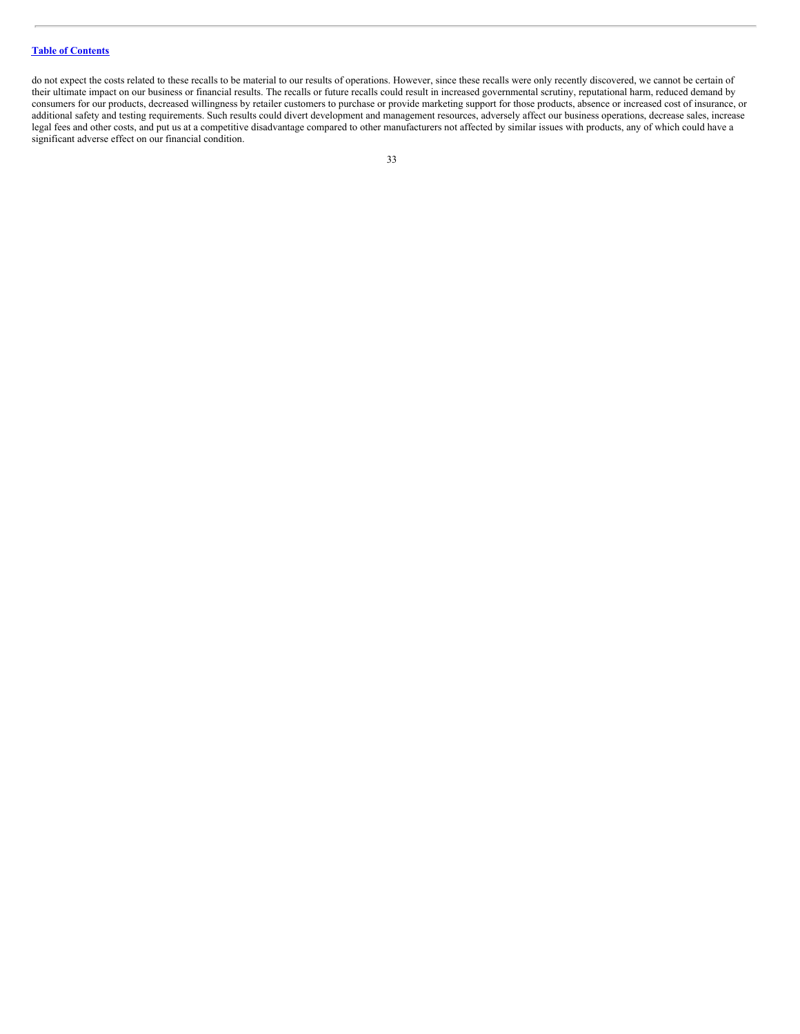## **Table of [Contents](#page-1-0)**

do not expect the costs related to these recalls to be material to our results of operations. However, since these recalls were only recently discovered, we cannot be certain of their ultimate impact on our business or financial results. The recalls or future recalls could result in increased governmental scrutiny, reputational harm, reduced demand by consumers for our products, decreased willingness by retailer customers to purchase or provide marketing support for those products, absence or increased cost of insurance, or additional safety and testing requirements. Such results could divert development and management resources, adversely affect our business operations, decrease sales, increase legal fees and other costs, and put us at a competitive disadvantage compared to other manufacturers not affected by similar issues with products, any of which could have a significant adverse effect on our financial condition.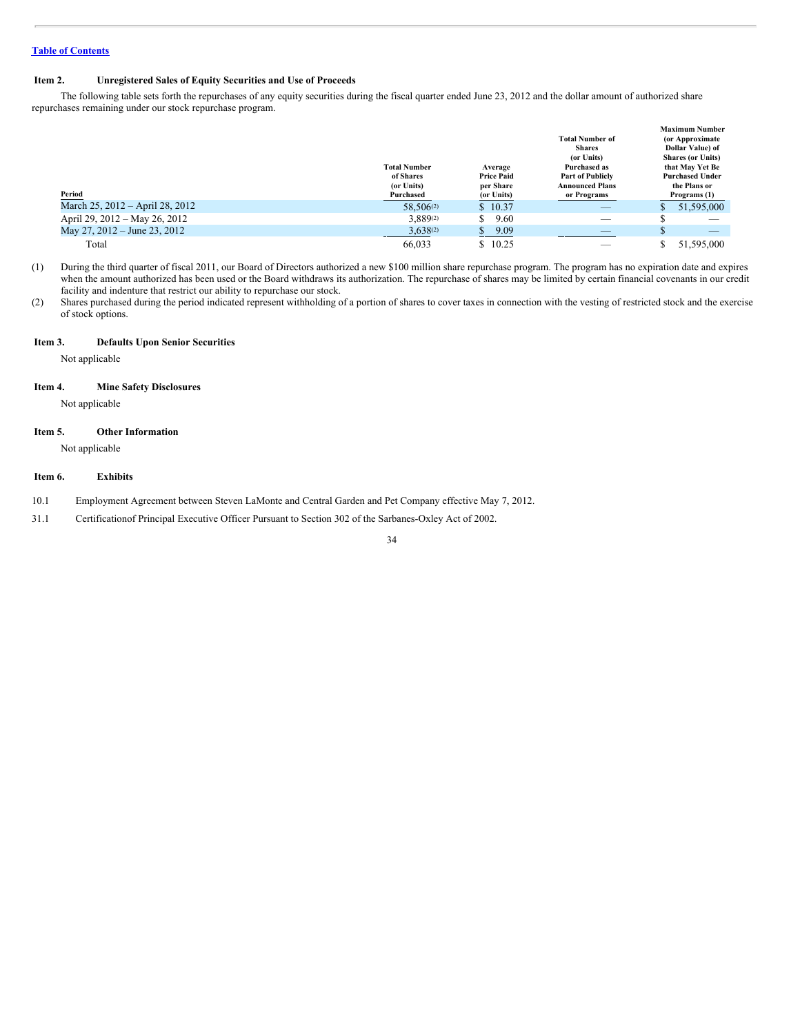## <span id="page-33-0"></span>**Item 2. Unregistered Sales of Equity Securities and Use of Proceeds**

The following table sets forth the repurchases of any equity securities during the fiscal quarter ended June 23, 2012 and the dollar amount of authorized share repurchases remaining under our stock repurchase program.

| Period                          | <b>Total Number</b><br>of Shares<br>(or Units)<br>Purchased | Average<br><b>Price Paid</b><br>per Share<br>(or Units) | <b>Total Number of</b><br><b>Shares</b><br>(or Units)<br>Purchased as<br><b>Part of Publicly</b><br><b>Announced Plans</b><br>or Programs | <b>Maximum Number</b><br>(or Approximate)<br>Dollar Value) of<br><b>Shares (or Units)</b><br>that May Yet Be<br><b>Purchased Under</b><br>the Plans or<br>Programs (1) |
|---------------------------------|-------------------------------------------------------------|---------------------------------------------------------|-------------------------------------------------------------------------------------------------------------------------------------------|------------------------------------------------------------------------------------------------------------------------------------------------------------------------|
| March 25, 2012 – April 28, 2012 | 58.506(2)                                                   | \$10.37                                                 | _                                                                                                                                         | 51,595,000                                                                                                                                                             |
| April 29, 2012 – May 26, 2012   | 3,889(2)                                                    | 9.60<br>J.                                              |                                                                                                                                           |                                                                                                                                                                        |
| May 27, 2012 – June 23, 2012    | $3,638^{(2)}$                                               | 9.09<br>\$                                              | _                                                                                                                                         | S<br>$\overline{\phantom{a}}$                                                                                                                                          |
| Total                           | 66.033                                                      | \$10.25                                                 |                                                                                                                                           | 51,595,000                                                                                                                                                             |

(1) During the third quarter of fiscal 2011, our Board of Directors authorized a new \$100 million share repurchase program. The program has no expiration date and expires when the amount authorized has been used or the Board withdraws its authorization. The repurchase of shares may be limited by certain financial covenants in our credit facility and indenture that restrict our ability to repurchase our stock.

(2) Shares purchased during the period indicated represent withholding of a portion of shares to cover taxes in connection with the vesting of restricted stock and the exercise of stock options.

## <span id="page-33-1"></span>**Item 3. Defaults Upon Senior Securities**

Not applicable

## <span id="page-33-2"></span>**Item 4. Mine Safety Disclosures**

Not applicable

## <span id="page-33-3"></span>**Item 5. Other Information**

Not applicable

## <span id="page-33-4"></span>**Item 6. Exhibits**

- 10.1 Employment Agreement between Steven LaMonte and Central Garden and Pet Company effective May 7, 2012.
- 31.1 Certificationof Principal Executive Officer Pursuant to Section 302 of the Sarbanes-Oxley Act of 2002.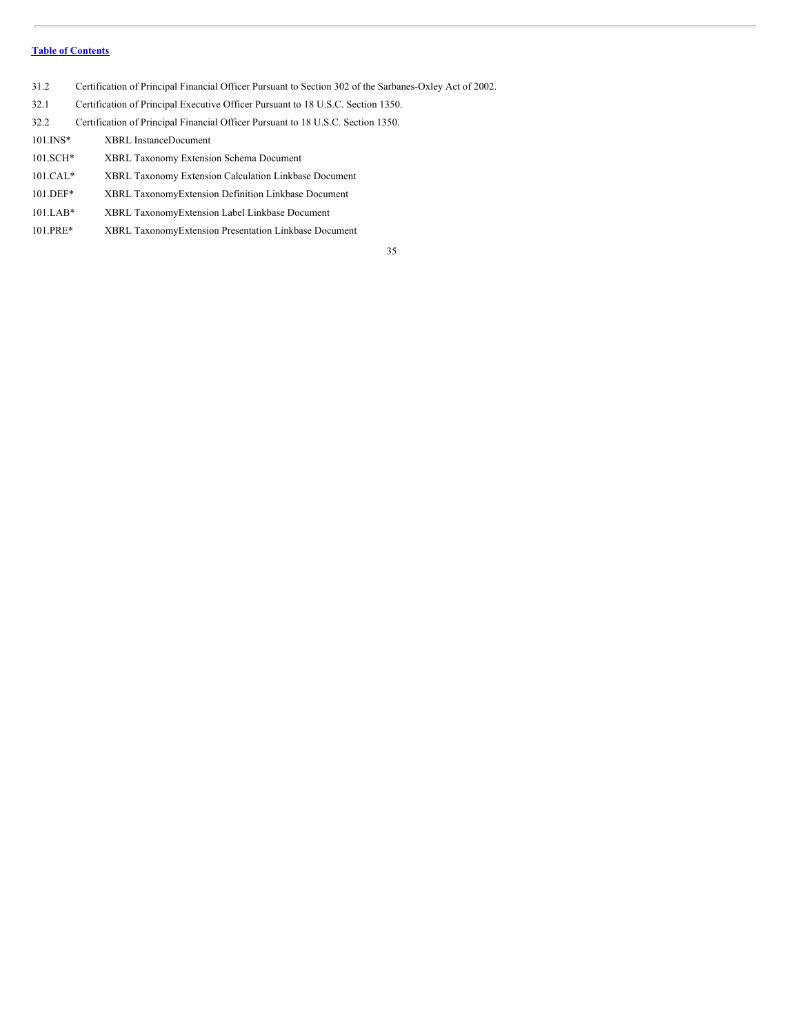## **Table of [Contents](#page-1-0)**

- 31.2 Certification of Principal Financial Officer Pursuant to Section 302 of the Sarbanes-Oxley Act of 2002.
- 32.1 Certification of Principal Executive Officer Pursuant to 18 U.S.C. Section 1350.
- 32.2 Certification of Principal Financial Officer Pursuant to 18 U.S.C. Section 1350.
- 101.INS\* XBRL InstanceDocument 101.SCH\* XBRL Taxonomy Extension Schema Document 101.CAL\* XBRL Taxonomy Extension Calculation Linkbase Document 101.DEF\* XBRL TaxonomyExtension Definition Linkbase Document
- 
- 101.LAB\* XBRL TaxonomyExtension Label Linkbase Document
- 101.PRE\* XBRL TaxonomyExtension Presentation Linkbase Document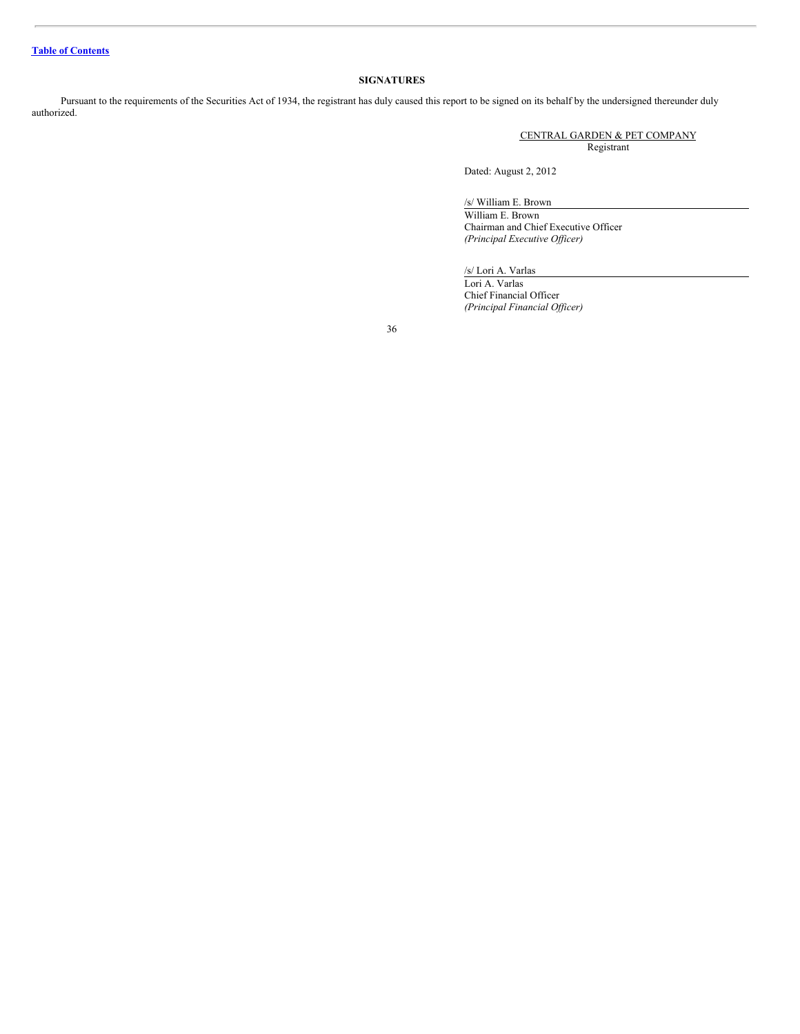## **SIGNATURES**

Pursuant to the requirements of the Securities Act of 1934, the registrant has duly caused this report to be signed on its behalf by the undersigned thereunder duly authorized.

> CENTRAL GARDEN & PET COMPANY Registrant

Dated: August 2, 2012

/s/ William E. Brown

William E. Brown Chairman and Chief Executive Officer *(Principal Executive Of icer)*

## /s/ Lori A. Varlas

Lori A. Varlas Chief Financial Officer *(Principal Financial Of icer)*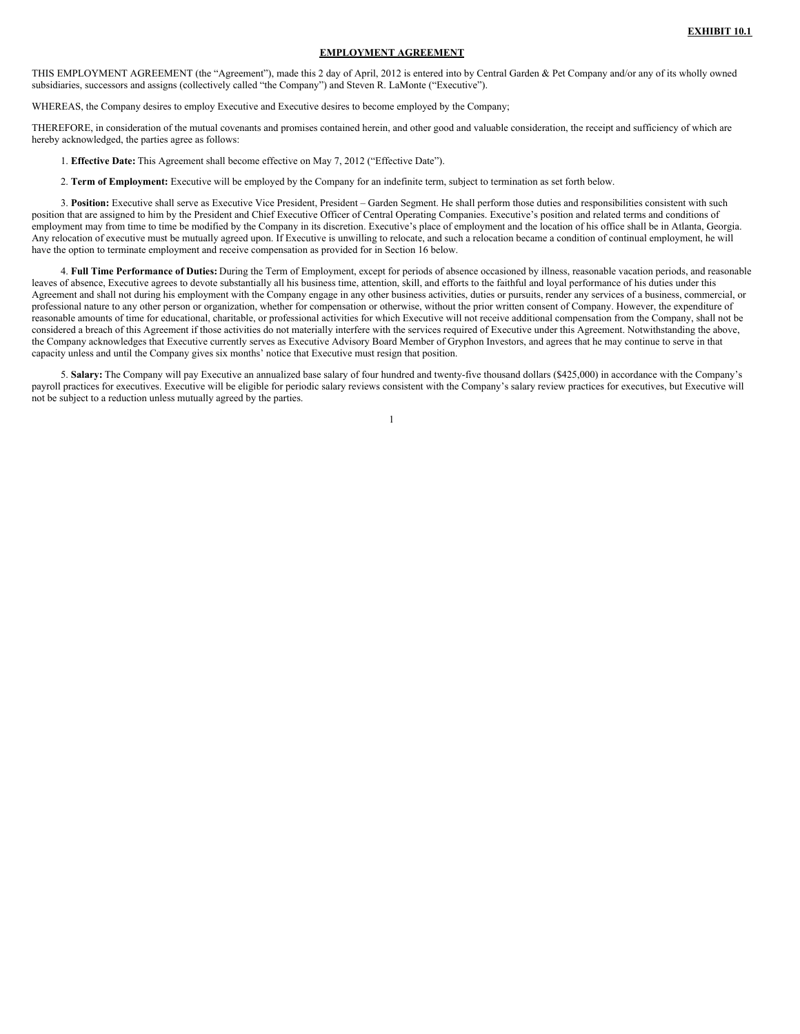## **EMPLOYMENT AGREEMENT**

THIS EMPLOYMENT AGREEMENT (the "Agreement"), made this 2 day of April, 2012 is entered into by Central Garden & Pet Company and/or any of its wholly owned subsidiaries, successors and assigns (collectively called "the Company") and Steven R. LaMonte ("Executive").

WHEREAS, the Company desires to employ Executive and Executive desires to become employed by the Company;

THEREFORE, in consideration of the mutual covenants and promises contained herein, and other good and valuable consideration, the receipt and sufficiency of which are hereby acknowledged, the parties agree as follows:

1. **Effective Date:** This Agreement shall become effective on May 7, 2012 ("Effective Date").

2. **Term of Employment:** Executive will be employed by the Company for an indefinite term, subject to termination as set forth below.

3. **Position:** Executive shall serve as Executive Vice President, President – Garden Segment. He shall perform those duties and responsibilities consistent with such position that are assigned to him by the President and Chief Executive Officer of Central Operating Companies. Executive's position and related terms and conditions of employment may from time to time be modified by the Company in its discretion. Executive's place of employment and the location of his office shall be in Atlanta, Georgia. Any relocation of executive must be mutually agreed upon. If Executive is unwilling to relocate, and such a relocation became a condition of continual employment, he will have the option to terminate employment and receive compensation as provided for in Section 16 below.

4. **Full Time Performance of Duties:** During the Term of Employment, except for periods of absence occasioned by illness, reasonable vacation periods, and reasonable leaves of absence, Executive agrees to devote substantially all his business time, attention, skill, and efforts to the faithful and loyal performance of his duties under this Agreement and shall not during his employment with the Company engage in any other business activities, duties or pursuits, render any services of a business, commercial, or professional nature to any other person or organization, whether for compensation or otherwise, without the prior written consent of Company. However, the expenditure of reasonable amounts of time for educational, charitable, or professional activities for which Executive will not receive additional compensation from the Company, shall not be considered a breach of this Agreement if those activities do not materially interfere with the services required of Executive under this Agreement. Notwithstanding the above, the Company acknowledges that Executive currently serves as Executive Advisory Board Member of Gryphon Investors, and agrees that he may continue to serve in that capacity unless and until the Company gives six months' notice that Executive must resign that position.

5. **Salary:** The Company will pay Executive an annualized base salary of four hundred and twenty-five thousand dollars (\$425,000) in accordance with the Company's payroll practices for executives. Executive will be eligible for periodic salary reviews consistent with the Company's salary review practices for executives, but Executive will not be subject to a reduction unless mutually agreed by the parties.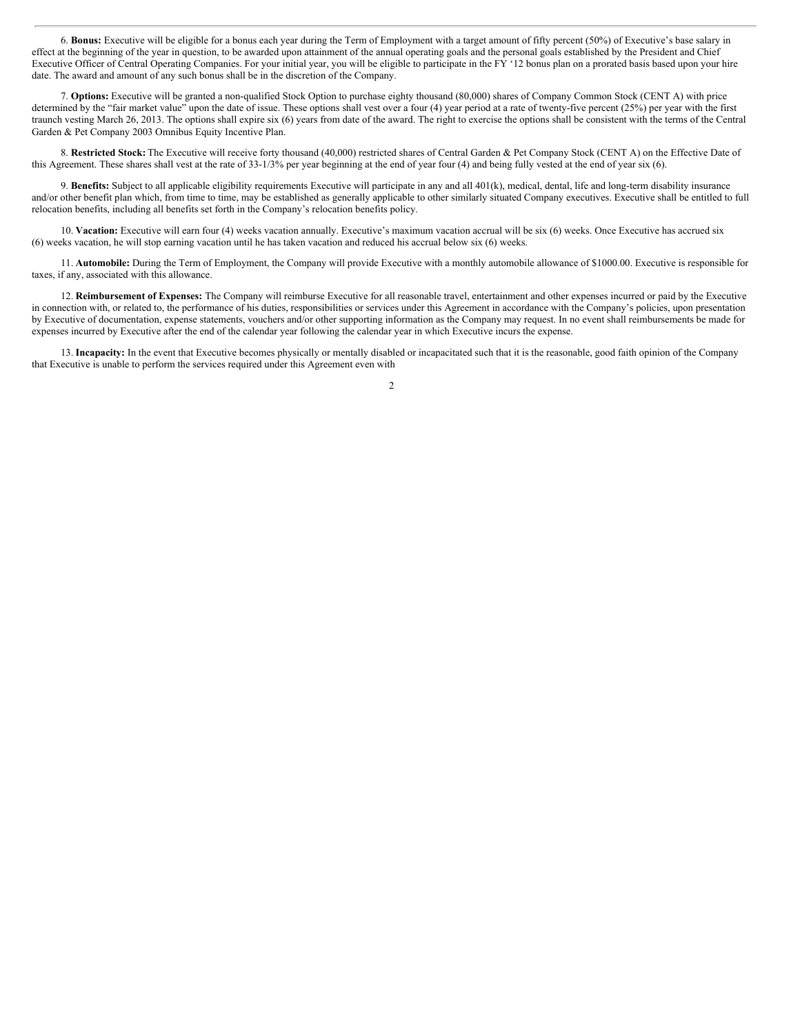6. **Bonus:** Executive will be eligible for a bonus each year during the Term of Employment with a target amount of fifty percent (50%) of Executive's base salary in effect at the beginning of the year in question, to be awarded upon attainment of the annual operating goals and the personal goals established by the President and Chief Executive Officer of Central Operating Companies. For your initial year, you will be eligible to participate in the  $F\hat{Y}$  '12 bonus plan on a prorated basis based upon your hire date. The award and amount of any such bonus shall be in the discretion of the Company.

7. **Options:** Executive will be granted a non-qualified Stock Option to purchase eighty thousand (80,000) shares of Company Common Stock (CENT A) with price determined by the "fair market value" upon the date of issue. These options shall vest over a four (4) year period at a rate of twenty-five percent (25%) per year with the first traunch vesting March 26, 2013. The options shall expire six (6) years from date of the award. The right to exercise the options shall be consistent with the terms of the Central Garden & Pet Company 2003 Omnibus Equity Incentive Plan.

8. **Restricted Stock:** The Executive will receive forty thousand (40,000) restricted shares of Central Garden & Pet Company Stock (CENT A) on the Effective Date of this Agreement. These shares shall vest at the rate of 33-1/3% per year beginning at the end of year four (4) and being fully vested at the end of year six (6).

9. **Benefits:** Subject to all applicable eligibility requirements Executive will participate in any and all 401(k), medical, dental, life and long-term disability insurance and/or other benefit plan which, from time to time, may be established as generally applicable to other similarly situated Company executives. Executive shall be entitled to full relocation benefits, including all benefits set forth in the Company's relocation benefits policy.

10. **Vacation:** Executive will earn four (4) weeks vacation annually. Executive's maximum vacation accrual will be six (6) weeks. Once Executive has accrued six (6) weeks vacation, he will stop earning vacation until he has taken vacation and reduced his accrual below six (6) weeks.

11. **Automobile:** During the Term of Employment, the Company will provide Executive with a monthly automobile allowance of \$1000.00. Executive is responsible for taxes, if any, associated with this allowance.

12. **Reimbursement of Expenses:** The Company will reimburse Executive for all reasonable travel, entertainment and other expenses incurred or paid by the Executive in connection with, or related to, the performance of his duties, responsibilities or services under this Agreement in accordance with the Company's policies, upon presentation by Executive of documentation, expense statements, vouchers and/or other supporting information as the Company may request. In no event shall reimbursements be made for expenses incurred by Executive after the end of the calendar year following the calendar year in which Executive incurs the expense.

13. **Incapacity:** In the event that Executive becomes physically or mentally disabled or incapacitated such that it is the reasonable, good faith opinion of the Company that Executive is unable to perform the services required under this Agreement even with

 $\overline{2}$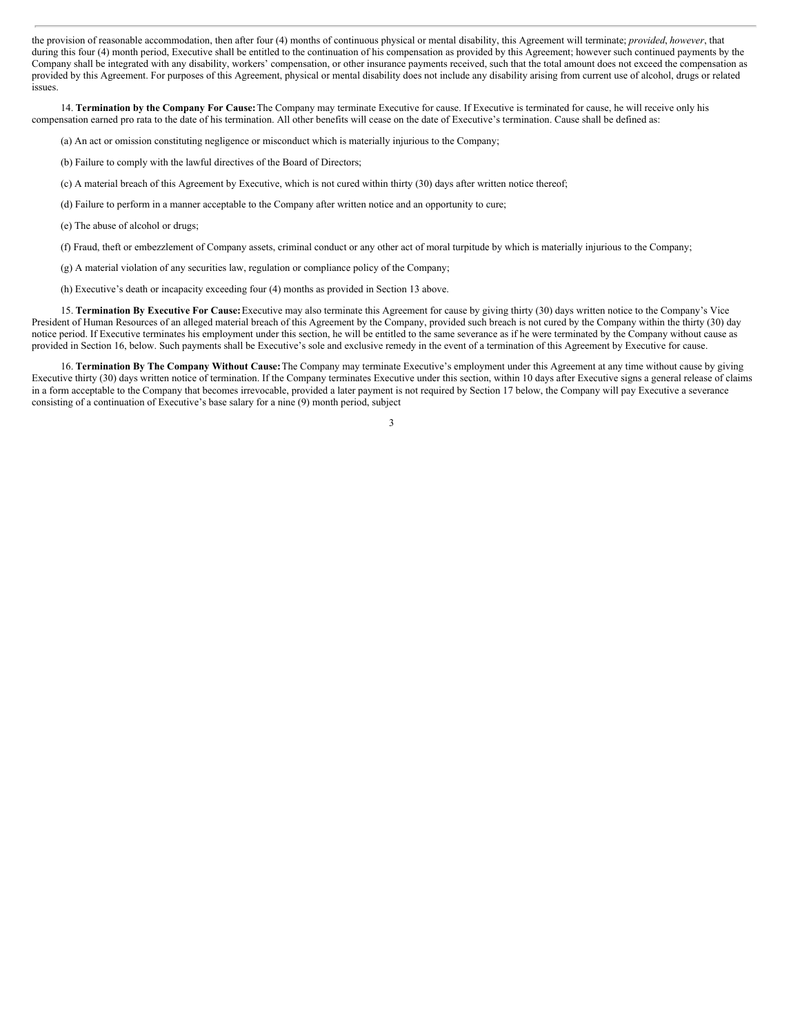the provision of reasonable accommodation, then after four (4) months of continuous physical or mental disability, this Agreement will terminate; *provided*, *however*, that during this four (4) month period, Executive shall be entitled to the continuation of his compensation as provided by this Agreement; however such continued payments by the Company shall be integrated with any disability, workers' compensation, or other insurance payments received, such that the total amount does not exceed the compensation as provided by this Agreement. For purposes of this Agreement, physical or mental disability does not include any disability arising from current use of alcohol, drugs or related issues.

14. **Termination by the Company For Cause:**The Company may terminate Executive for cause. If Executive is terminated for cause, he will receive only his compensation earned pro rata to the date of his termination. All other benefits will cease on the date of Executive's termination. Cause shall be defined as:

(a) An act or omission constituting negligence or misconduct which is materially injurious to the Company;

- (b) Failure to comply with the lawful directives of the Board of Directors;
- (c) A material breach of this Agreement by Executive, which is not cured within thirty (30) days after written notice thereof;
- (d) Failure to perform in a manner acceptable to the Company after written notice and an opportunity to cure;
- (e) The abuse of alcohol or drugs;
- (f) Fraud, theft or embezzlement of Company assets, criminal conduct or any other act of moral turpitude by which is materially injurious to the Company;
- (g) A material violation of any securities law, regulation or compliance policy of the Company;
- (h) Executive's death or incapacity exceeding four (4) months as provided in Section 13 above.

15. **Termination By Executive For Cause:**Executive may also terminate this Agreement for cause by giving thirty (30) days written notice to the Company's Vice President of Human Resources of an alleged material breach of this Agreement by the Company, provided such breach is not cured by the Company within the thirty (30) day notice period. If Executive terminates his employment under this section, he will be entitled to the same severance as if he were terminated by the Company without cause as provided in Section 16, below. Such payments shall be Executive's sole and exclusive remedy in the event of a termination of this Agreement by Executive for cause.

16. **Termination By The Company Without Cause:**The Company may terminate Executive's employment under this Agreement at any time without cause by giving Executive thirty (30) days written notice of termination. If the Company terminates Executive under this section, within 10 days after Executive signs a general release of claims in a form acceptable to the Company that becomes irrevocable, provided a later payment is not required by Section 17 below, the Company will pay Executive a severance consisting of a continuation of Executive's base salary for a nine (9) month period, subject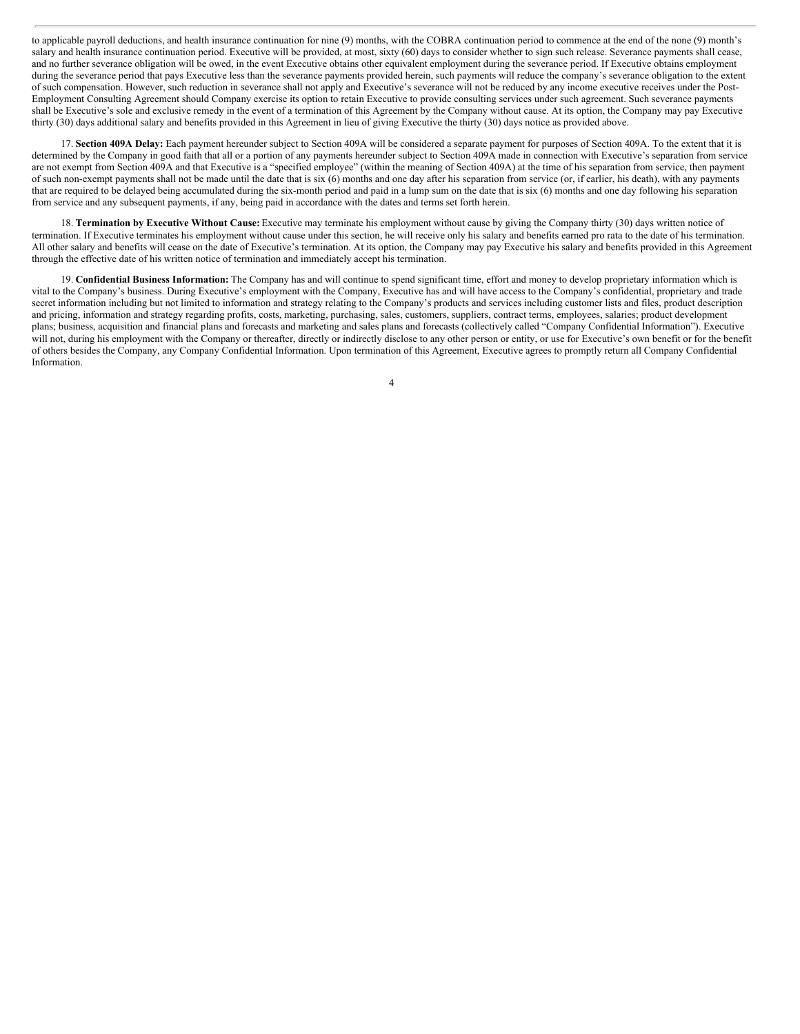to applicable payroll deductions, and health insurance continuation for nine (9) months, with the COBRA continuation period to commence at the end of the none (9) month's salary and health insurance continuation period. Executive will be provided, at most, sixty (60) days to consider whether to sign such release. Severance payments shall cease, and no further severance obligation will be owed, in the event Executive obtains other equivalent employment during the severance period. If Executive obtains employment during the severance period that pays Executive less than the severance payments provided herein, such payments will reduce the company's severance obligation to the extent of such compensation. However, such reduction in severance shall not apply and Executive's severance will not be reduced by any income executive receives under the Post-Employment Consulting Agreement should Company exercise its option to retain Executive to provide consulting services under such agreement. Such severance payments shall be Executive's sole and exclusive remedy in the event of a termination of this Agreement by the Company without cause. At its option, the Company may pay Executive thirty (30) days additional salary and benefits provided in this Agreement in lieu of giving Executive the thirty (30) days notice as provided above.

17. **Section 409A Delay:** Each payment hereunder subject to Section 409A will be considered a separate payment for purposes of Section 409A. To the extent that it is determined by the Company in good faith that all or a portion of any payments hereunder subject to Section 409A made in connection with Executive's separation from service are not exempt from Section 409A and that Executive is a "specified employee" (within the meaning of Section 409A) at the time of his separation from service, then payment of such non-exempt payments shall not be made until the date that is six (6) months and one day after his separation from service (or, if earlier, his death), with any payments that are required to be delayed being accumulated during the six-month period and paid in a lump sum on the date that is six (6) months and one day following his separation from service and any subsequent payments, if any, being paid in accordance with the dates and terms set forth herein.

18. **Termination by Executive Without Cause:** Executive may terminate his employment without cause by giving the Company thirty (30) days written notice of termination. If Executive terminates his employment without cause under this section, he will receive only his salary and benefits earned pro rata to the date of his termination. All other salary and benefits will cease on the date of Executive's termination. At its option, the Company may pay Executive his salary and benefits provided in this Agreement through the effective date of his written notice of termination and immediately accept his termination.

19. **Confidential Business Information:** The Company has and will continue to spend significant time, effort and money to develop proprietary information which is vital to the Company's business. During Executive's employment with the Company, Executive has and will have access to the Company's confidential, proprietary and trade secret information including but not limited to information and strategy relating to the Company's products and services including customer lists and files, product description and pricing, information and strategy regarding profits, costs, marketing, purchasing, sales, customers, suppliers, contract terms, employees, salaries; product development plans; business, acquisition and financial plans and forecasts and marketing and sales plans and forecasts (collectively called "Company Confidential Information"). Executive will not, during his employment with the Company or thereafter, directly or indirectly disclose to any other person or entity, or use for Executive's own benefit or for the benefit of others besides the Company, any Company Confidential Information. Upon termination of this Agreement, Executive agrees to promptly return all Company Confidential Information.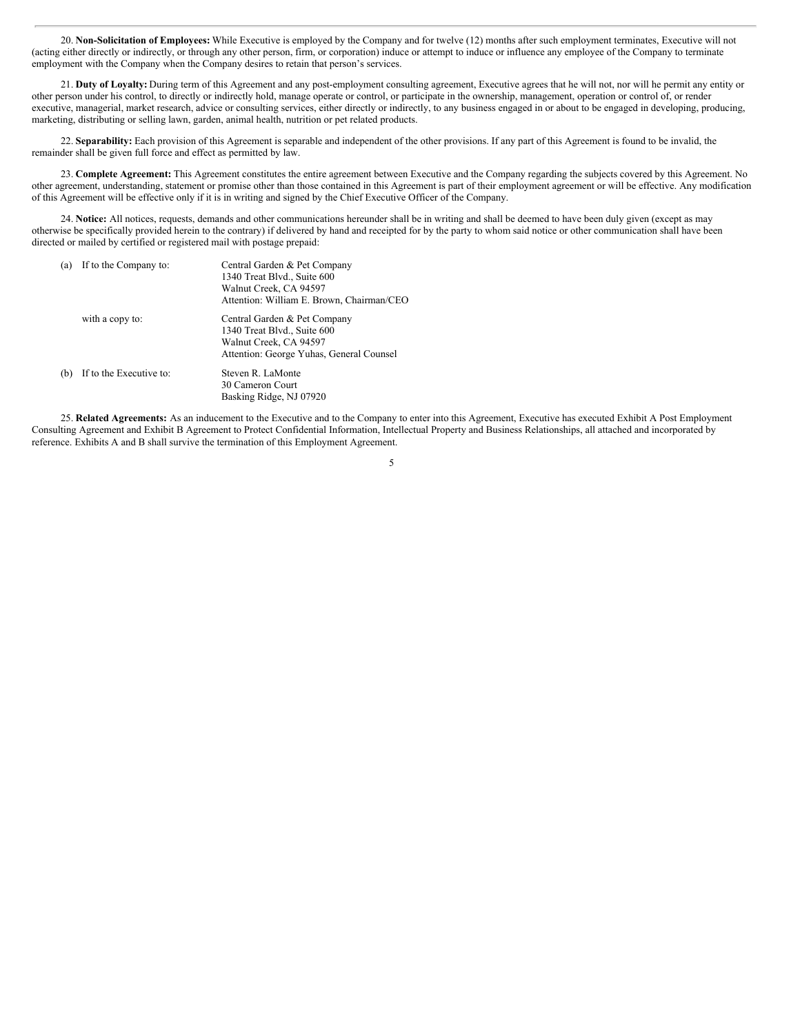20. **Non-Solicitation of Employees:** While Executive is employed by the Company and for twelve (12) months after such employment terminates, Executive will not (acting either directly or indirectly, or through any other person, firm, or corporation) induce or attempt to induce or influence any employee of the Company to terminate employment with the Company when the Company desires to retain that person's services.

21. **Duty of Loyalty:** During term of this Agreement and any post-employment consulting agreement, Executive agrees that he will not, nor will he permit any entity or other person under his control, to directly or indirectly hold, manage operate or control, or participate in the ownership, management, operation or control of, or render executive, managerial, market research, advice or consulting services, either directly or indirectly, to any business engaged in or about to be engaged in developing, producing, marketing, distributing or selling lawn, garden, animal health, nutrition or pet related products.

22. **Separability:** Each provision of this Agreement is separable and independent of the other provisions. If any part of this Agreement is found to be invalid, the remainder shall be given full force and effect as permitted by law.

23. **Complete Agreement:** This Agreement constitutes the entire agreement between Executive and the Company regarding the subjects covered by this Agreement. No other agreement, understanding, statement or promise other than those contained in this Agreement is part of their employment agreement or will be effective. Any modification of this Agreement will be effective only if it is in writing and signed by the Chief Executive Officer of the Company.

24. Notice: All notices, requests, demands and other communications hereunder shall be in writing and shall be deemed to have been duly given (except as may otherwise be specifically provided herein to the contrary) if delivered by hand and receipted for by the party to whom said notice or other communication shall have been directed or mailed by certified or registered mail with postage prepaid:

| (a) | If to the Company to:   | Central Garden & Pet Company              |
|-----|-------------------------|-------------------------------------------|
|     |                         | 1340 Treat Blvd., Suite 600               |
|     |                         | Walnut Creek, CA 94597                    |
|     |                         | Attention: William E. Brown, Chairman/CEO |
|     | with a copy to:         | Central Garden & Pet Company              |
|     |                         | 1340 Treat Blvd., Suite 600               |
|     |                         | Walnut Creek, CA 94597                    |
|     |                         | Attention: George Yuhas, General Counsel  |
| (b) | If to the Executive to: | Steven R. LaMonte                         |
|     |                         | 30 Cameron Court                          |
|     |                         | Basking Ridge, NJ 07920                   |
|     |                         |                                           |

25. **Related Agreements:** As an inducement to the Executive and to the Company to enter into this Agreement, Executive has executed Exhibit A Post Employment Consulting Agreement and Exhibit B Agreement to Protect Confidential Information, Intellectual Property and Business Relationships, all attached and incorporated by reference. Exhibits A and B shall survive the termination of this Employment Agreement.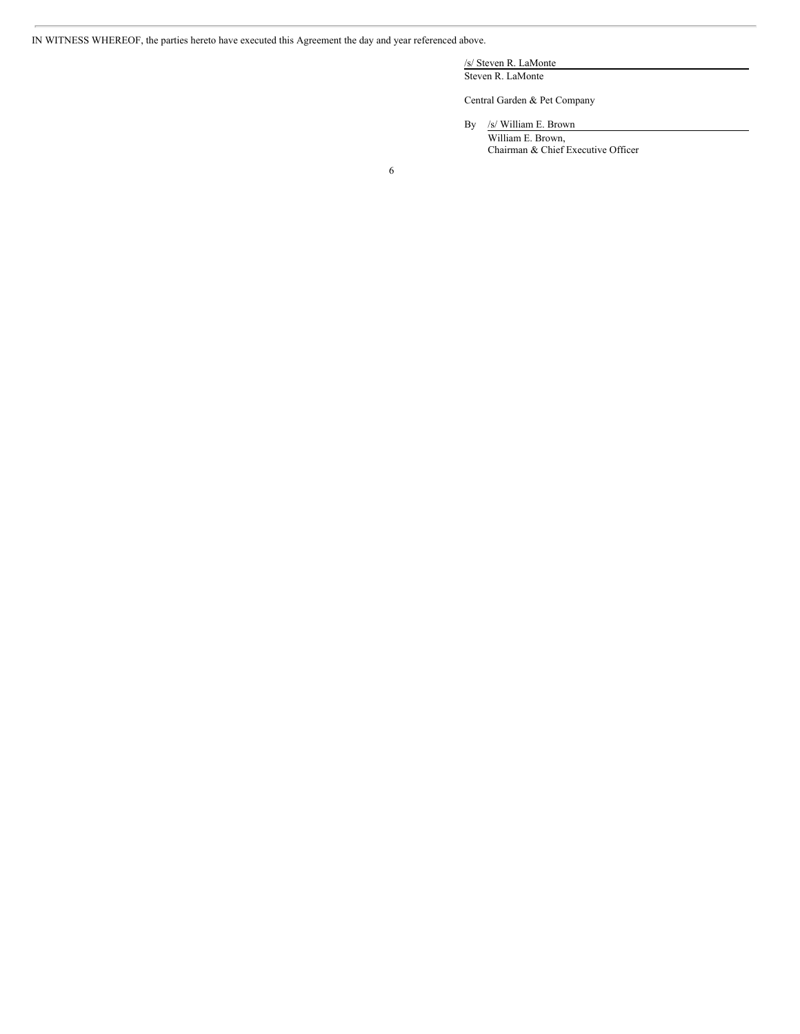IN WITNESS WHEREOF, the parties hereto have executed this Agreement the day and year referenced above.

/s/ Steven R. LaMonte Steven R. LaMonte

Central Garden & Pet Company

By /s/ William E. Brown William E. Brown, Chairman & Chief Executive Officer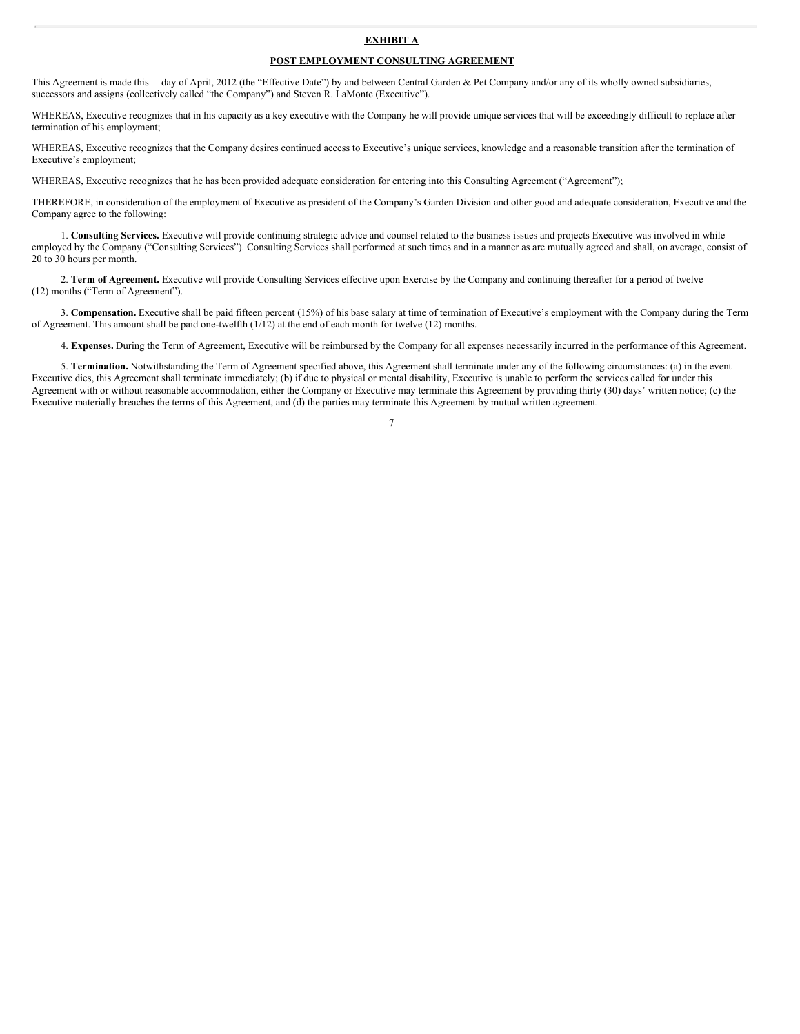## **EXHIBIT A**

## **POST EMPLOYMENT CONSULTING AGREEMENT**

This Agreement is made this day of April, 2012 (the "Effective Date") by and between Central Garden & Pet Company and/or any of its wholly owned subsidiaries, successors and assigns (collectively called "the Company") and Steven R. LaMonte (Executive").

WHEREAS, Executive recognizes that in his capacity as a key executive with the Company he will provide unique services that will be exceedingly difficult to replace after termination of his employment;

WHEREAS, Executive recognizes that the Company desires continued access to Executive's unique services, knowledge and a reasonable transition after the termination of Executive's employment;

WHEREAS, Executive recognizes that he has been provided adequate consideration for entering into this Consulting Agreement ("Agreement");

THEREFORE, in consideration of the employment of Executive as president of the Company's Garden Division and other good and adequate consideration, Executive and the Company agree to the following:

1. **Consulting Services.** Executive will provide continuing strategic advice and counsel related to the business issues and projects Executive was involved in while employed by the Company ("Consulting Services"). Consulting Services shall performed at such times and in a manner as are mutually agreed and shall, on average, consist of 20 to 30 hours per month.

2. **Term of Agreement.** Executive will provide Consulting Services effective upon Exercise by the Company and continuing thereafter for a period of twelve (12) months ("Term of Agreement").

3. **Compensation.** Executive shall be paid fifteen percent (15%) of his base salary at time of termination of Executive's employment with the Company during the Term of Agreement. This amount shall be paid one-twelfth (1/12) at the end of each month for twelve (12) months.

4. **Expenses.** During the Term of Agreement, Executive will be reimbursed by the Company for all expenses necessarily incurred in the performance of this Agreement.

5. **Termination.** Notwithstanding the Term of Agreement specified above, this Agreement shall terminate under any of the following circumstances: (a) in the event Executive dies, this Agreement shall terminate immediately; (b) if due to physical or mental disability, Executive is unable to perform the services called for under this Agreement with or without reasonable accommodation, either the Company or Executive may terminate this Agreement by providing thirty (30) days' written notice; (c) the Executive materially breaches the terms of this Agreement, and (d) the parties may terminate this Agreement by mutual written agreement.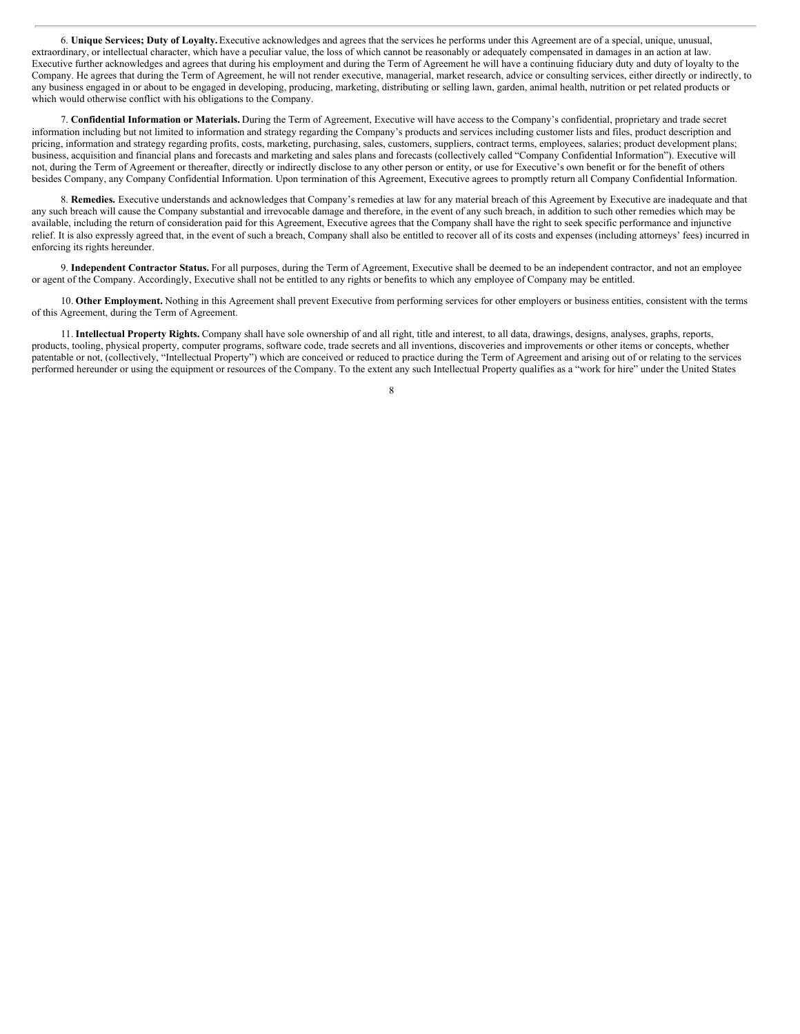6. **Unique Services; Duty of Loyalty.** Executive acknowledges and agrees that the services he performs under this Agreement are of a special, unique, unusual, extraordinary, or intellectual character, which have a peculiar value, the loss of which cannot be reasonably or adequately compensated in damages in an action at law. Executive further acknowledges and agrees that during his employment and during the Term of Agreement he will have a continuing fiduciary duty and duty of loyalty to the Company. He agrees that during the Term of Agreement, he will not render executive, managerial, market research, advice or consulting services, either directly or indirectly, to any business engaged in or about to be engaged in developing, producing, marketing, distributing or selling lawn, garden, animal health, nutrition or pet related products or which would otherwise conflict with his obligations to the Company.

7. **Confidential Information or Materials.** During the Term of Agreement, Executive will have access to the Company's confidential, proprietary and trade secret information including but not limited to information and strategy regarding the Company's products and services including customer lists and files, product description and pricing, information and strategy regarding profits, costs, marketing, purchasing, sales, customers, suppliers, contract terms, employees, salaries; product development plans; business, acquisition and financial plans and forecasts and marketing and sales plans and forecasts (collectively called "Company Confidential Information"). Executive will not, during the Term of Agreement or thereafter, directly or indirectly disclose to any other person or entity, or use for Executive's own benefit or for the benefit of others besides Company, any Company Confidential Information. Upon termination of this Agreement, Executive agrees to promptly return all Company Confidential Information.

8. **Remedies.** Executive understands and acknowledges that Company's remedies at law for any material breach of this Agreement by Executive are inadequate and that any such breach will cause the Company substantial and irrevocable damage and therefore, in the event of any such breach, in addition to such other remedies which may be available, including the return of consideration paid for this Agreement, Executive agrees that the Company shall have the right to seek specific performance and injunctive relief. It is also expressly agreed that, in the event of such a breach, Company shall also be entitled to recover all of its costs and expenses (including attorneys' fees) incurred in enforcing its rights hereunder.

9. **Independent Contractor Status.** For all purposes, during the Term of Agreement, Executive shall be deemed to be an independent contractor, and not an employee or agent of the Company. Accordingly, Executive shall not be entitled to any rights or benefits to which any employee of Company may be entitled.

10. **Other Employment.** Nothing in this Agreement shall prevent Executive from performing services for other employers or business entities, consistent with the terms of this Agreement, during the Term of Agreement.

11. **Intellectual Property Rights.** Company shall have sole ownership of and all right, title and interest, to all data, drawings, designs, analyses, graphs, reports, products, tooling, physical property, computer programs, software code, trade secrets and all inventions, discoveries and improvements or other items or concepts, whether patentable or not, (collectively, "Intellectual Property") which are conceived or reduced to practice during the Term of Agreement and arising out of or relating to the services performed hereunder or using the equipment or resources of the Company. To the extent any such Intellectual Property qualifies as a "work for hire" under the United States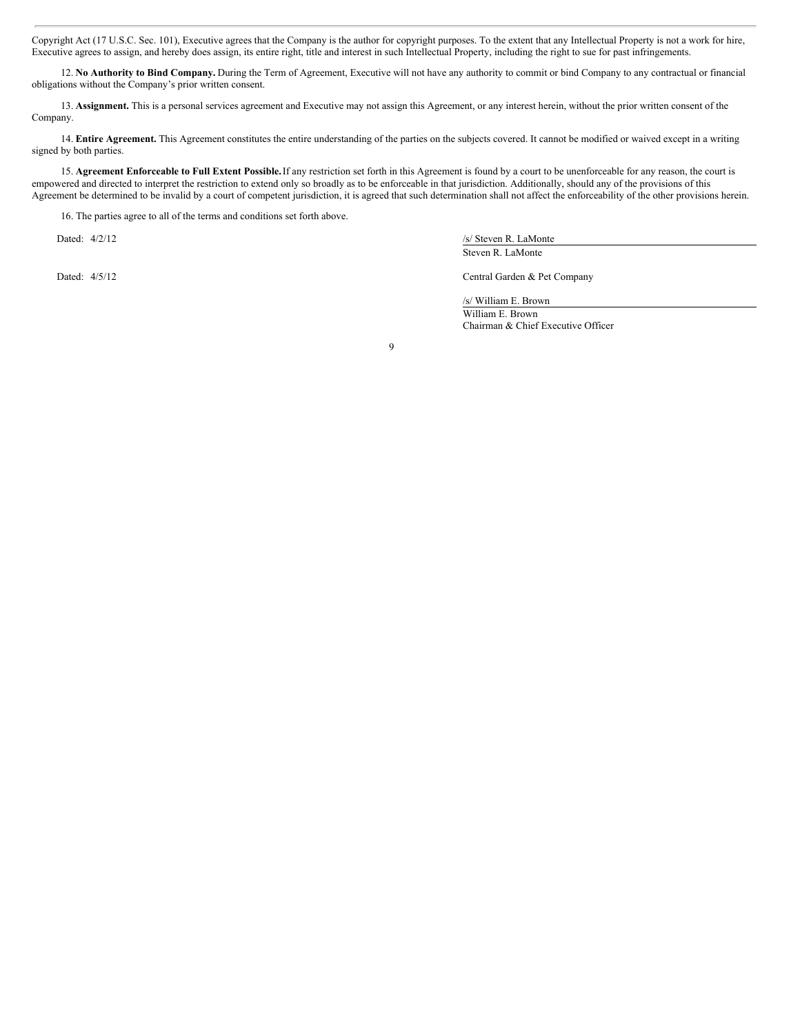Copyright Act (17 U.S.C. Sec. 101), Executive agrees that the Company is the author for copyright purposes. To the extent that any Intellectual Property is not a work for hire, Executive agrees to assign, and hereby does assign, its entire right, title and interest in such Intellectual Property, including the right to sue for past infringements.

12. **No Authority to Bind Company.** During the Term of Agreement, Executive will not have any authority to commit or bind Company to any contractual or financial obligations without the Company's prior written consent.

13. **Assignment.** This is a personal services agreement and Executive may not assign this Agreement, or any interest herein, without the prior written consent of the Company.

14. **Entire Agreement.** This Agreement constitutes the entire understanding of the parties on the subjects covered. It cannot be modified or waived except in a writing signed by both parties.

15. **Agreement Enforceable to Full Extent Possible.**If any restriction set forth in this Agreement is found by a court to be unenforceable for any reason, the court is empowered and directed to interpret the restriction to extend only so broadly as to be enforceable in that jurisdiction. Additionally, should any of the provisions of this Agreement be determined to be invalid by a court of competent jurisdiction, it is agreed that such determination shall not affect the enforceability of the other provisions herein.

16. The parties agree to all of the terms and conditions set forth above.

Dated:  $4/2/12$  /s/ Steven R. LaMonte Steven R. LaMonte

Dated: 4/5/12 Central Garden & Pet Company

/s/ William E. Brown William E. Brown Chairman & Chief Executive Officer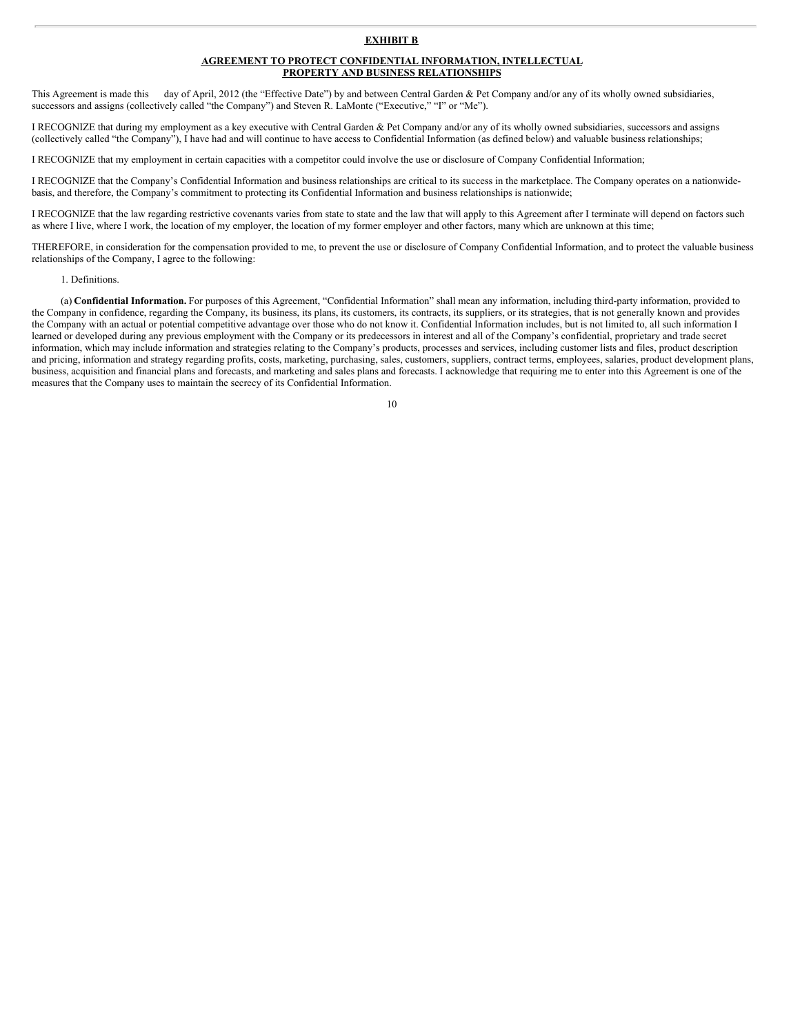#### **EXHIBIT B**

#### **AGREEMENT TO PROTECT CONFIDENTIAL INFORMATION, INTELLECTUAL PROPERTY AND BUSINESS RELATIONSHIPS**

This Agreement is made this day of April, 2012 (the "Effective Date") by and between Central Garden & Pet Company and/or any of its wholly owned subsidiaries, successors and assigns (collectively called "the Company") and Steven R. LaMonte ("Executive," "I" or "Me").

I RECOGNIZE that during my employment as a key executive with Central Garden & Pet Company and/or any of its wholly owned subsidiaries, successors and assigns (collectively called "the Company"), I have had and will continue to have access to Confidential Information (as defined below) and valuable business relationships;

I RECOGNIZE that my employment in certain capacities with a competitor could involve the use or disclosure of Company Confidential Information;

I RECOGNIZE that the Company's Confidential Information and business relationships are critical to its success in the marketplace. The Company operates on a nationwidebasis, and therefore, the Company's commitment to protecting its Confidential Information and business relationships is nationwide;

I RECOGNIZE that the law regarding restrictive covenants varies from state to state and the law that will apply to this Agreement after I terminate will depend on factors such as where I live, where I work, the location of my employer, the location of my former employer and other factors, many which are unknown at this time;

THEREFORE, in consideration for the compensation provided to me, to prevent the use or disclosure of Company Confidential Information, and to protect the valuable business relationships of the Company, I agree to the following:

#### 1. Definitions.

(a) **Confidential Information.** For purposes of this Agreement, "Confidential Information" shall mean any information, including third-party information, provided to the Company in confidence, regarding the Company, its business, its plans, its customers, its contracts, its suppliers, or its strategies, that is not generally known and provides the Company with an actual or potential competitive advantage over those who do not know it. Confidential Information includes, but is not limited to, all such information I learned or developed during any previous employment with the Company or its predecessors in interest and all of the Company's confidential, proprietary and trade secret information, which may include information and strategies relating to the Company's products, processes and services, including customer lists and files, product description and pricing, information and strategy regarding profits, costs, marketing, purchasing, sales, customers, suppliers, contract terms, employees, salaries, product development plans, business, acquisition and financial plans and forecasts, and marketing and sales plans and forecasts. I acknowledge that requiring me to enter into this Agreement is one of the measures that the Company uses to maintain the secrecy of its Confidential Information.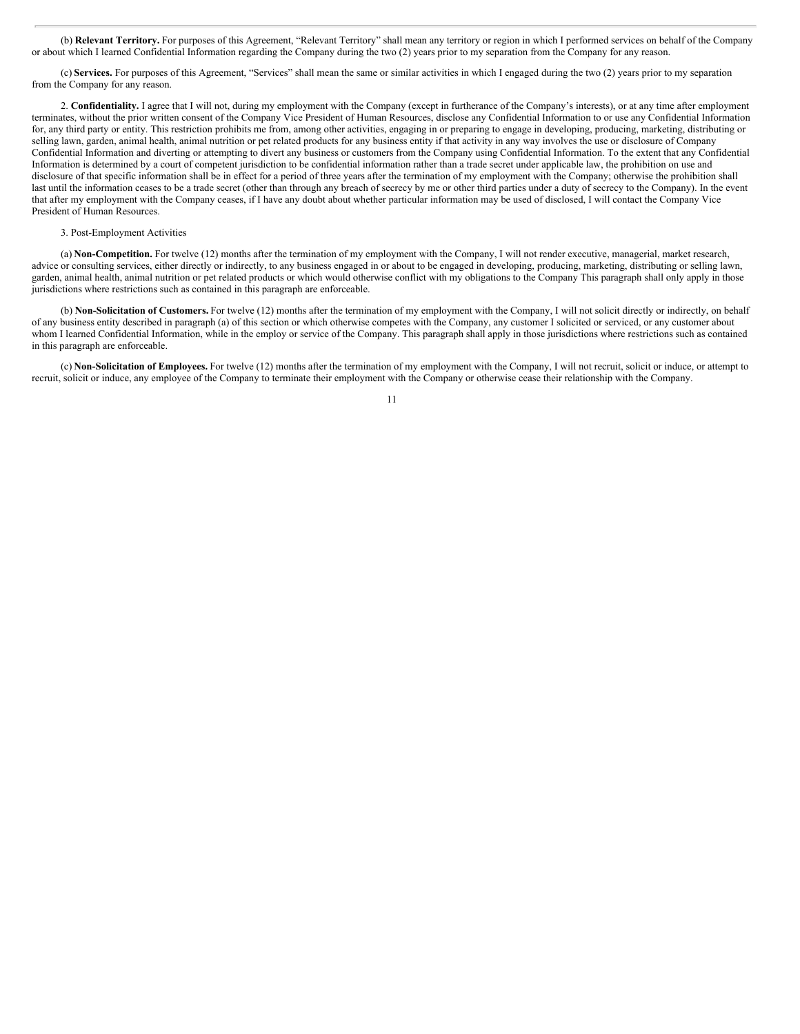(b) **Relevant Territory.** For purposes of this Agreement, "Relevant Territory" shall mean any territory or region in which I performed services on behalf of the Company or about which I learned Confidential Information regarding the Company during the two (2) years prior to my separation from the Company for any reason.

(c) **Services.** For purposes of this Agreement, "Services" shall mean the same or similar activities in which I engaged during the two (2) years prior to my separation from the Company for any reason.

2. **Confidentiality.** I agree that I will not, during my employment with the Company (except in furtherance of the Company's interests), or at any time after employment terminates, without the prior written consent of the Company Vice President of Human Resources, disclose any Confidential Information to or use any Confidential Information for, any third party or entity. This restriction prohibits me from, among other activities, engaging in or preparing to engage in developing, producing, marketing, distributing or selling lawn, garden, animal health, animal nutrition or pet related products for any business entity if that activity in any way involves the use or disclosure of Company Confidential Information and diverting or attempting to divert any business or customers from the Company using Confidential Information. To the extent that any Confidential Information is determined by a court of competent jurisdiction to be confidential information rather than a trade secret under applicable law, the prohibition on use and disclosure of that specific information shall be in effect for a period of three years after the termination of my employment with the Company; otherwise the prohibition shall last until the information ceases to be a trade secret (other than through any breach of secrecy by me or other third parties under a duty of secrecy to the Company). In the event that after my employment with the Company ceases, if I have any doubt about whether particular information may be used of disclosed, I will contact the Company Vice President of Human Resources.

#### 3. Post-Employment Activities

(a) **Non-Competition.** For twelve (12) months after the termination of my employment with the Company, I will not render executive, managerial, market research, advice or consulting services, either directly or indirectly, to any business engaged in or about to be engaged in developing, producing, marketing, distributing or selling lawn, garden, animal health, animal nutrition or pet related products or which would otherwise conflict with my obligations to the Company This paragraph shall only apply in those jurisdictions where restrictions such as contained in this paragraph are enforceable.

(b) **Non-Solicitation of Customers.** For twelve (12) months after the termination of my employment with the Company, I will not solicit directly or indirectly, on behalf of any business entity described in paragraph (a) of this section or which otherwise competes with the Company, any customer I solicited or serviced, or any customer about whom I learned Confidential Information, while in the employ or service of the Company. This paragraph shall apply in those jurisdictions where restrictions such as contained in this paragraph are enforceable.

(c) **Non-Solicitation of Employees.** For twelve (12) months after the termination of my employment with the Company, I will not recruit, solicit or induce, or attempt to recruit, solicit or induce, any employee of the Company to terminate their employment with the Company or otherwise cease their relationship with the Company.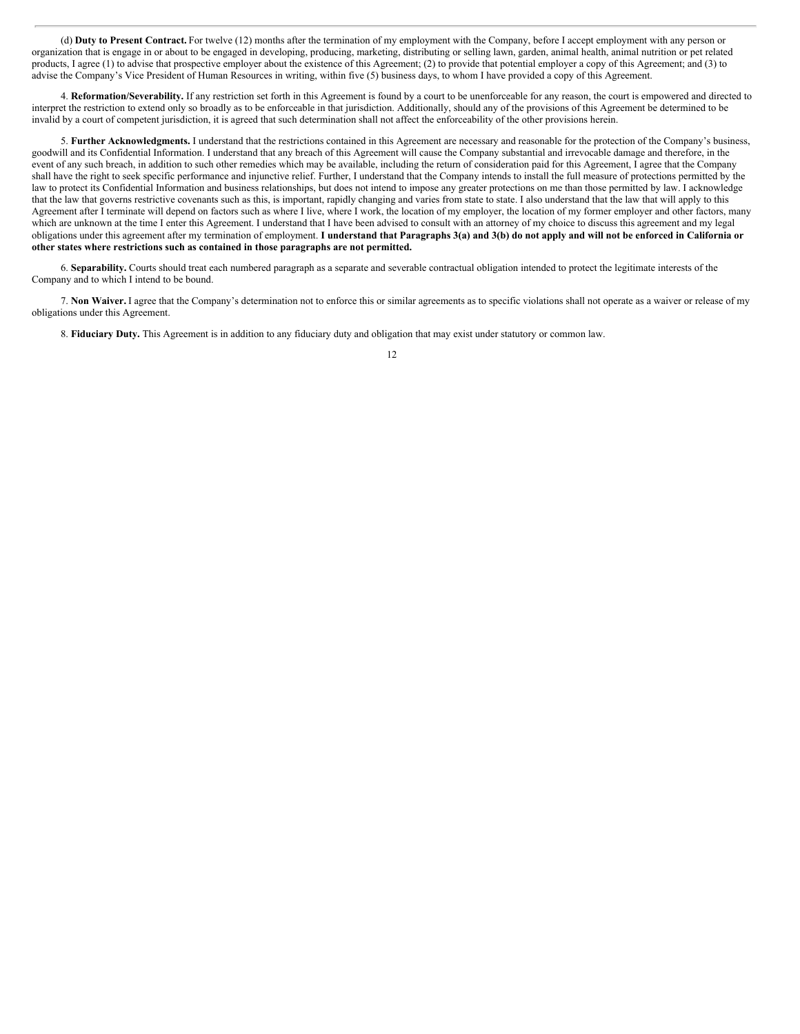(d) **Duty to Present Contract.** For twelve (12) months after the termination of my employment with the Company, before I accept employment with any person or organization that is engage in or about to be engaged in developing, producing, marketing, distributing or selling lawn, garden, animal health, animal nutrition or pet related products, I agree (1) to advise that prospective employer about the existence of this Agreement; (2) to provide that potential employer a copy of this Agreement; and (3) to advise the Company's Vice President of Human Resources in writing, within five (5) business days, to whom I have provided a copy of this Agreement.

4. **Reformation/Severability.** If any restriction set forth in this Agreement is found by a court to be unenforceable for any reason, the court is empowered and directed to interpret the restriction to extend only so broadly as to be enforceable in that jurisdiction. Additionally, should any of the provisions of this Agreement be determined to be invalid by a court of competent jurisdiction, it is agreed that such determination shall not affect the enforceability of the other provisions herein.

5. **Further Acknowledgments.** I understand that the restrictions contained in this Agreement are necessary and reasonable for the protection of the Company's business, goodwill and its Confidential Information. I understand that any breach of this Agreement will cause the Company substantial and irrevocable damage and therefore, in the event of any such breach, in addition to such other remedies which may be available, including the return of consideration paid for this Agreement, I agree that the Company shall have the right to seek specific performance and injunctive relief. Further, I understand that the Company intends to install the full measure of protections permitted by the law to protect its Confidential Information and business relationships, but does not intend to impose any greater protections on me than those permitted by law. I acknowledge that the law that governs restrictive covenants such as this, is important, rapidly changing and varies from state to state. I also understand that the law that will apply to this Agreement after I terminate will depend on factors such as where I live, where I work, the location of my employer, the location of my former employer and other factors, many which are unknown at the time I enter this Agreement. I understand that I have been advised to consult with an attorney of my choice to discuss this agreement and my legal obligations under this agreement after my termination of employment. I understand that Paragraphs 3(a) and 3(b) do not apply and will not be enforced in California or **other states where restrictions such as contained in those paragraphs are not permitted.**

6. **Separability.** Courts should treat each numbered paragraph as a separate and severable contractual obligation intended to protect the legitimate interests of the Company and to which I intend to be bound.

7. **Non Waiver.** I agree that the Company's determination not to enforce this or similar agreements as to specific violations shall not operate as a waiver or release of my obligations under this Agreement.

8. **Fiduciary Duty.** This Agreement is in addition to any fiduciary duty and obligation that may exist under statutory or common law.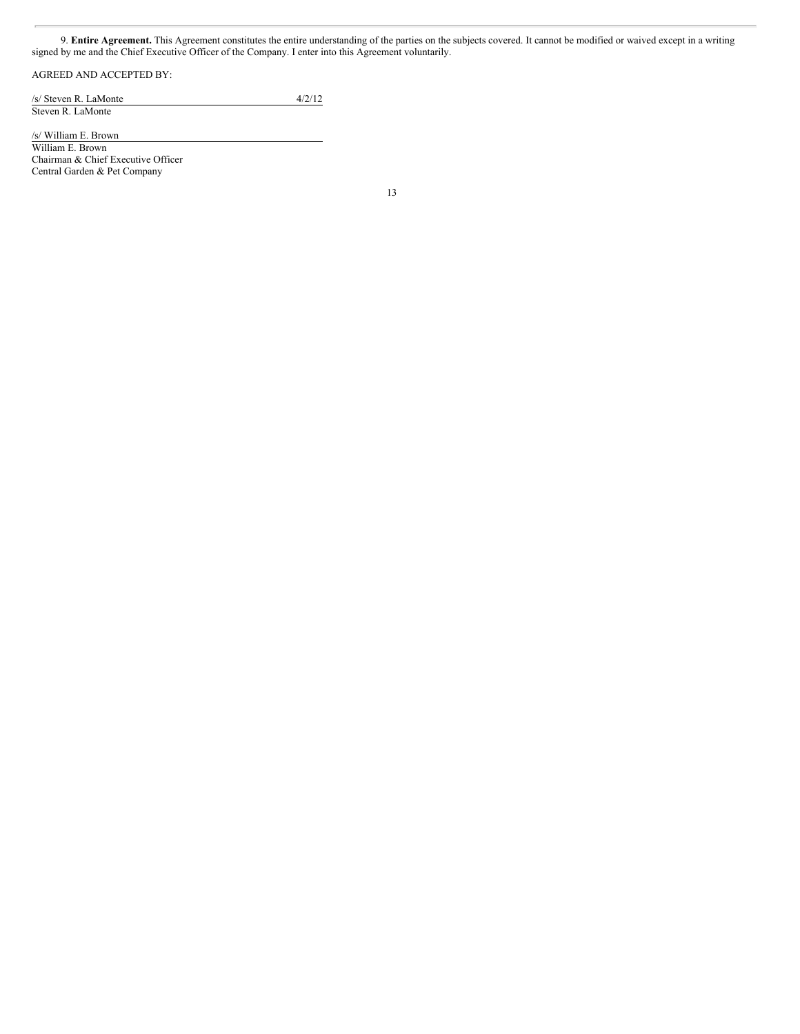9. **Entire Agreement.** This Agreement constitutes the entire understanding of the parties on the subjects covered. It cannot be modified or waived except in a writing signed by me and the Chief Executive Officer of the Company. I enter into this Agreement voluntarily.

## AGREED AND ACCEPTED BY:

/s/ Steven R. LaMonte 4/2/12 Steven R. LaMonte

/s/ William E. Brown

William E. Brown Chairman & Chief Executive Officer Central Garden & Pet Company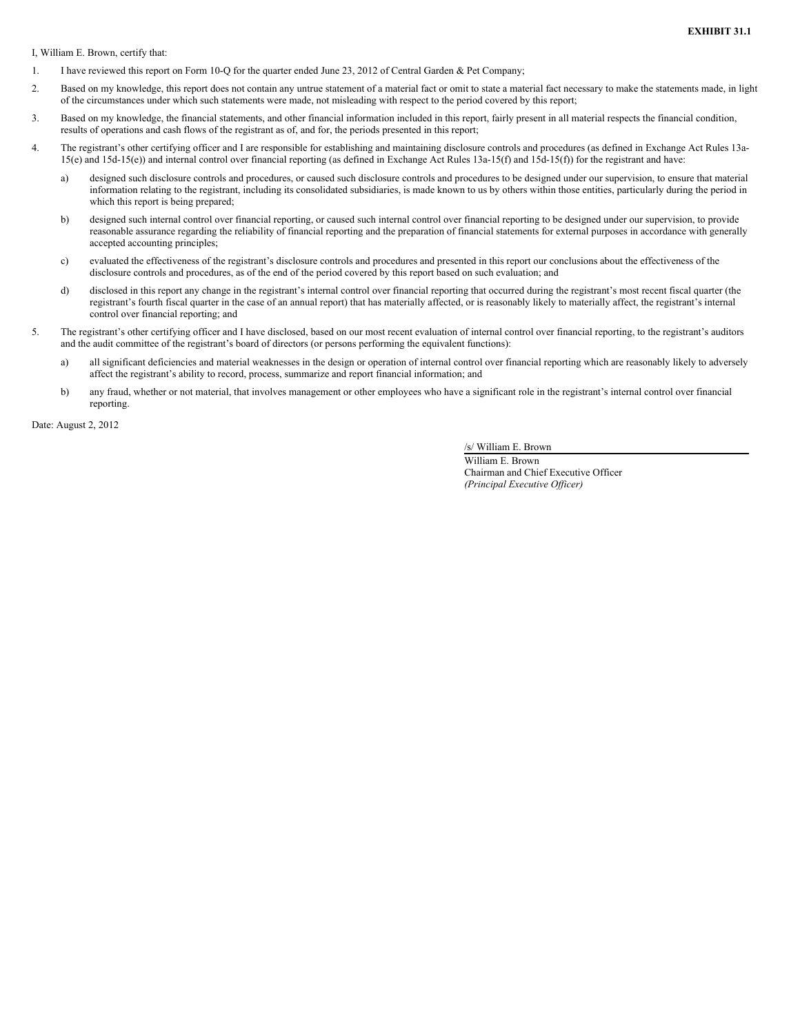I, William E. Brown, certify that:

- 1. I have reviewed this report on Form 10-Q for the quarter ended June 23, 2012 of Central Garden & Pet Company;
- 2. Based on my knowledge, this report does not contain any untrue statement of a material fact or omit to state a material fact necessary to make the statements made, in light of the circumstances under which such statements were made, not misleading with respect to the period covered by this report;
- 3. Based on my knowledge, the financial statements, and other financial information included in this report, fairly present in all material respects the financial condition, results of operations and cash flows of the registrant as of, and for, the periods presented in this report;
- 4. The registrant's other certifying officer and I are responsible for establishing and maintaining disclosure controls and procedures (as defined in Exchange Act Rules 13a-15(e) and 15d-15(e)) and internal control over financial reporting (as defined in Exchange Act Rules 13a-15(f) and 15d-15(f)) for the registrant and have:
	- a) designed such disclosure controls and procedures, or caused such disclosure controls and procedures to be designed under our supervision, to ensure that material information relating to the registrant, including its consolidated subsidiaries, is made known to us by others within those entities, particularly during the period in which this report is being prepared;
	- b) designed such internal control over financial reporting, or caused such internal control over financial reporting to be designed under our supervision, to provide reasonable assurance regarding the reliability of financial reporting and the preparation of financial statements for external purposes in accordance with generally accepted accounting principles;
	- c) evaluated the effectiveness of the registrant's disclosure controls and procedures and presented in this report our conclusions about the effectiveness of the disclosure controls and procedures, as of the end of the period covered by this report based on such evaluation; and
	- d) disclosed in this report any change in the registrant's internal control over financial reporting that occurred during the registrant's most recent fiscal quarter (the registrant's fourth fiscal quarter in the case of an annual report) that has materially affected, or is reasonably likely to materially affect, the registrant's internal control over financial reporting; and
- 5. The registrant's other certifying officer and I have disclosed, based on our most recent evaluation of internal control over financial reporting, to the registrant's auditors and the audit committee of the registrant's board of directors (or persons performing the equivalent functions):
	- a) all significant deficiencies and material weaknesses in the design or operation of internal control over financial reporting which are reasonably likely to adversely affect the registrant's ability to record, process, summarize and report financial information; and
	- b) any fraud, whether or not material, that involves management or other employees who have a significant role in the registrant's internal control over financial reporting.

Date: August 2, 2012

/s/ William E. Brown

William E. Brown Chairman and Chief Executive Officer *(Principal Executive Of icer)*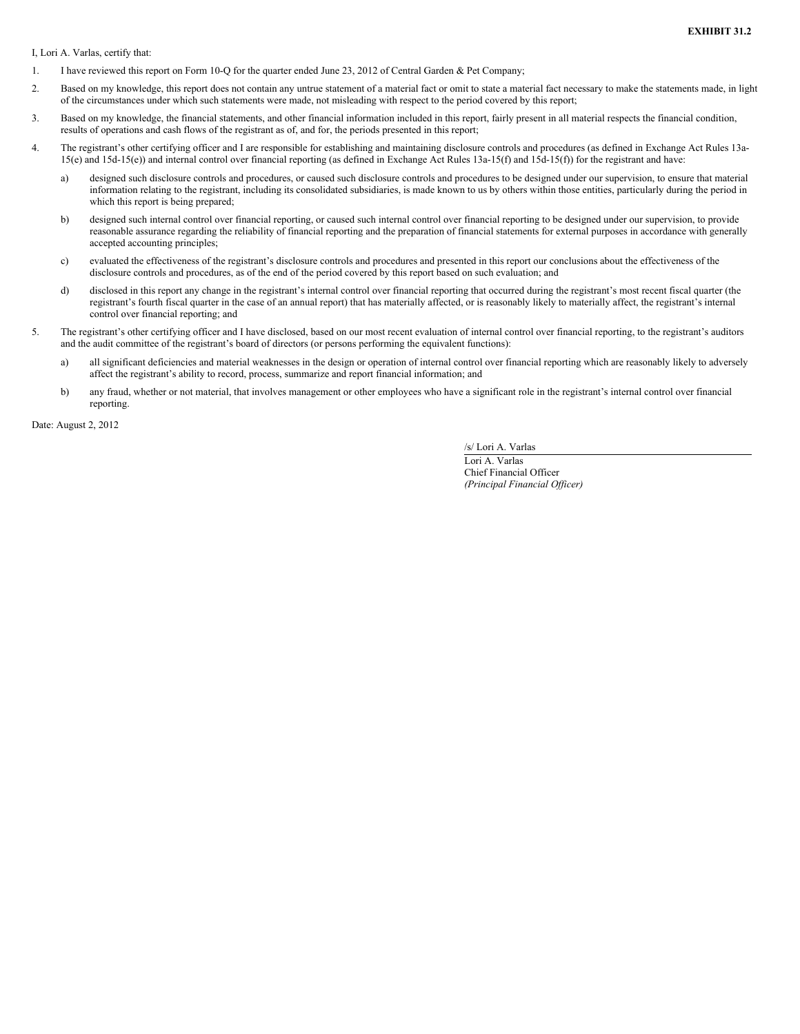I, Lori A. Varlas, certify that:

- 1. I have reviewed this report on Form 10-Q for the quarter ended June 23, 2012 of Central Garden & Pet Company;
- 2. Based on my knowledge, this report does not contain any untrue statement of a material fact or omit to state a material fact necessary to make the statements made, in light of the circumstances under which such statements were made, not misleading with respect to the period covered by this report;
- 3. Based on my knowledge, the financial statements, and other financial information included in this report, fairly present in all material respects the financial condition, results of operations and cash flows of the registrant as of, and for, the periods presented in this report;
- 4. The registrant's other certifying officer and I are responsible for establishing and maintaining disclosure controls and procedures (as defined in Exchange Act Rules 13a-15(e) and 15d-15(e)) and internal control over financial reporting (as defined in Exchange Act Rules 13a-15(f) and 15d-15(f)) for the registrant and have:
	- a) designed such disclosure controls and procedures, or caused such disclosure controls and procedures to be designed under our supervision, to ensure that material information relating to the registrant, including its consolidated subsidiaries, is made known to us by others within those entities, particularly during the period in which this report is being prepared;
	- b) designed such internal control over financial reporting, or caused such internal control over financial reporting to be designed under our supervision, to provide reasonable assurance regarding the reliability of financial reporting and the preparation of financial statements for external purposes in accordance with generally accepted accounting principles;
	- c) evaluated the effectiveness of the registrant's disclosure controls and procedures and presented in this report our conclusions about the effectiveness of the disclosure controls and procedures, as of the end of the period covered by this report based on such evaluation; and
	- d) disclosed in this report any change in the registrant's internal control over financial reporting that occurred during the registrant's most recent fiscal quarter (the registrant's fourth fiscal quarter in the case of an annual report) that has materially affected, or is reasonably likely to materially affect, the registrant's internal control over financial reporting; and
- 5. The registrant's other certifying officer and I have disclosed, based on our most recent evaluation of internal control over financial reporting, to the registrant's auditors and the audit committee of the registrant's board of directors (or persons performing the equivalent functions):
	- a) all significant deficiencies and material weaknesses in the design or operation of internal control over financial reporting which are reasonably likely to adversely affect the registrant's ability to record, process, summarize and report financial information; and
	- b) any fraud, whether or not material, that involves management or other employees who have a significant role in the registrant's internal control over financial reporting.

Date: August 2, 2012

/s/ Lori A. Varlas

Lori A. Varlas Chief Financial Officer *(Principal Financial Of icer)*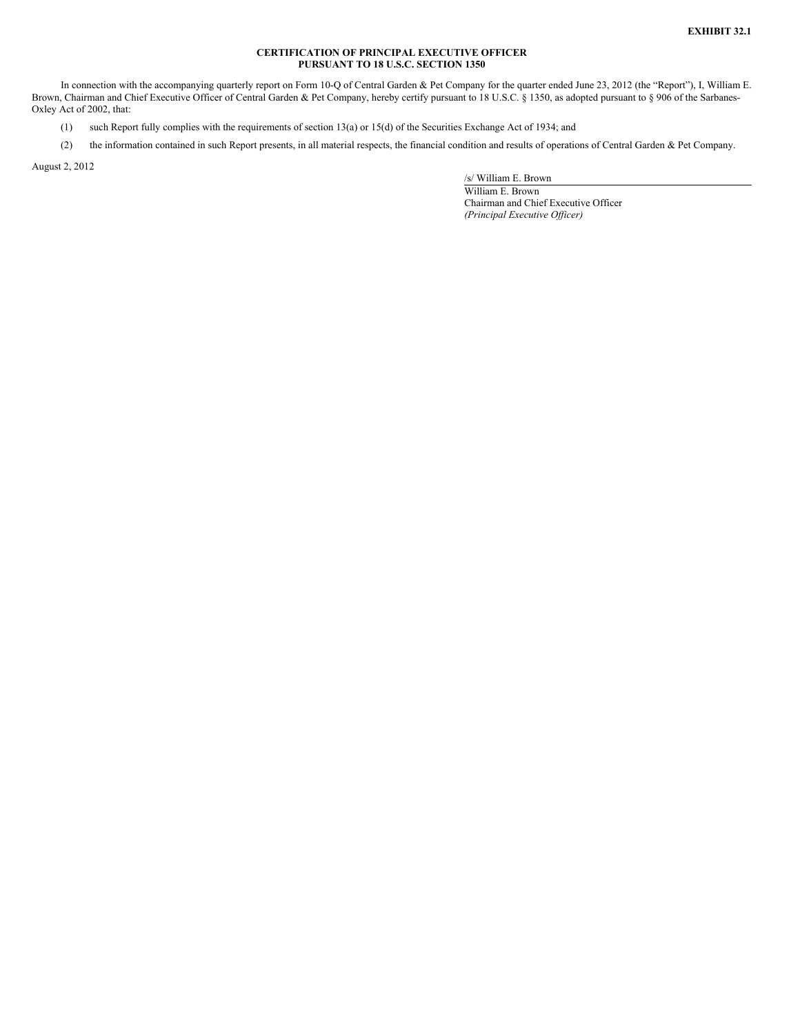## **CERTIFICATION OF PRINCIPAL EXECUTIVE OFFICER PURSUANT TO 18 U.S.C. SECTION 1350**

In connection with the accompanying quarterly report on Form 10-Q of Central Garden & Pet Company for the quarter ended June 23, 2012 (the "Report"), I, William E. Brown, Chairman and Chief Executive Officer of Central Garden & Pet Company, hereby certify pursuant to 18 U.S.C. § 1350, as adopted pursuant to § 906 of the Sarbanes-Oxley Act of 2002, that:

(1) such Report fully complies with the requirements of section 13(a) or 15(d) of the Securities Exchange Act of 1934; and

(2) the information contained in such Report presents, in all material respects, the financial condition and results of operations of Central Garden & Pet Company.

August 2, 2012

/s/ William E. Brown

William E. Brown Chairman and Chief Executive Officer *(Principal Executive Of icer)*